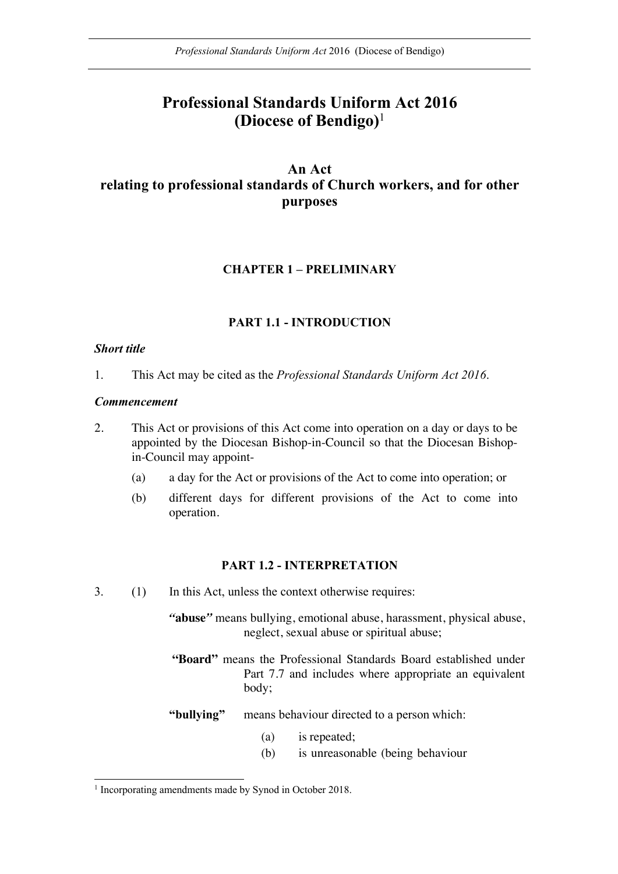# **Professional Standards Uniform Act 2016 (Diocese of Bendigo)**<sup>1</sup>

## **An Act relating to professional standards of Church workers, and for other purposes**

## **CHAPTER 1 – PRELIMINARY**

## **PART 1.1 - INTRODUCTION**

### *Short title*

1. This Act may be cited as the *Professional Standards Uniform Act 2016*.

### *Commencement*

- 2. This Act or provisions of this Act come into operation on a day or days to be appointed by the Diocesan Bishop-in-Council so that the Diocesan Bishopin-Council may appoint-
	- (a) a day for the Act or provisions of the Act to come into operation; or
	- (b) different days for different provisions of the Act to come into operation.

## **PART 1.2 - INTERPRETATION**

3. (1) In this Act, unless the context otherwise requires:

*"***abuse***"* means bullying, emotional abuse, harassment, physical abuse, neglect, sexual abuse or spiritual abuse;

**"Board"** means the Professional Standards Board established under Part 7.7 and includes where appropriate an equivalent body;

**"bullying"** means behaviour directed to a person which:

- (a) is repeated;
- (b) is unreasonable (being behaviour

<sup>&</sup>lt;sup>1</sup> Incorporating amendments made by Synod in October 2018.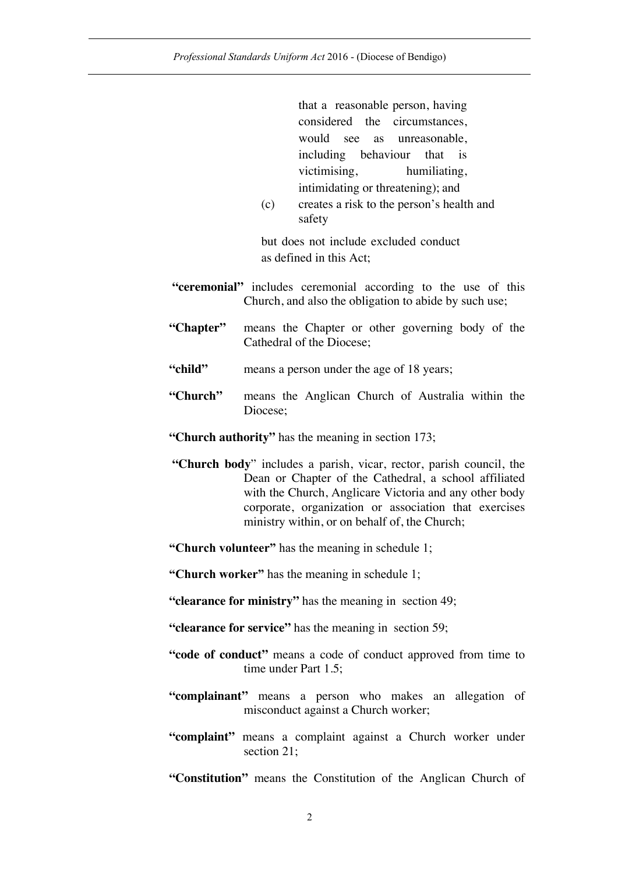that a reasonable person, having considered the circumstances, would see as unreasonable, including behaviour that is victimising, humiliating, intimidating or threatening); and

(c) creates a risk to the person's health and safety

but does not include excluded conduct as defined in this Act;

- **"ceremonial"** includes ceremonial according to the use of this Church, and also the obligation to abide by such use;
- **"Chapter"** means the Chapter or other governing body of the Cathedral of the Diocese;
- "child" means a person under the age of 18 years;
- **"Church"** means the Anglican Church of Australia within the Diocese;

**"Church authority"** has the meaning in section 173;

- **"Church body**" includes a parish, vicar, rector, parish council, the Dean or Chapter of the Cathedral, a school affiliated with the Church, Anglicare Victoria and any other body corporate, organization or association that exercises ministry within, or on behalf of, the Church;
- **"Church volunteer"** has the meaning in schedule 1;

**"Church worker"** has the meaning in schedule 1;

- **"clearance for ministry"** has the meaning in section 49;
- **"clearance for service"** has the meaning in section 59;
- **"code of conduct"** means a code of conduct approved from time to time under Part 1.5;
- **"complainant"** means a person who makes an allegation of misconduct against a Church worker;
- **"complaint"** means a complaint against a Church worker under section 21;

**"Constitution"** means the Constitution of the Anglican Church of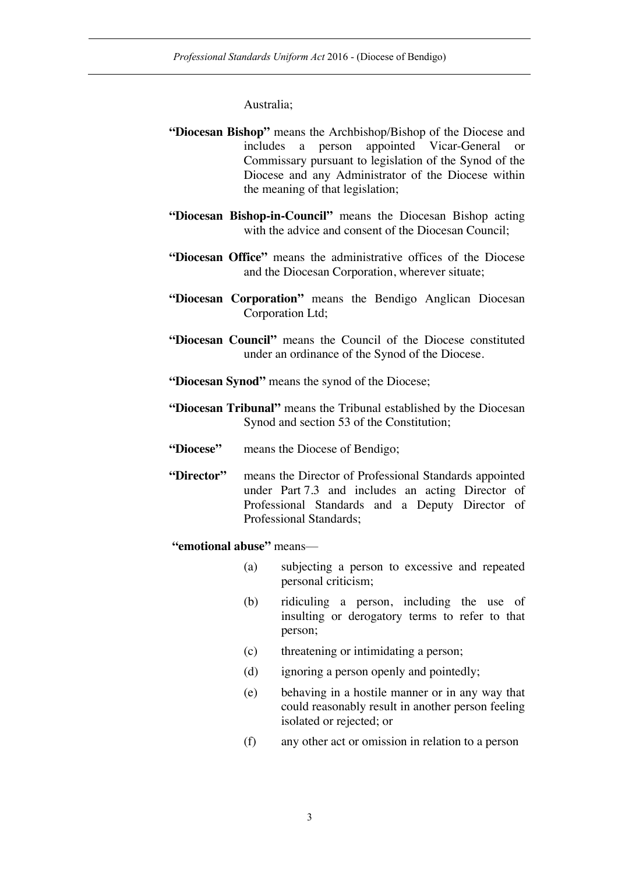Australia;

- **"Diocesan Bishop"** means the Archbishop/Bishop of the Diocese and includes a person appointed Vicar-General or Commissary pursuant to legislation of the Synod of the Diocese and any Administrator of the Diocese within the meaning of that legislation;
- **"Diocesan Bishop-in-Council"** means the Diocesan Bishop acting with the advice and consent of the Diocesan Council;
- **"Diocesan Office"** means the administrative offices of the Diocese and the Diocesan Corporation, wherever situate;
- **"Diocesan Corporation"** means the Bendigo Anglican Diocesan Corporation Ltd;
- **"Diocesan Council"** means the Council of the Diocese constituted under an ordinance of the Synod of the Diocese.
- **"Diocesan Synod"** means the synod of the Diocese;
- **"Diocesan Tribunal"** means the Tribunal established by the Diocesan Synod and section 53 of the Constitution;
- **"Diocese"** means the Diocese of Bendigo;
- **"Director"** means the Director of Professional Standards appointed under Part 7.3 and includes an acting Director of Professional Standards and a Deputy Director of Professional Standards;
	- **"emotional abuse"** means—
		- (a) subjecting a person to excessive and repeated personal criticism;
		- (b) ridiculing a person, including the use of insulting or derogatory terms to refer to that person;
		- (c) threatening or intimidating a person;
		- (d) ignoring a person openly and pointedly;
		- (e) behaving in a hostile manner or in any way that could reasonably result in another person feeling isolated or rejected; or
		- (f) any other act or omission in relation to a person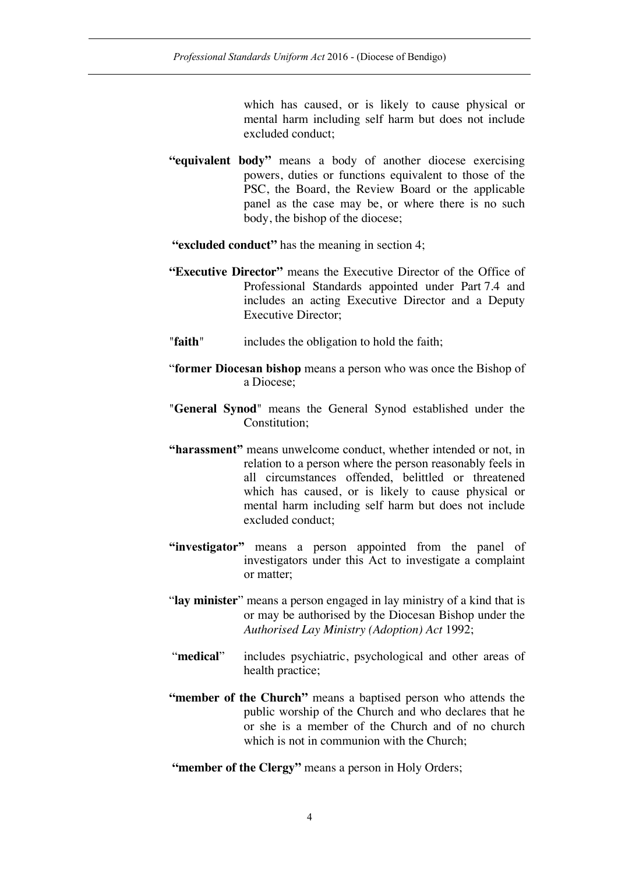which has caused, or is likely to cause physical or mental harm including self harm but does not include excluded conduct;

- **"equivalent body"** means a body of another diocese exercising powers, duties or functions equivalent to those of the PSC, the Board, the Review Board or the applicable panel as the case may be, or where there is no such body, the bishop of the diocese;
- **"excluded conduct"** has the meaning in section 4;
- **"Executive Director"** means the Executive Director of the Office of Professional Standards appointed under Part 7.4 and includes an acting Executive Director and a Deputy Executive Director;
- "**faith**" includes the obligation to hold the faith;
- "**former Diocesan bishop** means a person who was once the Bishop of a Diocese;
- "**General Synod**" means the General Synod established under the Constitution;
- **"harassment"** means unwelcome conduct, whether intended or not, in relation to a person where the person reasonably feels in all circumstances offended, belittled or threatened which has caused, or is likely to cause physical or mental harm including self harm but does not include excluded conduct;
- **"investigator"** means a person appointed from the panel of investigators under this Act to investigate a complaint or matter;
- "**lay minister**" means a person engaged in lay ministry of a kind that is or may be authorised by the Diocesan Bishop under the *Authorised Lay Ministry (Adoption) Act* 1992;
- "**medical**" includes psychiatric, psychological and other areas of health practice;
- **"member of the Church"** means a baptised person who attends the public worship of the Church and who declares that he or she is a member of the Church and of no church which is not in communion with the Church:

**"member of the Clergy"** means a person in Holy Orders;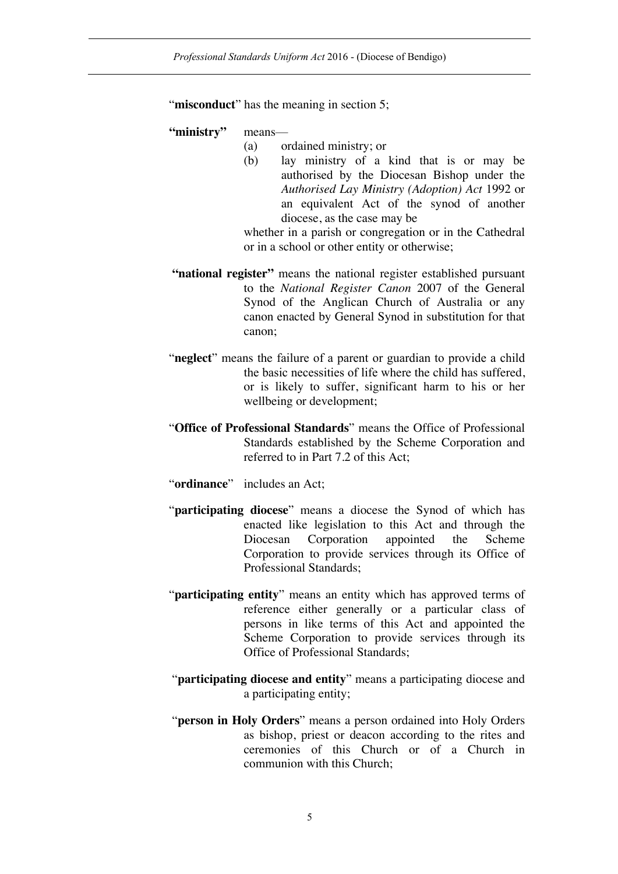#### "**misconduct**" has the meaning in section 5;

#### **"ministry"** means—

- (a) ordained ministry; or
- (b) lay ministry of a kind that is or may be authorised by the Diocesan Bishop under the *Authorised Lay Ministry (Adoption) Act* 1992 or an equivalent Act of the synod of another diocese, as the case may be

whether in a parish or congregation or in the Cathedral or in a school or other entity or otherwise;

- **"national register"** means the national register established pursuant to the *National Register Canon* 2007 of the General Synod of the Anglican Church of Australia or any canon enacted by General Synod in substitution for that canon;
- "**neglect**" means the failure of a parent or guardian to provide a child the basic necessities of life where the child has suffered, or is likely to suffer, significant harm to his or her wellbeing or development;
- "**Office of Professional Standards**" means the Office of Professional Standards established by the Scheme Corporation and referred to in Part 7.2 of this Act;
- "**ordinance**" includes an Act;
- "**participating diocese**" means a diocese the Synod of which has enacted like legislation to this Act and through the Diocesan Corporation appointed the Scheme Corporation to provide services through its Office of Professional Standards;
- "**participating entity**" means an entity which has approved terms of reference either generally or a particular class of persons in like terms of this Act and appointed the Scheme Corporation to provide services through its Office of Professional Standards;
- "**participating diocese and entity**" means a participating diocese and a participating entity;
- "**person in Holy Orders**" means a person ordained into Holy Orders as bishop, priest or deacon according to the rites and ceremonies of this Church or of a Church in communion with this Church;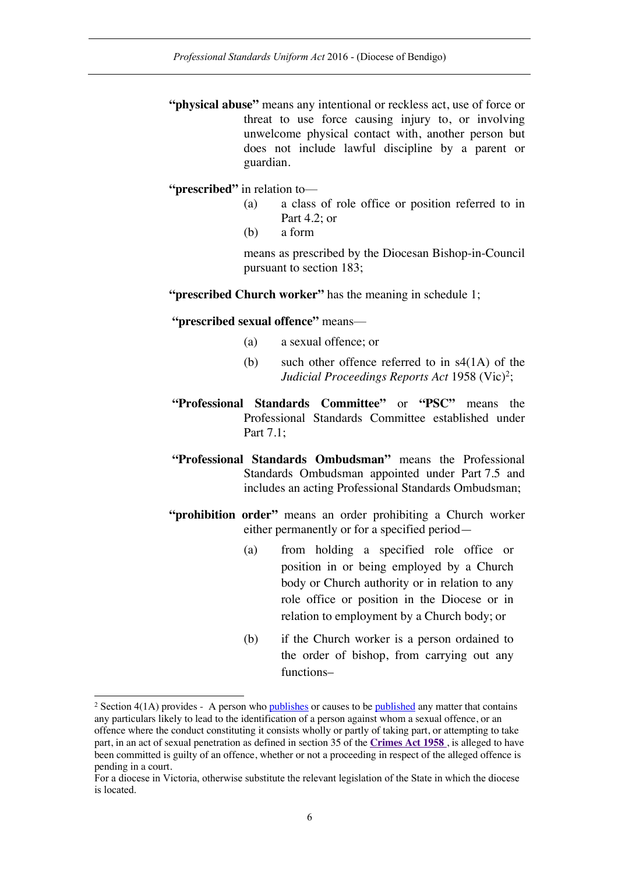- **"physical abuse"** means any intentional or reckless act, use of force or threat to use force causing injury to, or involving unwelcome physical contact with, another person but does not include lawful discipline by a parent or guardian.
- **"prescribed"** in relation to—
	- (a) a class of role office or position referred to in Part 4.2; or
	- (b) a form

means as prescribed by the Diocesan Bishop-in-Council pursuant to section 183;

**"prescribed Church worker"** has the meaning in schedule 1;

**"prescribed sexual offence"** means—

- (a) a sexual offence; or
- (b) such other offence referred to in s4(1A) of the *Judicial Proceedings Reports Act* 1958 (Vic)<sup>2</sup>;
- **"Professional Standards Committee"** or **"PSC"** means the Professional Standards Committee established under Part 7.1;
- **"Professional Standards Ombudsman"** means the Professional Standards Ombudsman appointed under Part 7.5 and includes an acting Professional Standards Ombudsman;
- **"prohibition order"** means an order prohibiting a Church worker either permanently or for a specified period—
	- (a) from holding a specified role office or position in or being employed by a Church body or Church authority or in relation to any role office or position in the Diocese or in relation to employment by a Church body; or
	- (b) if the Church worker is a person ordained to the order of bishop, from carrying out any functions–

<sup>&</sup>lt;sup>2</sup> Section 4(1A) provides - A person who publishes or causes to be published any matter that contains any particulars likely to lead to the identification of a person against whom a sexual offence, or an offence where the conduct constituting it consists wholly or partly of taking part, or attempting to take part, in an act of sexual penetration as defined in section 35 of the **Crimes Act 1958** , is alleged to have been committed is guilty of an offence, whether or not a proceeding in respect of the alleged offence is pending in a court.

For a diocese in Victoria, otherwise substitute the relevant legislation of the State in which the diocese is located.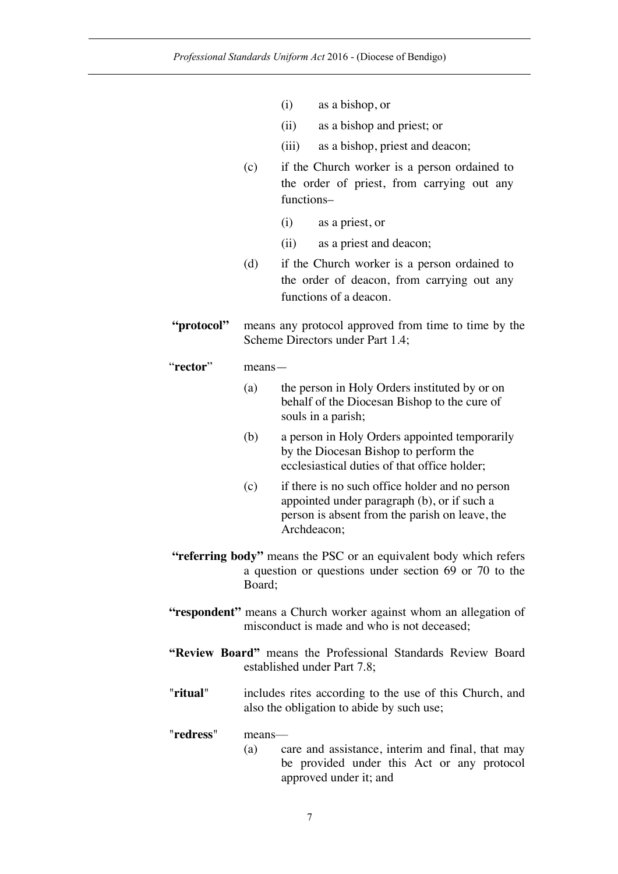- (i) as a bishop, or
- (ii) as a bishop and priest; or
- (iii) as a bishop, priest and deacon;
- (c) if the Church worker is a person ordained to the order of priest, from carrying out any functions–
	- (i) as a priest, or
	- (ii) as a priest and deacon;
- (d) if the Church worker is a person ordained to the order of deacon, from carrying out any functions of a deacon.
- **"protocol"** means any protocol approved from time to time by the Scheme Directors under Part 1.4;

#### "**rector**" means—

- (a) the person in Holy Orders instituted by or on behalf of the Diocesan Bishop to the cure of souls in a parish;
- (b) a person in Holy Orders appointed temporarily by the Diocesan Bishop to perform the ecclesiastical duties of that office holder;
- (c) if there is no such office holder and no person appointed under paragraph (b), or if such a person is absent from the parish on leave, the Archdeacon;
- **"referring body"** means the PSC or an equivalent body which refers a question or questions under section 69 or 70 to the Board;
- **"respondent"** means a Church worker against whom an allegation of misconduct is made and who is not deceased;
- **"Review Board"** means the Professional Standards Review Board established under Part 7.8;
- "**ritual**" includes rites according to the use of this Church, and also the obligation to abide by such use;

#### "**redress**" means—

(a) care and assistance, interim and final, that may be provided under this Act or any protocol approved under it; and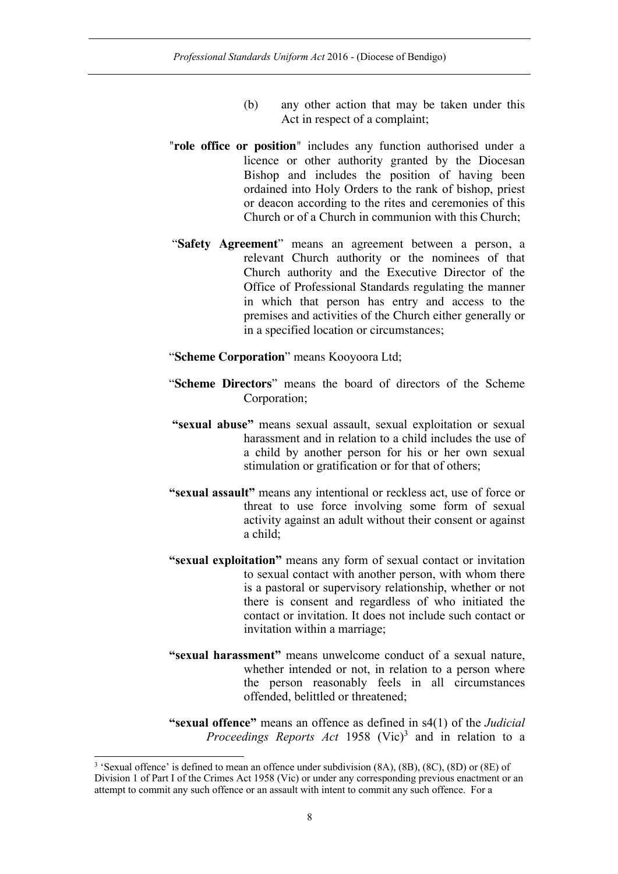- (b) any other action that may be taken under this Act in respect of a complaint;
- "**role office or position**" includes any function authorised under a licence or other authority granted by the Diocesan Bishop and includes the position of having been ordained into Holy Orders to the rank of bishop, priest or deacon according to the rites and ceremonies of this Church or of a Church in communion with this Church;
- "**Safety Agreement**" means an agreement between a person, a relevant Church authority or the nominees of that Church authority and the Executive Director of the Office of Professional Standards regulating the manner in which that person has entry and access to the premises and activities of the Church either generally or in a specified location or circumstances;
- "**Scheme Corporation**" means Kooyoora Ltd;
- "**Scheme Directors**" means the board of directors of the Scheme Corporation;
- **"sexual abuse"** means sexual assault, sexual exploitation or sexual harassment and in relation to a child includes the use of a child by another person for his or her own sexual stimulation or gratification or for that of others;
- **"sexual assault"** means any intentional or reckless act, use of force or threat to use force involving some form of sexual activity against an adult without their consent or against a child;
- **"sexual exploitation"** means any form of sexual contact or invitation to sexual contact with another person, with whom there is a pastoral or supervisory relationship, whether or not there is consent and regardless of who initiated the contact or invitation. It does not include such contact or invitation within a marriage;
- **"sexual harassment"** means unwelcome conduct of a sexual nature, whether intended or not, in relation to a person where the person reasonably feels in all circumstances offended, belittled or threatened;
- **"sexual offence"** means an offence as defined in s4(1) of the *Judicial Proceedings Reports Act* 1958 (Vic) <sup>3</sup> and in relation to a

 <sup>3</sup> 'Sexual offence' is defined to mean an offence under subdivision (8A), (8B), (8C), (8D) or (8E) of Division 1 of Part I of the Crimes Act 1958 (Vic) or under any corresponding previous enactment or an attempt to commit any such offence or an assault with intent to commit any such offence. For a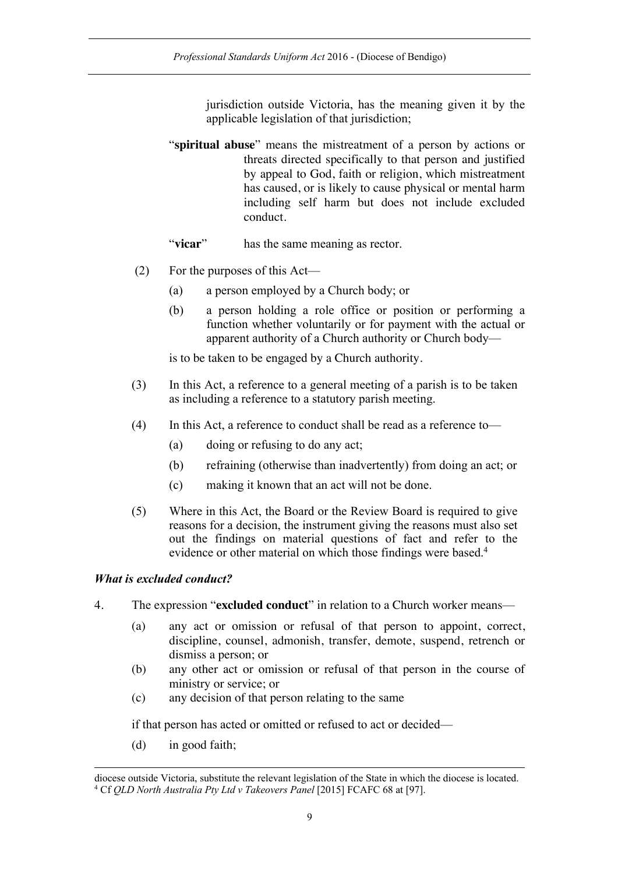jurisdiction outside Victoria, has the meaning given it by the applicable legislation of that jurisdiction;

"**spiritual abuse**" means the mistreatment of a person by actions or threats directed specifically to that person and justified by appeal to God, faith or religion, which mistreatment has caused, or is likely to cause physical or mental harm including self harm but does not include excluded conduct.

"**vicar**" has the same meaning as rector.

- (2) For the purposes of this Act—
	- (a) a person employed by a Church body; or
	- (b) a person holding a role office or position or performing a function whether voluntarily or for payment with the actual or apparent authority of a Church authority or Church body—

is to be taken to be engaged by a Church authority.

- (3) In this Act, a reference to a general meeting of a parish is to be taken as including a reference to a statutory parish meeting.
- (4) In this Act, a reference to conduct shall be read as a reference to—
	- (a) doing or refusing to do any act;
	- (b) refraining (otherwise than inadvertently) from doing an act; or
	- (c) making it known that an act will not be done.
- (5) Where in this Act, the Board or the Review Board is required to give reasons for a decision, the instrument giving the reasons must also set out the findings on material questions of fact and refer to the evidence or other material on which those findings were based.<sup>4</sup>

#### *What is excluded conduct?*

- 4. The expression "**excluded conduct**" in relation to a Church worker means—
	- (a) any act or omission or refusal of that person to appoint, correct, discipline, counsel, admonish, transfer, demote, suspend, retrench or dismiss a person; or
	- (b) any other act or omission or refusal of that person in the course of ministry or service; or
	- (c) any decision of that person relating to the same

if that person has acted or omitted or refused to act or decided—

(d) in good faith;

1

diocese outside Victoria, substitute the relevant legislation of the State in which the diocese is located. 4 Cf *QLD North Australia Pty Ltd v Takeovers Panel* [2015] FCAFC 68 at [97].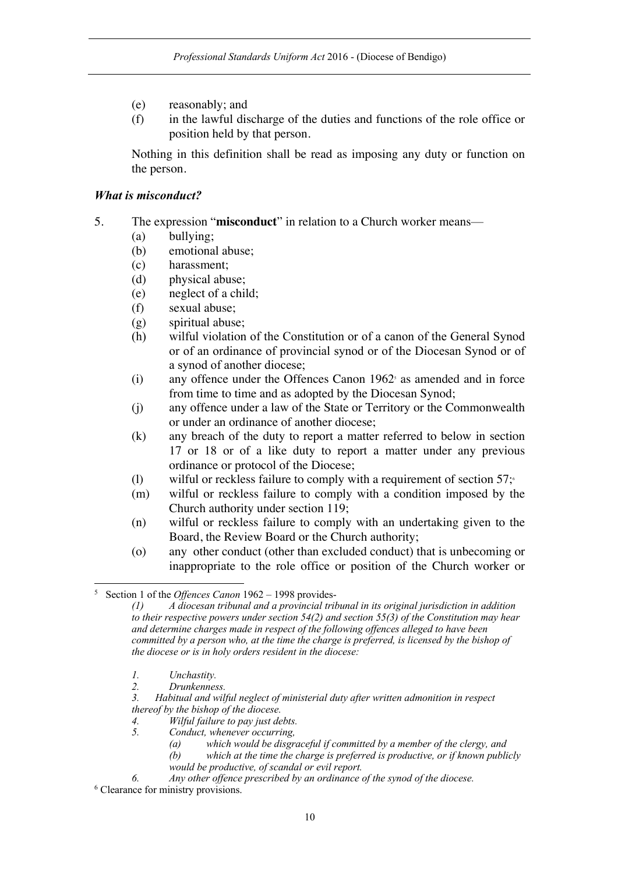- (e) reasonably; and
- (f) in the lawful discharge of the duties and functions of the role office or position held by that person.

Nothing in this definition shall be read as imposing any duty or function on the person.

#### *What is misconduct?*

- 5. The expression "**misconduct**" in relation to a Church worker means—
	- (a) bullying;
	- (b) emotional abuse;
	- (c) harassment;
	- (d) physical abuse;
	- (e) neglect of a child;
	- (f) sexual abuse;
	- (g) spiritual abuse;
	- (h) wilful violation of the Constitution or of a canon of the General Synod or of an ordinance of provincial synod or of the Diocesan Synod or of a synod of another diocese;
	- $(i)$  any offence under the Offences Canon 1962<sup>5</sup> as amended and in force from time to time and as adopted by the Diocesan Synod;
	- (j) any offence under a law of the State or Territory or the Commonwealth or under an ordinance of another diocese;
	- (k) any breach of the duty to report a matter referred to below in section 17 or 18 or of a like duty to report a matter under any previous ordinance or protocol of the Diocese;
	- (l) wilful or reckless failure to comply with a requirement of section  $57$ ;<sup> $\circ$ </sup>
	- (m) wilful or reckless failure to comply with a condition imposed by the Church authority under section 119;
	- (n) wilful or reckless failure to comply with an undertaking given to the Board, the Review Board or the Church authority;
	- (o) any other conduct (other than excluded conduct) that is unbecoming or inappropriate to the role office or position of the Church worker or

*1. Unchastity.*

- *3. Habitual and wilful neglect of ministerial duty after written admonition in respect thereof by the bishop of the diocese.*
- *4. Wilful failure to pay just debts.*
- *5. Conduct, whenever occurring,* 
	- *(a) which would be disgraceful if committed by a member of the clergy, and*
	- *(b) which at the time the charge is preferred is productive, or if known publicly would be productive, of scandal or evil report.*

 <sup>5</sup> Section 1 of the *Offences Canon* <sup>1962</sup> – 1998 provides-

*<sup>(1)</sup> A diocesan tribunal and a provincial tribunal in its original jurisdiction in addition to their respective powers under section 54(2) and section 55(3) of the Constitution may hear and determine charges made in respect of the following offences alleged to have been committed by a person who, at the time the charge is preferred, is licensed by the bishop of the diocese or is in holy orders resident in the diocese:*

*<sup>2.</sup> Drunkenness.*

*<sup>6.</sup> Any other offence prescribed by an ordinance of the synod of the diocese.* <sup>6</sup> Clearance for ministry provisions.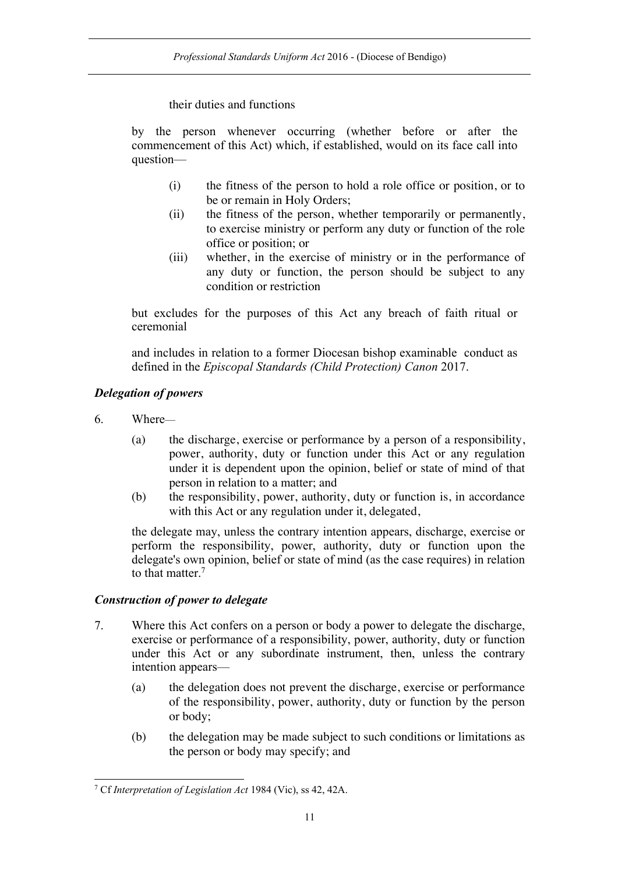their duties and functions

by the person whenever occurring (whether before or after the commencement of this Act) which, if established, would on its face call into question—

- (i) the fitness of the person to hold a role office or position, or to be or remain in Holy Orders;
- (ii) the fitness of the person, whether temporarily or permanently, to exercise ministry or perform any duty or function of the role office or position; or
- (iii) whether, in the exercise of ministry or in the performance of any duty or function, the person should be subject to any condition or restriction

but excludes for the purposes of this Act any breach of faith ritual or ceremonial

and includes in relation to a former Diocesan bishop examinable conduct as defined in the *Episcopal Standards (Child Protection) Canon* 2017.

## *Delegation of powers*

- 6. Where—
	- (a) the discharge, exercise or performance by a person of a responsibility, power, authority, duty or function under this Act or any regulation under it is dependent upon the opinion, belief or state of mind of that person in relation to a matter; and
	- (b) the responsibility, power, authority, duty or function is, in accordance with this Act or any regulation under it, delegated,

the delegate may, unless the contrary intention appears, discharge, exercise or perform the responsibility, power, authority, duty or function upon the delegate's own opinion, belief or state of mind (as the case requires) in relation to that matter.<sup>7</sup>

## *Construction of power to delegate*

- 7. Where this Act confers on a person or body a power to delegate the discharge, exercise or performance of a responsibility, power, authority, duty or function under this Act or any subordinate instrument, then, unless the contrary intention appears—
	- (a) the delegation does not prevent the discharge, exercise or performance of the responsibility, power, authority, duty or function by the person or body;
	- (b) the delegation may be made subject to such conditions or limitations as the person or body may specify; and

 <sup>7</sup> Cf *Interpretation of Legislation Act* 1984 (Vic), ss 42, 42A.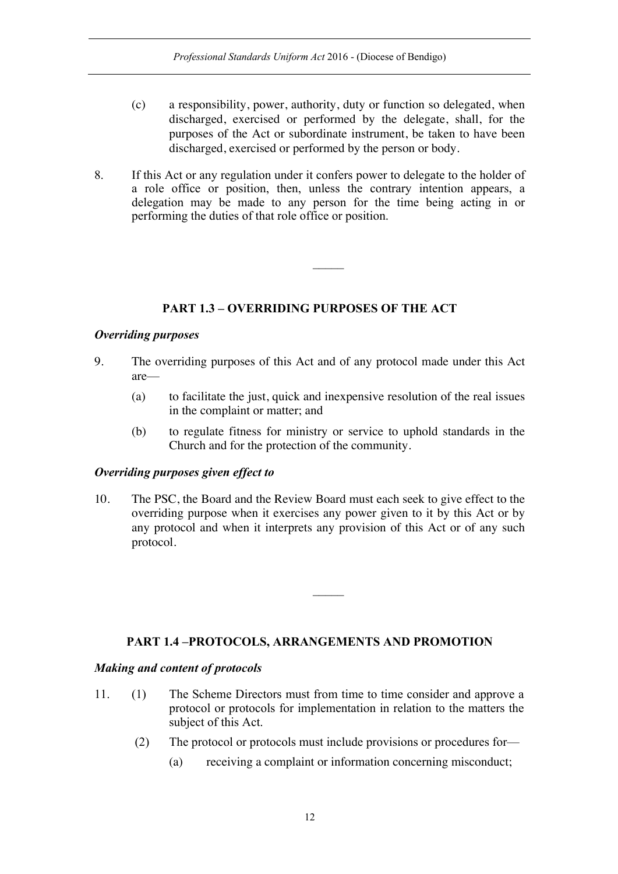- (c) a responsibility, power, authority, duty or function so delegated, when discharged, exercised or performed by the delegate, shall, for the purposes of the Act or subordinate instrument, be taken to have been discharged, exercised or performed by the person or body.
- 8. If this Act or any regulation under it confers power to delegate to the holder of a role office or position, then, unless the contrary intention appears, a delegation may be made to any person for the time being acting in or performing the duties of that role office or position.

## **PART 1.3 – OVERRIDING PURPOSES OF THE ACT**

### *Overriding purposes*

- 9. The overriding purposes of this Act and of any protocol made under this Act are—
	- (a) to facilitate the just, quick and inexpensive resolution of the real issues in the complaint or matter; and
	- (b) to regulate fitness for ministry or service to uphold standards in the Church and for the protection of the community.

### *Overriding purposes given effect to*

10. The PSC, the Board and the Review Board must each seek to give effect to the overriding purpose when it exercises any power given to it by this Act or by any protocol and when it interprets any provision of this Act or of any such protocol.

## **PART 1.4 –PROTOCOLS, ARRANGEMENTS AND PROMOTION**

### *Making and content of protocols*

- 11. (1) The Scheme Directors must from time to time consider and approve a protocol or protocols for implementation in relation to the matters the subject of this Act.
	- (2) The protocol or protocols must include provisions or procedures for—
		- (a) receiving a complaint or information concerning misconduct;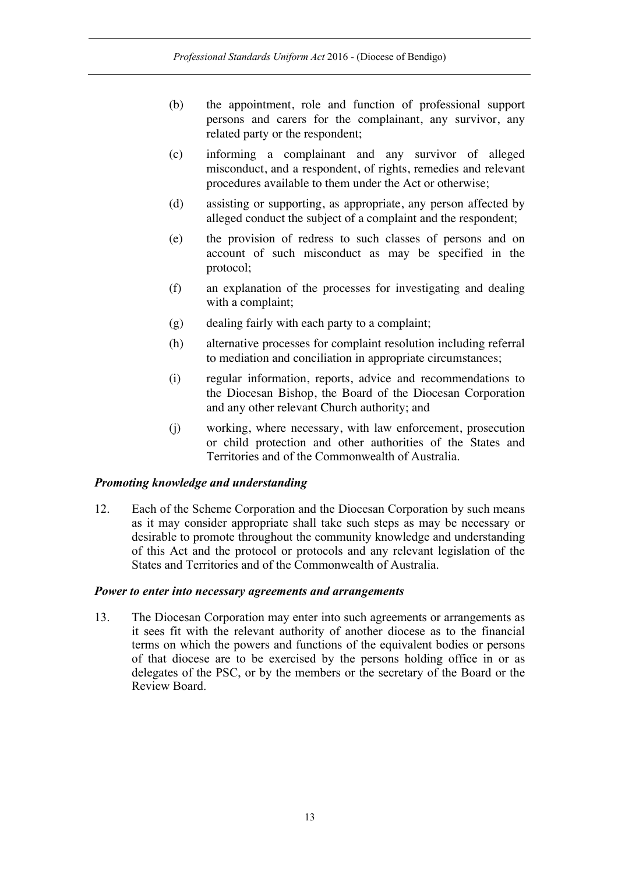- (b) the appointment, role and function of professional support persons and carers for the complainant, any survivor, any related party or the respondent;
- (c) informing a complainant and any survivor of alleged misconduct, and a respondent, of rights, remedies and relevant procedures available to them under the Act or otherwise;
- (d) assisting or supporting, as appropriate, any person affected by alleged conduct the subject of a complaint and the respondent;
- (e) the provision of redress to such classes of persons and on account of such misconduct as may be specified in the protocol;
- (f) an explanation of the processes for investigating and dealing with a complaint;
- (g) dealing fairly with each party to a complaint;
- (h) alternative processes for complaint resolution including referral to mediation and conciliation in appropriate circumstances;
- (i) regular information, reports, advice and recommendations to the Diocesan Bishop, the Board of the Diocesan Corporation and any other relevant Church authority; and
- (j) working, where necessary, with law enforcement, prosecution or child protection and other authorities of the States and Territories and of the Commonwealth of Australia.

#### *Promoting knowledge and understanding*

12. Each of the Scheme Corporation and the Diocesan Corporation by such means as it may consider appropriate shall take such steps as may be necessary or desirable to promote throughout the community knowledge and understanding of this Act and the protocol or protocols and any relevant legislation of the States and Territories and of the Commonwealth of Australia.

#### *Power to enter into necessary agreements and arrangements*

13. The Diocesan Corporation may enter into such agreements or arrangements as it sees fit with the relevant authority of another diocese as to the financial terms on which the powers and functions of the equivalent bodies or persons of that diocese are to be exercised by the persons holding office in or as delegates of the PSC, or by the members or the secretary of the Board or the Review Board.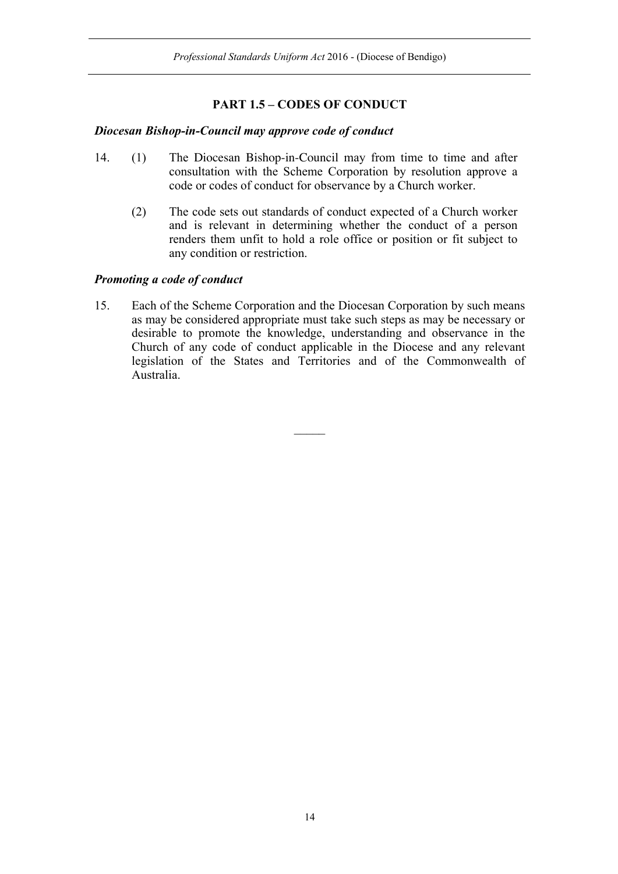## **PART 1.5 – CODES OF CONDUCT**

#### *Diocesan Bishop-in-Council may approve code of conduct*

- 14. (1) The Diocesan Bishop-in-Council may from time to time and after consultation with the Scheme Corporation by resolution approve a code or codes of conduct for observance by a Church worker.
	- (2) The code sets out standards of conduct expected of a Church worker and is relevant in determining whether the conduct of a person renders them unfit to hold a role office or position or fit subject to any condition or restriction.

### *Promoting a code of conduct*

15. Each of the Scheme Corporation and the Diocesan Corporation by such means as may be considered appropriate must take such steps as may be necessary or desirable to promote the knowledge, understanding and observance in the Church of any code of conduct applicable in the Diocese and any relevant legislation of the States and Territories and of the Commonwealth of Australia.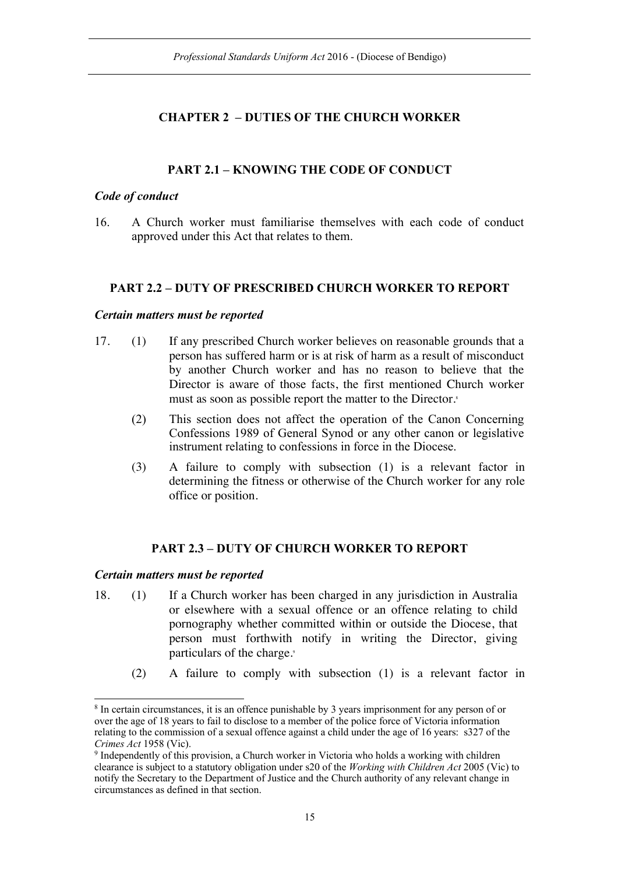## **CHAPTER 2 – DUTIES OF THE CHURCH WORKER**

## **PART 2.1 – KNOWING THE CODE OF CONDUCT**

#### *Code of conduct*

16. A Church worker must familiarise themselves with each code of conduct approved under this Act that relates to them.

#### **PART 2.2 – DUTY OF PRESCRIBED CHURCH WORKER TO REPORT**

#### *Certain matters must be reported*

- 17. (1) If any prescribed Church worker believes on reasonable grounds that a person has suffered harm or is at risk of harm as a result of misconduct by another Church worker and has no reason to believe that the Director is aware of those facts, the first mentioned Church worker must as soon as possible report the matter to the Director.<sup>8</sup>
	- (2) This section does not affect the operation of the Canon Concerning Confessions 1989 of General Synod or any other canon or legislative instrument relating to confessions in force in the Diocese.
	- (3) A failure to comply with subsection (1) is a relevant factor in determining the fitness or otherwise of the Church worker for any role office or position.

### **PART 2.3 – DUTY OF CHURCH WORKER TO REPORT**

### *Certain matters must be reported*

- 18. (1) If a Church worker has been charged in any jurisdiction in Australia or elsewhere with a sexual offence or an offence relating to child pornography whether committed within or outside the Diocese, that person must forthwith notify in writing the Director, giving particulars of the charge.<sup>9</sup>
	- (2) A failure to comply with subsection (1) is a relevant factor in

<sup>&</sup>lt;sup>8</sup> In certain circumstances, it is an offence punishable by 3 years imprisonment for any person of or over the age of 18 years to fail to disclose to a member of the police force of Victoria information relating to the commission of a sexual offence against a child under the age of 16 years: s327 of the *Crimes Act* 1958 (Vic).

<sup>9</sup> Independently of this provision, a Church worker in Victoria who holds a working with children clearance is subject to a statutory obligation under s20 of the *Working with Children Act* 2005 (Vic) to notify the Secretary to the Department of Justice and the Church authority of any relevant change in circumstances as defined in that section.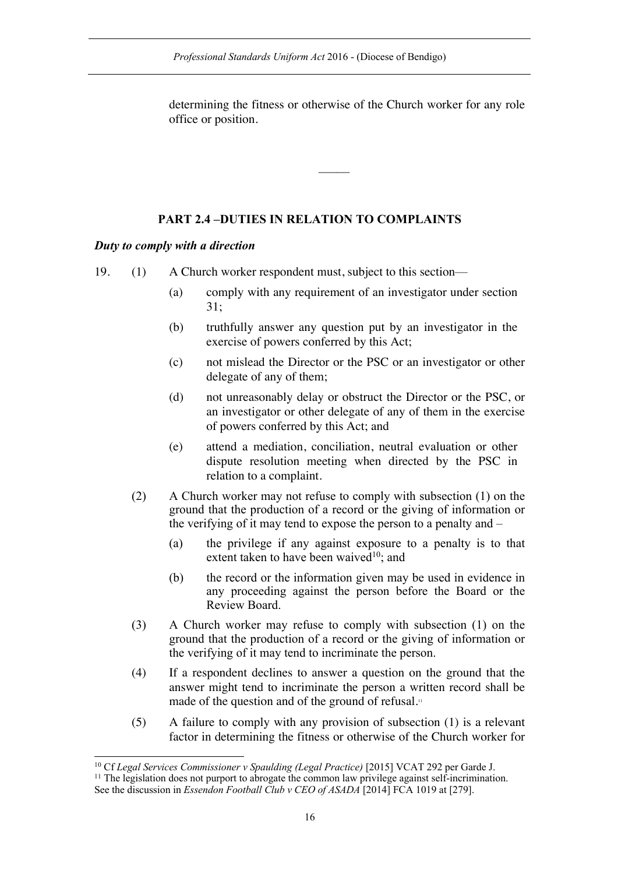determining the fitness or otherwise of the Church worker for any role office or position.

 $\mathcal{L}$ 

## **PART 2.4 –DUTIES IN RELATION TO COMPLAINTS**

### *Duty to comply with a direction*

19. (1) A Church worker respondent must, subject to this section—

- (a) comply with any requirement of an investigator under section 31;
- (b) truthfully answer any question put by an investigator in the exercise of powers conferred by this Act;
- (c) not mislead the Director or the PSC or an investigator or other delegate of any of them;
- (d) not unreasonably delay or obstruct the Director or the PSC, or an investigator or other delegate of any of them in the exercise of powers conferred by this Act; and
- (e) attend a mediation, conciliation, neutral evaluation or other dispute resolution meeting when directed by the PSC in relation to a complaint.
- (2) A Church worker may not refuse to comply with subsection (1) on the ground that the production of a record or the giving of information or the verifying of it may tend to expose the person to a penalty and –
	- (a) the privilege if any against exposure to a penalty is to that extent taken to have been waived $10$ ; and
	- (b) the record or the information given may be used in evidence in any proceeding against the person before the Board or the Review Board.
- (3) A Church worker may refuse to comply with subsection (1) on the ground that the production of a record or the giving of information or the verifying of it may tend to incriminate the person.
- (4) If a respondent declines to answer a question on the ground that the answer might tend to incriminate the person a written record shall be made of the question and of the ground of refusal.<sup>11</sup>
- (5) A failure to comply with any provision of subsection (1) is a relevant factor in determining the fitness or otherwise of the Church worker for

 <sup>10</sup> Cf *Legal Services Commissioner v Spaulding (Legal Practice)* [2015] VCAT 292 per Garde J.

 $11$  The legislation does not purport to abrogate the common law privilege against self-incrimination. See the discussion in *Essendon Football Club v CEO of ASADA* [2014] FCA 1019 at [279].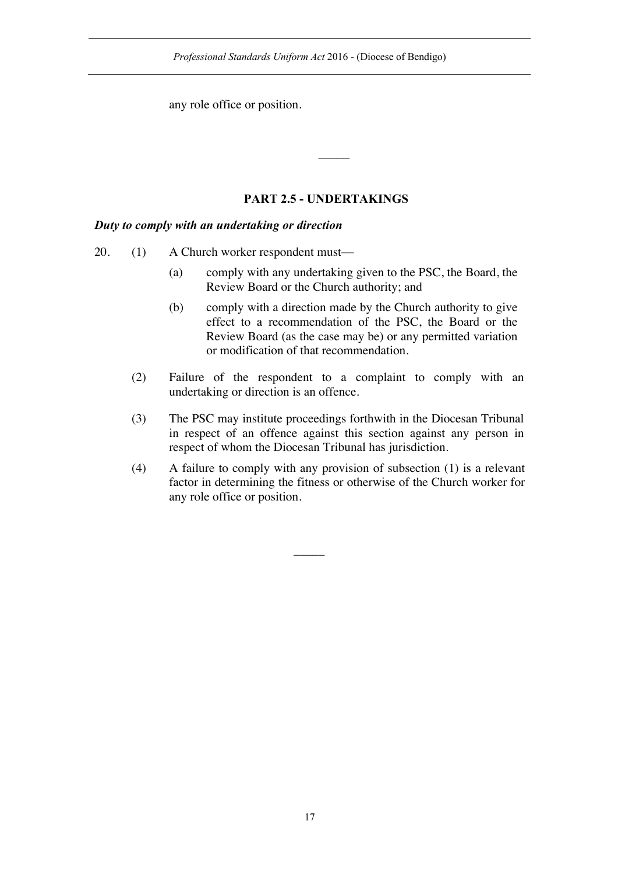any role office or position.

## **PART 2.5 - UNDERTAKINGS**

### *Duty to comply with an undertaking or direction*

- 20. (1) A Church worker respondent must—
	- (a) comply with any undertaking given to the PSC, the Board, the Review Board or the Church authority; and
	- (b) comply with a direction made by the Church authority to give effect to a recommendation of the PSC, the Board or the Review Board (as the case may be) or any permitted variation or modification of that recommendation.
	- (2) Failure of the respondent to a complaint to comply with an undertaking or direction is an offence.
	- (3) The PSC may institute proceedings forthwith in the Diocesan Tribunal in respect of an offence against this section against any person in respect of whom the Diocesan Tribunal has jurisdiction.
	- (4) A failure to comply with any provision of subsection (1) is a relevant factor in determining the fitness or otherwise of the Church worker for any role office or position.

 $\overline{\phantom{a}}$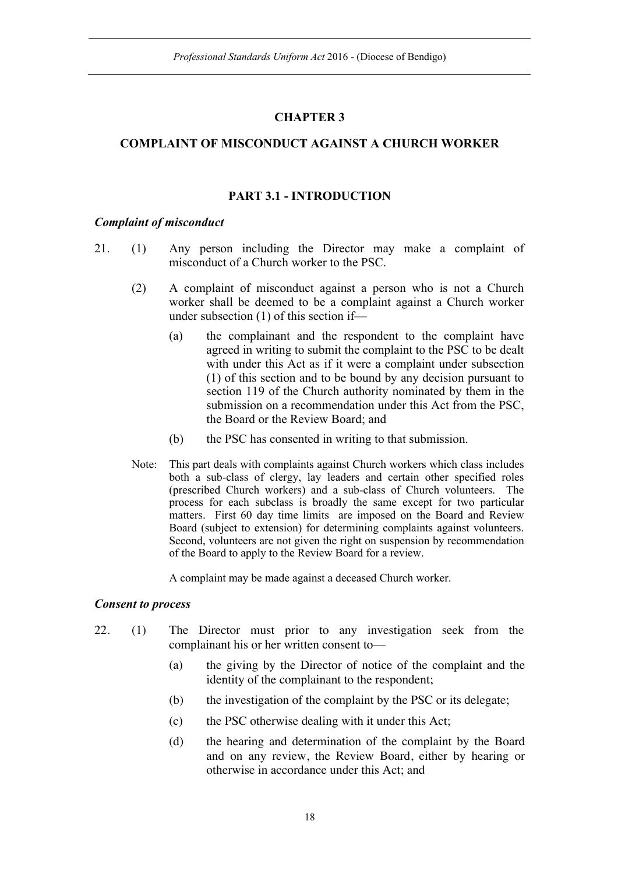### **CHAPTER 3**

### **COMPLAINT OF MISCONDUCT AGAINST A CHURCH WORKER**

#### **PART 3.1 - INTRODUCTION**

#### *Complaint of misconduct*

- 21. (1) Any person including the Director may make a complaint of misconduct of a Church worker to the PSC.
	- (2) A complaint of misconduct against a person who is not a Church worker shall be deemed to be a complaint against a Church worker under subsection (1) of this section if—
		- (a) the complainant and the respondent to the complaint have agreed in writing to submit the complaint to the PSC to be dealt with under this Act as if it were a complaint under subsection (1) of this section and to be bound by any decision pursuant to section 119 of the Church authority nominated by them in the submission on a recommendation under this Act from the PSC, the Board or the Review Board; and
		- (b) the PSC has consented in writing to that submission.
	- Note: This part deals with complaints against Church workers which class includes both a sub-class of clergy, lay leaders and certain other specified roles (prescribed Church workers) and a sub-class of Church volunteers. The process for each subclass is broadly the same except for two particular matters. First 60 day time limits are imposed on the Board and Review Board (subject to extension) for determining complaints against volunteers. Second, volunteers are not given the right on suspension by recommendation of the Board to apply to the Review Board for a review.

A complaint may be made against a deceased Church worker.

#### *Consent to process*

- 22. (1) The Director must prior to any investigation seek from the complainant his or her written consent to—
	- (a) the giving by the Director of notice of the complaint and the identity of the complainant to the respondent;
	- (b) the investigation of the complaint by the PSC or its delegate;
	- (c) the PSC otherwise dealing with it under this Act;
	- (d) the hearing and determination of the complaint by the Board and on any review, the Review Board, either by hearing or otherwise in accordance under this Act; and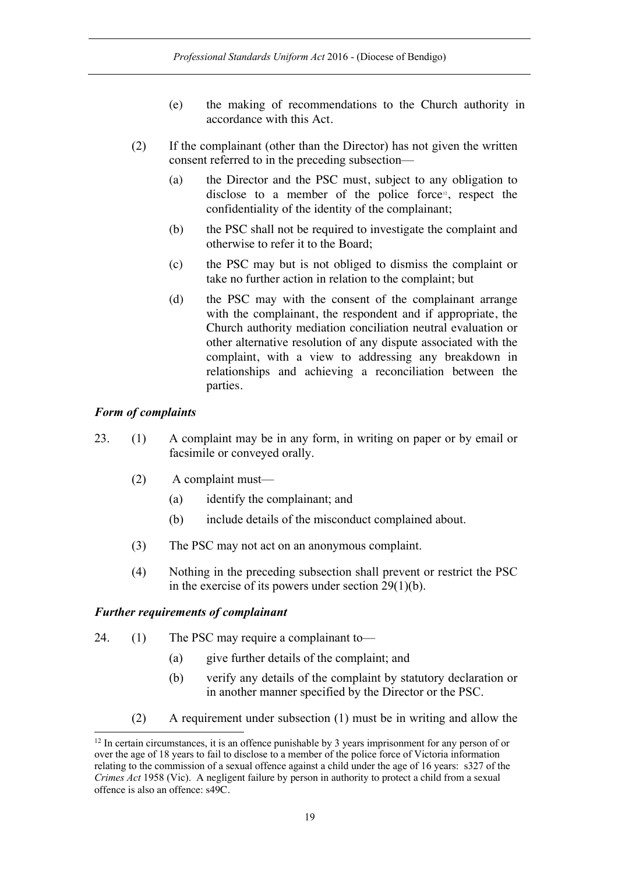- (e) the making of recommendations to the Church authority in accordance with this Act.
- (2) If the complainant (other than the Director) has not given the written consent referred to in the preceding subsection—
	- (a) the Director and the PSC must, subject to any obligation to disclose to a member of the police force<sup>12</sup>, respect the confidentiality of the identity of the complainant;
	- (b) the PSC shall not be required to investigate the complaint and otherwise to refer it to the Board;
	- (c) the PSC may but is not obliged to dismiss the complaint or take no further action in relation to the complaint; but
	- (d) the PSC may with the consent of the complainant arrange with the complainant, the respondent and if appropriate, the Church authority mediation conciliation neutral evaluation or other alternative resolution of any dispute associated with the complaint, with a view to addressing any breakdown in relationships and achieving a reconciliation between the parties.

### *Form of complaints*

- 23. (1) A complaint may be in any form, in writing on paper or by email or facsimile or conveyed orally.
	- (2) A complaint must—
		- (a) identify the complainant; and
		- (b) include details of the misconduct complained about.
	- (3) The PSC may not act on an anonymous complaint.
	- (4) Nothing in the preceding subsection shall prevent or restrict the PSC in the exercise of its powers under section 29(1)(b).

### *Further requirements of complainant*

- 24. (1) The PSC may require a complainant to—
	- (a) give further details of the complaint; and
	- (b) verify any details of the complaint by statutory declaration or in another manner specified by the Director or the PSC.
	- (2) A requirement under subsection (1) must be in writing and allow the

<sup>&</sup>lt;sup>12</sup> In certain circumstances, it is an offence punishable by 3 years imprisonment for any person of or over the age of 18 years to fail to disclose to a member of the police force of Victoria information relating to the commission of a sexual offence against a child under the age of 16 years: s327 of the *Crimes Act* 1958 (Vic). A negligent failure by person in authority to protect a child from a sexual offence is also an offence: s49C.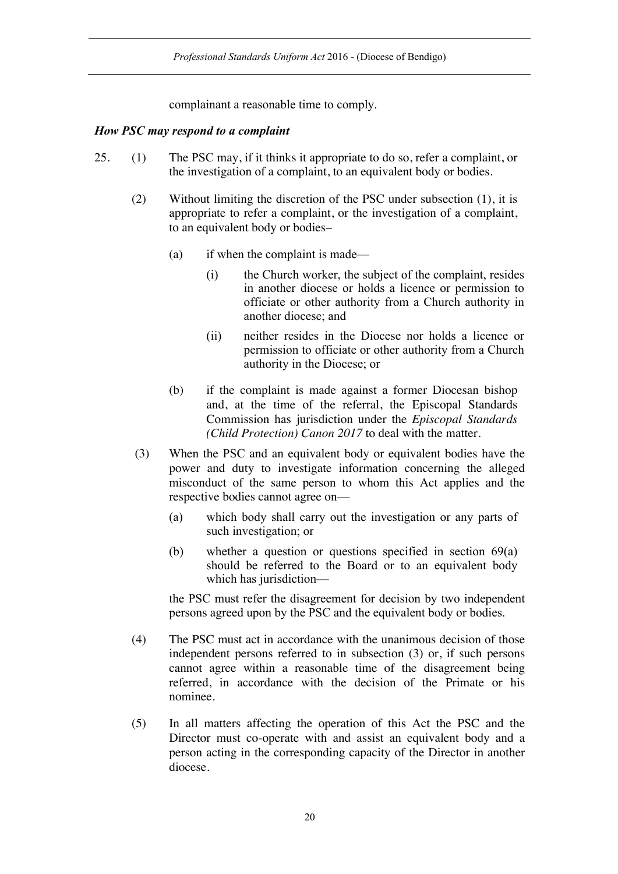*Professional Standards Uniform Act* 2016 - (Diocese of Bendigo)

complainant a reasonable time to comply.

#### *How PSC may respond to a complaint*

- 25. (1) The PSC may, if it thinks it appropriate to do so, refer a complaint, or the investigation of a complaint, to an equivalent body or bodies.
	- (2) Without limiting the discretion of the PSC under subsection (1), it is appropriate to refer a complaint, or the investigation of a complaint, to an equivalent body or bodies–
		- (a) if when the complaint is made—
			- (i) the Church worker, the subject of the complaint, resides in another diocese or holds a licence or permission to officiate or other authority from a Church authority in another diocese; and
			- (ii) neither resides in the Diocese nor holds a licence or permission to officiate or other authority from a Church authority in the Diocese; or
		- (b) if the complaint is made against a former Diocesan bishop and, at the time of the referral, the Episcopal Standards Commission has jurisdiction under the *Episcopal Standards (Child Protection) Canon 2017* to deal with the matter.
	- (3) When the PSC and an equivalent body or equivalent bodies have the power and duty to investigate information concerning the alleged misconduct of the same person to whom this Act applies and the respective bodies cannot agree on—
		- (a) which body shall carry out the investigation or any parts of such investigation; or
		- (b) whether a question or questions specified in section 69(a) should be referred to the Board or to an equivalent body which has jurisdiction—

the PSC must refer the disagreement for decision by two independent persons agreed upon by the PSC and the equivalent body or bodies.

- (4) The PSC must act in accordance with the unanimous decision of those independent persons referred to in subsection (3) or, if such persons cannot agree within a reasonable time of the disagreement being referred, in accordance with the decision of the Primate or his nominee.
- (5) In all matters affecting the operation of this Act the PSC and the Director must co-operate with and assist an equivalent body and a person acting in the corresponding capacity of the Director in another diocese.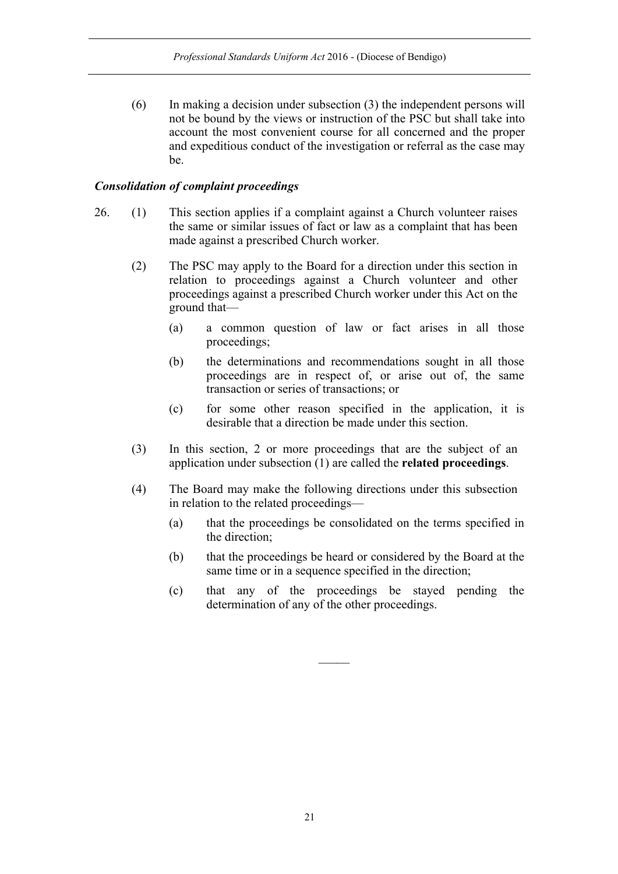(6) In making a decision under subsection (3) the independent persons will not be bound by the views or instruction of the PSC but shall take into account the most convenient course for all concerned and the proper and expeditious conduct of the investigation or referral as the case may be.

#### *Consolidation of complaint proceedings*

- 26. (1) This section applies if a complaint against a Church volunteer raises the same or similar issues of fact or law as a complaint that has been made against a prescribed Church worker.
	- (2) The PSC may apply to the Board for a direction under this section in relation to proceedings against a Church volunteer and other proceedings against a prescribed Church worker under this Act on the ground that—
		- (a) a common question of law or fact arises in all those proceedings;
		- (b) the determinations and recommendations sought in all those proceedings are in respect of, or arise out of, the same transaction or series of transactions; or
		- (c) for some other reason specified in the application, it is desirable that a direction be made under this section.
	- (3) In this section, 2 or more proceedings that are the subject of an application under subsection (1) are called the **related proceedings**.
	- (4) The Board may make the following directions under this subsection in relation to the related proceedings—
		- (a) that the proceedings be consolidated on the terms specified in the direction;
		- (b) that the proceedings be heard or considered by the Board at the same time or in a sequence specified in the direction;
		- (c) that any of the proceedings be stayed pending the determination of any of the other proceedings.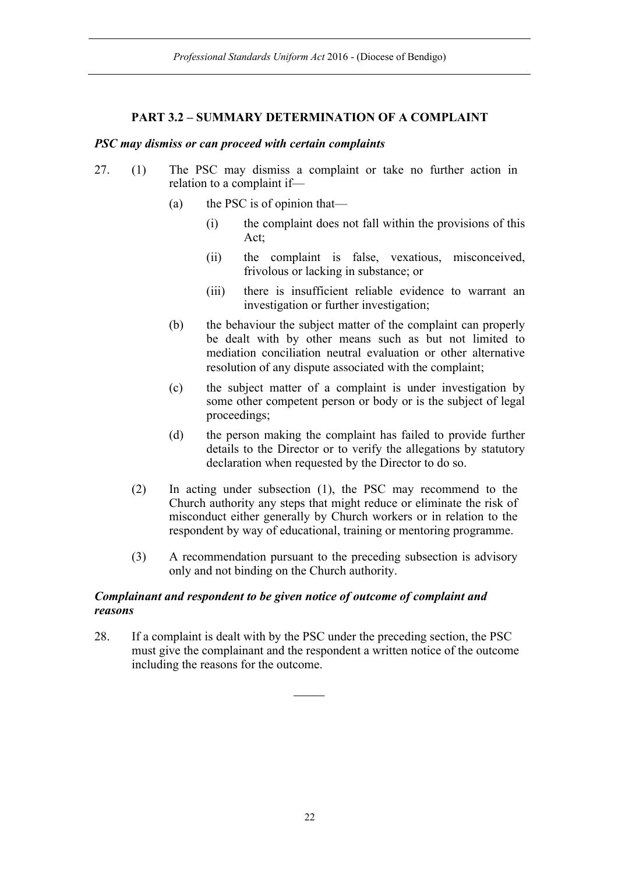## **PART 3.2 – SUMMARY DETERMINATION OF A COMPLAINT**

#### *PSC may dismiss or can proceed with certain complaints*

- 27. (1) The PSC may dismiss a complaint or take no further action in relation to a complaint if—
	- (a) the PSC is of opinion that—
		- (i) the complaint does not fall within the provisions of this Act;
		- (ii) the complaint is false, vexatious, misconceived, frivolous or lacking in substance; or
		- (iii) there is insufficient reliable evidence to warrant an investigation or further investigation;
	- (b) the behaviour the subject matter of the complaint can properly be dealt with by other means such as but not limited to mediation conciliation neutral evaluation or other alternative resolution of any dispute associated with the complaint;
	- (c) the subject matter of a complaint is under investigation by some other competent person or body or is the subject of legal proceedings;
	- (d) the person making the complaint has failed to provide further details to the Director or to verify the allegations by statutory declaration when requested by the Director to do so.
	- (2) In acting under subsection (1), the PSC may recommend to the Church authority any steps that might reduce or eliminate the risk of misconduct either generally by Church workers or in relation to the respondent by way of educational, training or mentoring programme.
	- (3) A recommendation pursuant to the preceding subsection is advisory only and not binding on the Church authority.

### *Complainant and respondent to be given notice of outcome of complaint and reasons*

28. If a complaint is dealt with by the PSC under the preceding section, the PSC must give the complainant and the respondent a written notice of the outcome including the reasons for the outcome.

 $\overline{\phantom{a}}$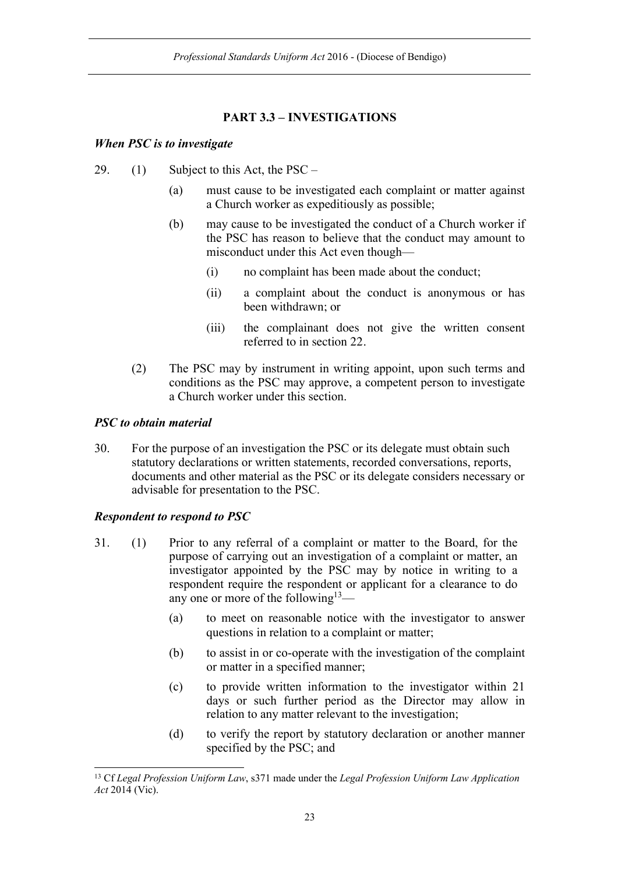## **PART 3.3 – INVESTIGATIONS**

### *When PSC is to investigate*

- 29. (1) Subject to this Act, the  $PSC -$ 
	- (a) must cause to be investigated each complaint or matter against a Church worker as expeditiously as possible;
	- (b) may cause to be investigated the conduct of a Church worker if the PSC has reason to believe that the conduct may amount to misconduct under this Act even though—
		- (i) no complaint has been made about the conduct;
		- (ii) a complaint about the conduct is anonymous or has been withdrawn; or
		- (iii) the complainant does not give the written consent referred to in section 22.
	- (2) The PSC may by instrument in writing appoint, upon such terms and conditions as the PSC may approve, a competent person to investigate a Church worker under this section.

## *PSC to obtain material*

30. For the purpose of an investigation the PSC or its delegate must obtain such statutory declarations or written statements, recorded conversations, reports, documents and other material as the PSC or its delegate considers necessary or advisable for presentation to the PSC.

### *Respondent to respond to PSC*

- 31. (1) Prior to any referral of a complaint or matter to the Board, for the purpose of carrying out an investigation of a complaint or matter, an investigator appointed by the PSC may by notice in writing to a respondent require the respondent or applicant for a clearance to do any one or more of the following<sup>13</sup>—
	- (a) to meet on reasonable notice with the investigator to answer questions in relation to a complaint or matter;
	- (b) to assist in or co-operate with the investigation of the complaint or matter in a specified manner;
	- (c) to provide written information to the investigator within 21 days or such further period as the Director may allow in relation to any matter relevant to the investigation;
	- (d) to verify the report by statutory declaration or another manner specified by the PSC; and

 <sup>13</sup> Cf *Legal Profession Uniform Law*, s371 made under the *Legal Profession Uniform Law Application Act* 2014 (Vic).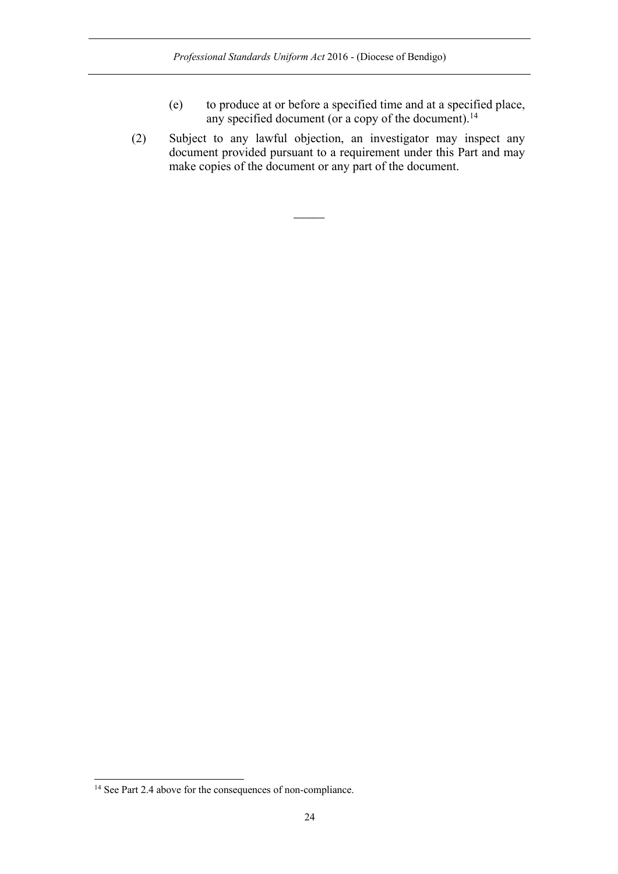- (e) to produce at or before a specified time and at a specified place, any specified document (or a copy of the document). $^{14}$
- (2) Subject to any lawful objection, an investigator may inspect any document provided pursuant to a requirement under this Part and may make copies of the document or any part of the document.

 $\overline{\phantom{a}}$ 

<sup>&</sup>lt;sup>14</sup> See Part 2.4 above for the consequences of non-compliance.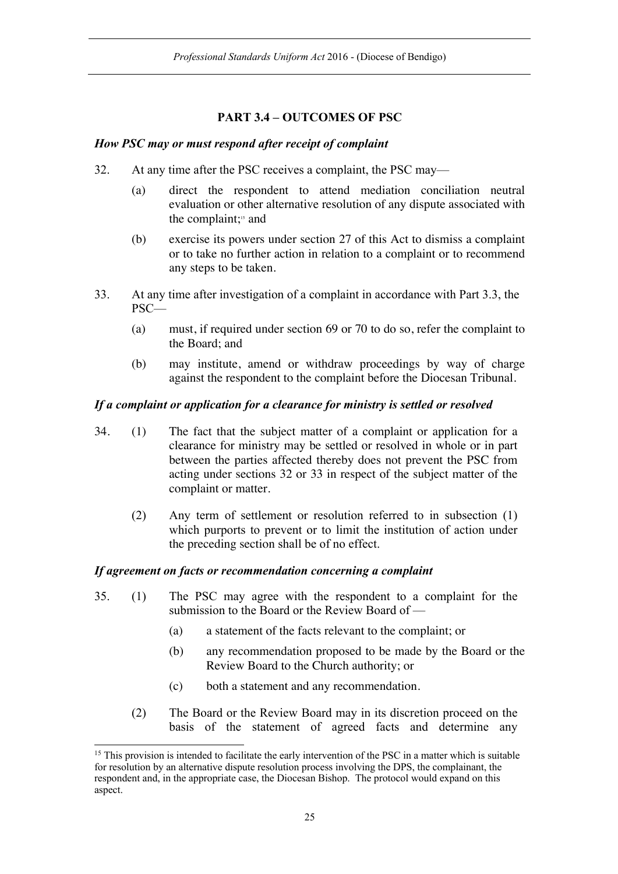## **PART 3.4 – OUTCOMES OF PSC**

### *How PSC may or must respond after receipt of complaint*

- 32. At any time after the PSC receives a complaint, the PSC may—
	- (a) direct the respondent to attend mediation conciliation neutral evaluation or other alternative resolution of any dispute associated with the complaint;<sup>15</sup> and
	- (b) exercise its powers under section 27 of this Act to dismiss a complaint or to take no further action in relation to a complaint or to recommend any steps to be taken.
- 33. At any time after investigation of a complaint in accordance with Part 3.3, the PSC—
	- (a) must, if required under section 69 or 70 to do so, refer the complaint to the Board; and
	- (b) may institute, amend or withdraw proceedings by way of charge against the respondent to the complaint before the Diocesan Tribunal.

### *If a complaint or application for a clearance for ministry is settled or resolved*

- 34. (1) The fact that the subject matter of a complaint or application for a clearance for ministry may be settled or resolved in whole or in part between the parties affected thereby does not prevent the PSC from acting under sections 32 or 33 in respect of the subject matter of the complaint or matter.
	- (2) Any term of settlement or resolution referred to in subsection (1) which purports to prevent or to limit the institution of action under the preceding section shall be of no effect.

### *If agreement on facts or recommendation concerning a complaint*

- 35. (1) The PSC may agree with the respondent to a complaint for the submission to the Board or the Review Board of —
	- (a) a statement of the facts relevant to the complaint; or
	- (b) any recommendation proposed to be made by the Board or the Review Board to the Church authority; or
	- (c) both a statement and any recommendation.
	- (2) The Board or the Review Board may in its discretion proceed on the basis of the statement of agreed facts and determine any

<sup>&</sup>lt;sup>15</sup> This provision is intended to facilitate the early intervention of the PSC in a matter which is suitable for resolution by an alternative dispute resolution process involving the DPS, the complainant, the respondent and, in the appropriate case, the Diocesan Bishop. The protocol would expand on this aspect.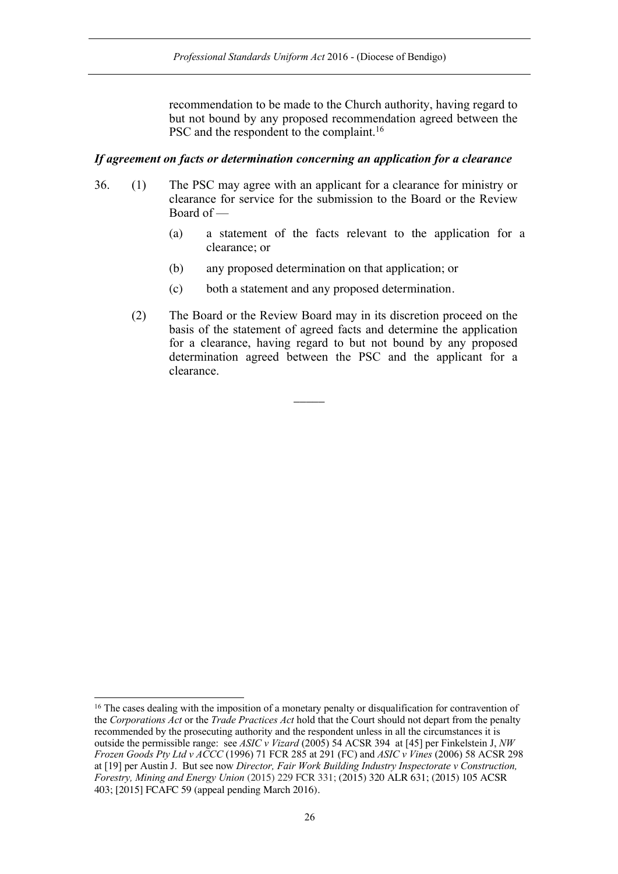recommendation to be made to the Church authority, having regard to but not bound by any proposed recommendation agreed between the PSC and the respondent to the complaint.<sup>16</sup>

#### *If agreement on facts or determination concerning an application for a clearance*

- 36. (1) The PSC may agree with an applicant for a clearance for ministry or clearance for service for the submission to the Board or the Review Board of —
	- (a) a statement of the facts relevant to the application for a clearance; or
	- (b) any proposed determination on that application; or
	- (c) both a statement and any proposed determination.

 $\overline{\phantom{a}}$ 

(2) The Board or the Review Board may in its discretion proceed on the basis of the statement of agreed facts and determine the application for a clearance, having regard to but not bound by any proposed determination agreed between the PSC and the applicant for a clearance.

<sup>&</sup>lt;sup>16</sup> The cases dealing with the imposition of a monetary penalty or disqualification for contravention of the *Corporations Act* or the *Trade Practices Act* hold that the Court should not depart from the penalty recommended by the prosecuting authority and the respondent unless in all the circumstances it is outside the permissible range: see *ASIC v Vizard* (2005) 54 ACSR 394 at [45] per Finkelstein J, *NW Frozen Goods Pty Ltd v ACCC* (1996) 71 FCR 285 at 291 (FC) and *ASIC v Vines* (2006) 58 ACSR 298 at [19] per Austin J. But see now *Director, Fair Work Building Industry Inspectorate v Construction, Forestry, Mining and Energy Union* (2015) 229 FCR 331; (2015) 320 ALR 631; (2015) 105 ACSR 403; [2015] FCAFC 59 (appeal pending March 2016).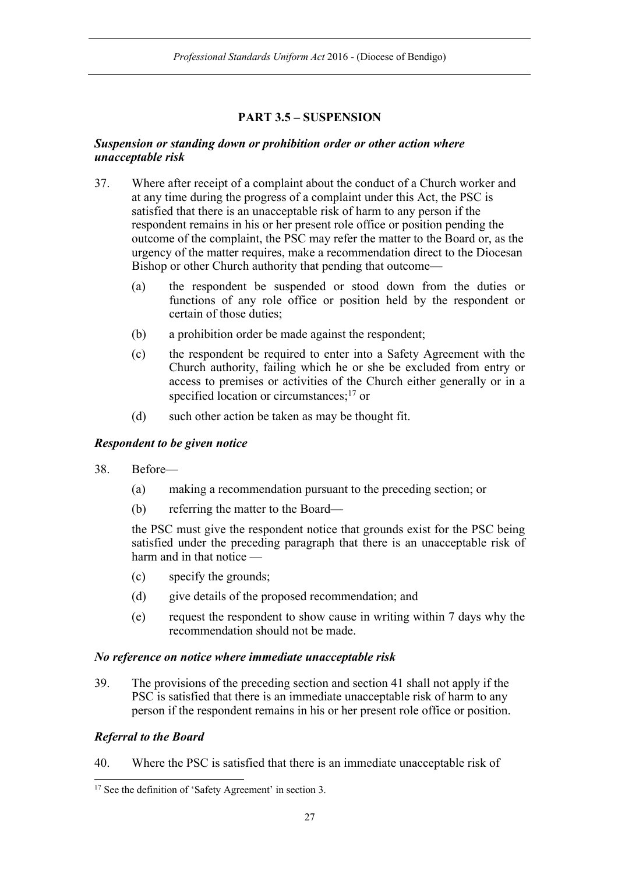## **PART 3.5 – SUSPENSION**

#### *Suspension or standing down or prohibition order or other action where unacceptable risk*

- 37. Where after receipt of a complaint about the conduct of a Church worker and at any time during the progress of a complaint under this Act, the PSC is satisfied that there is an unacceptable risk of harm to any person if the respondent remains in his or her present role office or position pending the outcome of the complaint, the PSC may refer the matter to the Board or, as the urgency of the matter requires, make a recommendation direct to the Diocesan Bishop or other Church authority that pending that outcome—
	- (a) the respondent be suspended or stood down from the duties or functions of any role office or position held by the respondent or certain of those duties;
	- (b) a prohibition order be made against the respondent;
	- (c) the respondent be required to enter into a Safety Agreement with the Church authority, failing which he or she be excluded from entry or access to premises or activities of the Church either generally or in a specified location or circumstances;<sup>17</sup> or
	- (d) such other action be taken as may be thought fit.

### *Respondent to be given notice*

- 38. Before—
	- (a) making a recommendation pursuant to the preceding section; or
	- (b) referring the matter to the Board—

the PSC must give the respondent notice that grounds exist for the PSC being satisfied under the preceding paragraph that there is an unacceptable risk of harm and in that notice —

- (c) specify the grounds;
- (d) give details of the proposed recommendation; and
- (e) request the respondent to show cause in writing within 7 days why the recommendation should not be made.

### *No reference on notice where immediate unacceptable risk*

39. The provisions of the preceding section and section 41 shall not apply if the PSC is satisfied that there is an immediate unacceptable risk of harm to any person if the respondent remains in his or her present role office or position.

### *Referral to the Board*

40. Where the PSC is satisfied that there is an immediate unacceptable risk of

<sup>&</sup>lt;sup>17</sup> See the definition of 'Safety Agreement' in section 3.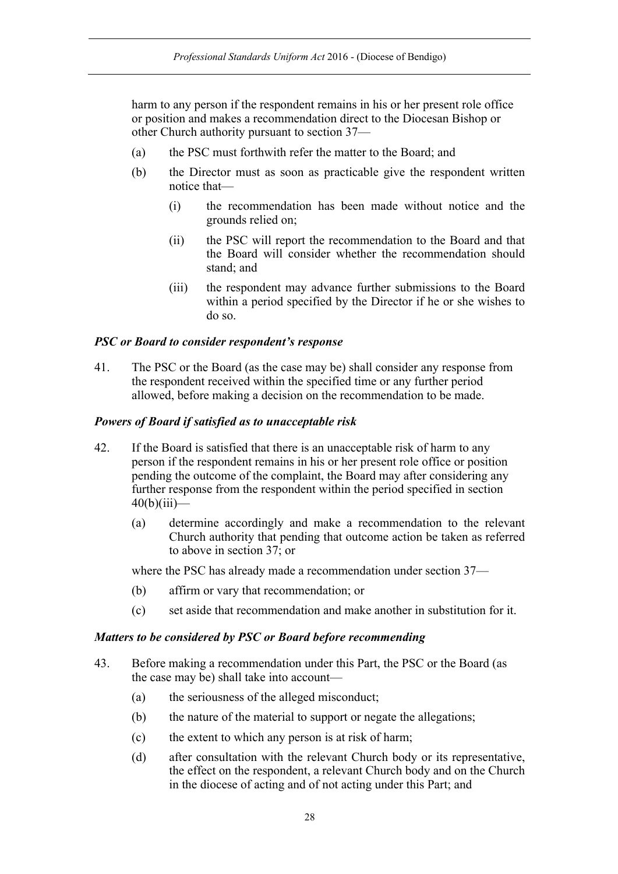harm to any person if the respondent remains in his or her present role office or position and makes a recommendation direct to the Diocesan Bishop or other Church authority pursuant to section 37—

- (a) the PSC must forthwith refer the matter to the Board; and
- (b) the Director must as soon as practicable give the respondent written notice that—
	- (i) the recommendation has been made without notice and the grounds relied on;
	- (ii) the PSC will report the recommendation to the Board and that the Board will consider whether the recommendation should stand; and
	- (iii) the respondent may advance further submissions to the Board within a period specified by the Director if he or she wishes to do so.

### *PSC or Board to consider respondent's response*

41. The PSC or the Board (as the case may be) shall consider any response from the respondent received within the specified time or any further period allowed, before making a decision on the recommendation to be made.

#### *Powers of Board if satisfied as to unacceptable risk*

- 42. If the Board is satisfied that there is an unacceptable risk of harm to any person if the respondent remains in his or her present role office or position pending the outcome of the complaint, the Board may after considering any further response from the respondent within the period specified in section  $40(b)(iii)$ —
	- (a) determine accordingly and make a recommendation to the relevant Church authority that pending that outcome action be taken as referred to above in section 37; or

where the PSC has already made a recommendation under section 37—

- (b) affirm or vary that recommendation; or
- (c) set aside that recommendation and make another in substitution for it.

#### *Matters to be considered by PSC or Board before recommending*

- 43. Before making a recommendation under this Part, the PSC or the Board (as the case may be) shall take into account—
	- (a) the seriousness of the alleged misconduct;
	- (b) the nature of the material to support or negate the allegations;
	- (c) the extent to which any person is at risk of harm;
	- (d) after consultation with the relevant Church body or its representative, the effect on the respondent, a relevant Church body and on the Church in the diocese of acting and of not acting under this Part; and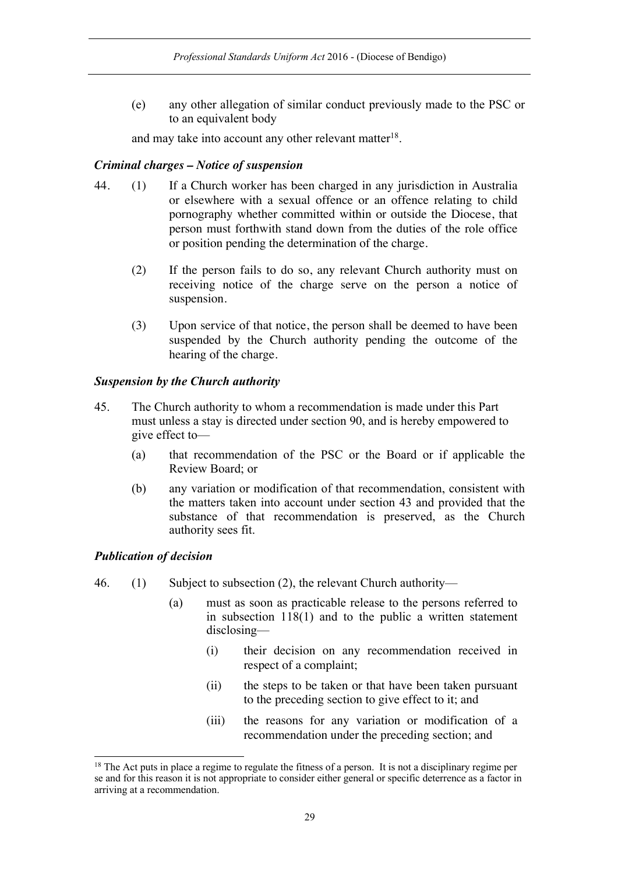(e) any other allegation of similar conduct previously made to the PSC or to an equivalent body

and may take into account any other relevant matter<sup>18</sup>.

## *Criminal charges – Notice of suspension*

- 44. (1) If a Church worker has been charged in any jurisdiction in Australia or elsewhere with a sexual offence or an offence relating to child pornography whether committed within or outside the Diocese, that person must forthwith stand down from the duties of the role office or position pending the determination of the charge.
	- (2) If the person fails to do so, any relevant Church authority must on receiving notice of the charge serve on the person a notice of suspension.
	- (3) Upon service of that notice, the person shall be deemed to have been suspended by the Church authority pending the outcome of the hearing of the charge.

## *Suspension by the Church authority*

- 45. The Church authority to whom a recommendation is made under this Part must unless a stay is directed under section 90, and is hereby empowered to give effect to—
	- (a) that recommendation of the PSC or the Board or if applicable the Review Board; or
	- (b) any variation or modification of that recommendation, consistent with the matters taken into account under section 43 and provided that the substance of that recommendation is preserved, as the Church authority sees fit.

### *Publication of decision*

- 46. (1) Subject to subsection (2), the relevant Church authority—
	- (a) must as soon as practicable release to the persons referred to in subsection 118(1) and to the public a written statement disclosing—
		- (i) their decision on any recommendation received in respect of a complaint;
		- (ii) the steps to be taken or that have been taken pursuant to the preceding section to give effect to it; and
		- (iii) the reasons for any variation or modification of a recommendation under the preceding section; and

 $18$  The Act puts in place a regime to regulate the fitness of a person. It is not a disciplinary regime per se and for this reason it is not appropriate to consider either general or specific deterrence as a factor in arriving at a recommendation.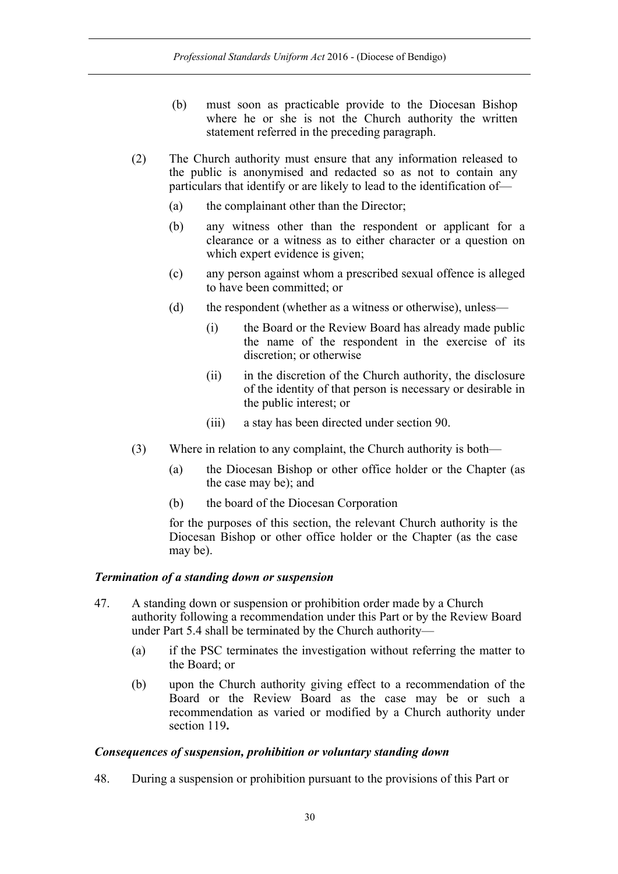- (b) must soon as practicable provide to the Diocesan Bishop where he or she is not the Church authority the written statement referred in the preceding paragraph.
- (2) The Church authority must ensure that any information released to the public is anonymised and redacted so as not to contain any particulars that identify or are likely to lead to the identification of—
	- (a) the complainant other than the Director;
	- (b) any witness other than the respondent or applicant for a clearance or a witness as to either character or a question on which expert evidence is given;
	- (c) any person against whom a prescribed sexual offence is alleged to have been committed; or
	- (d) the respondent (whether as a witness or otherwise), unless—
		- (i) the Board or the Review Board has already made public the name of the respondent in the exercise of its discretion; or otherwise
		- (ii) in the discretion of the Church authority, the disclosure of the identity of that person is necessary or desirable in the public interest; or
		- (iii) a stay has been directed under section 90.
- (3) Where in relation to any complaint, the Church authority is both—
	- (a) the Diocesan Bishop or other office holder or the Chapter (as the case may be); and
	- (b) the board of the Diocesan Corporation

for the purposes of this section, the relevant Church authority is the Diocesan Bishop or other office holder or the Chapter (as the case may be).

#### *Termination of a standing down or suspension*

- 47. A standing down or suspension or prohibition order made by a Church authority following a recommendation under this Part or by the Review Board under Part 5.4 shall be terminated by the Church authority—
	- (a) if the PSC terminates the investigation without referring the matter to the Board; or
	- (b) upon the Church authority giving effect to a recommendation of the Board or the Review Board as the case may be or such a recommendation as varied or modified by a Church authority under section 119**.**

#### *Consequences of suspension, prohibition or voluntary standing down*

48. During a suspension or prohibition pursuant to the provisions of this Part or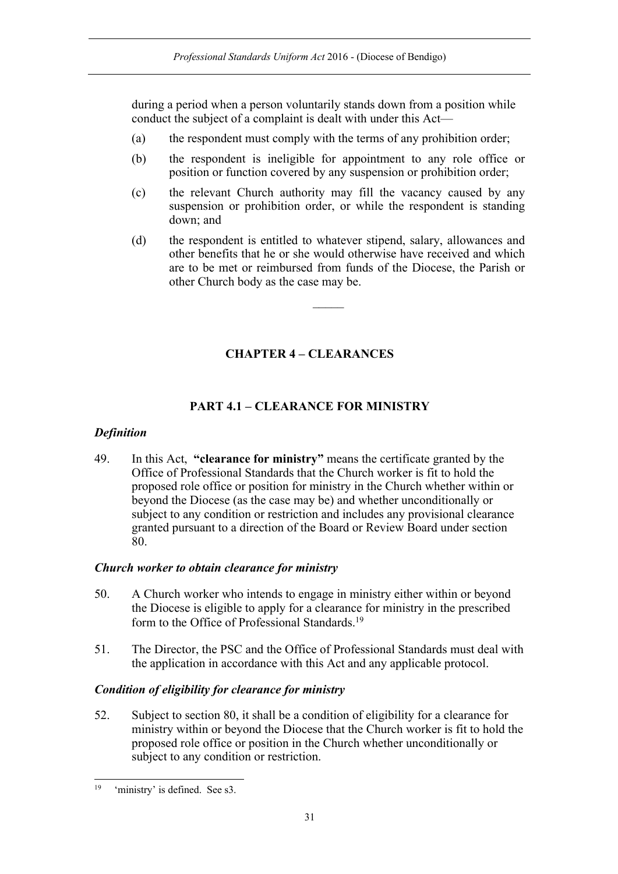during a period when a person voluntarily stands down from a position while conduct the subject of a complaint is dealt with under this Act—

- (a) the respondent must comply with the terms of any prohibition order;
- (b) the respondent is ineligible for appointment to any role office or position or function covered by any suspension or prohibition order;
- (c) the relevant Church authority may fill the vacancy caused by any suspension or prohibition order, or while the respondent is standing down; and
- (d) the respondent is entitled to whatever stipend, salary, allowances and other benefits that he or she would otherwise have received and which are to be met or reimbursed from funds of the Diocese, the Parish or other Church body as the case may be.

 $\mathcal{L}$ 

## **CHAPTER 4 – CLEARANCES**

## **PART 4.1 – CLEARANCE FOR MINISTRY**

### *Definition*

49. In this Act, **"clearance for ministry"** means the certificate granted by the Office of Professional Standards that the Church worker is fit to hold the proposed role office or position for ministry in the Church whether within or beyond the Diocese (as the case may be) and whether unconditionally or subject to any condition or restriction and includes any provisional clearance granted pursuant to a direction of the Board or Review Board under section 80.

### *Church worker to obtain clearance for ministry*

- 50. A Church worker who intends to engage in ministry either within or beyond the Diocese is eligible to apply for a clearance for ministry in the prescribed form to the Office of Professional Standards.19
- 51. The Director, the PSC and the Office of Professional Standards must deal with the application in accordance with this Act and any applicable protocol.

### *Condition of eligibility for clearance for ministry*

52. Subject to section 80, it shall be a condition of eligibility for a clearance for ministry within or beyond the Diocese that the Church worker is fit to hold the proposed role office or position in the Church whether unconditionally or subject to any condition or restriction.

 <sup>19 &#</sup>x27;ministry' is defined. See s3.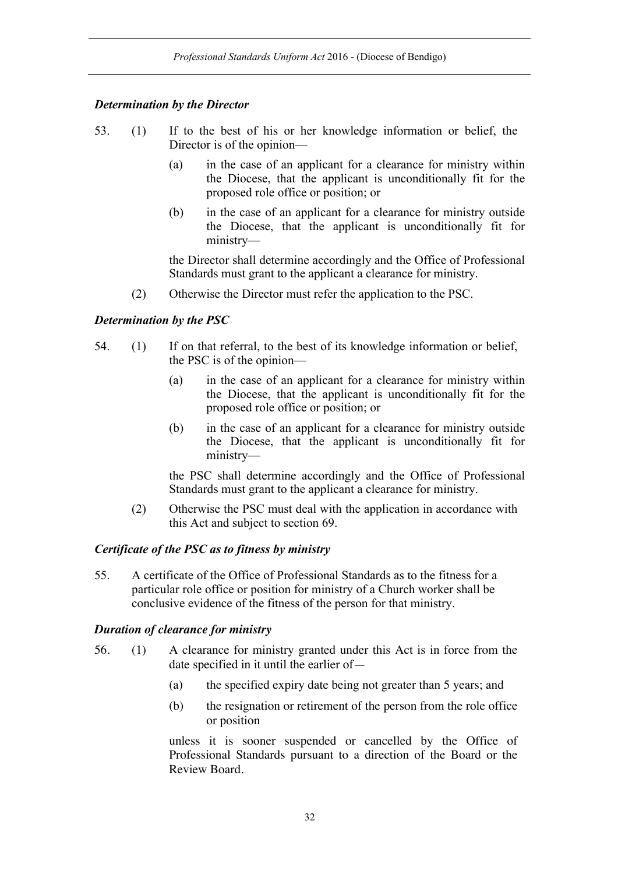### *Determination by the Director*

- 53. (1) If to the best of his or her knowledge information or belief, the Director is of the opinion—
	- (a) in the case of an applicant for a clearance for ministry within the Diocese, that the applicant is unconditionally fit for the proposed role office or position; or
	- (b) in the case of an applicant for a clearance for ministry outside the Diocese, that the applicant is unconditionally fit for ministry—

the Director shall determine accordingly and the Office of Professional Standards must grant to the applicant a clearance for ministry.

(2) Otherwise the Director must refer the application to the PSC.

### *Determination by the PSC*

- 54. (1) If on that referral, to the best of its knowledge information or belief, the PSC is of the opinion—
	- (a) in the case of an applicant for a clearance for ministry within the Diocese, that the applicant is unconditionally fit for the proposed role office or position; or
	- (b) in the case of an applicant for a clearance for ministry outside the Diocese, that the applicant is unconditionally fit for ministry—

the PSC shall determine accordingly and the Office of Professional Standards must grant to the applicant a clearance for ministry.

(2) Otherwise the PSC must deal with the application in accordance with this Act and subject to section 69.

#### *Certificate of the PSC as to fitness by ministry*

55. A certificate of the Office of Professional Standards as to the fitness for a particular role office or position for ministry of a Church worker shall be conclusive evidence of the fitness of the person for that ministry.

#### *Duration of clearance for ministry*

- 56. (1) A clearance for ministry granted under this Act is in force from the date specified in it until the earlier of—
	- (a) the specified expiry date being not greater than 5 years; and
	- (b) the resignation or retirement of the person from the role office or position

unless it is sooner suspended or cancelled by the Office of Professional Standards pursuant to a direction of the Board or the Review Board.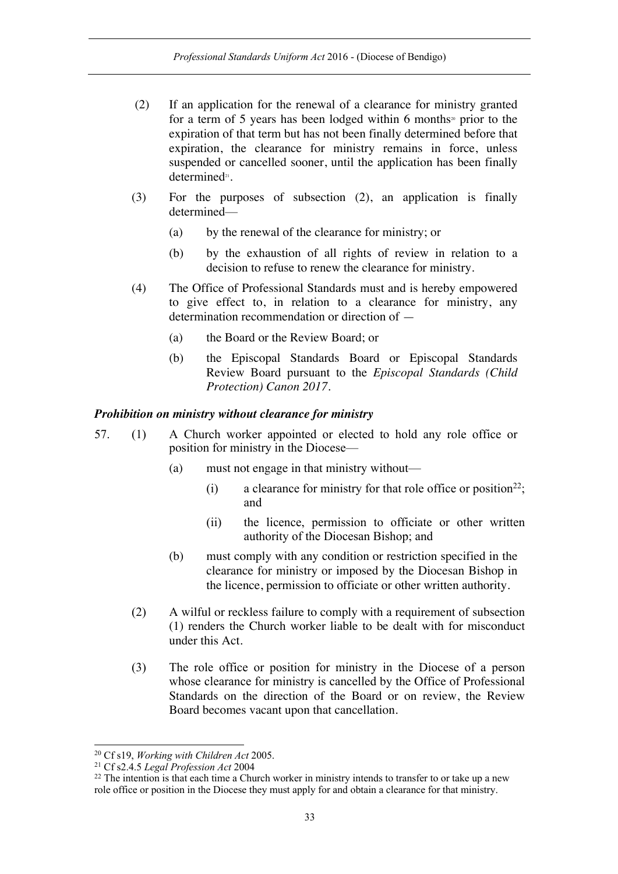- (2) If an application for the renewal of a clearance for ministry granted for a term of 5 years has been lodged within 6 months<sup>20</sup> prior to the expiration of that term but has not been finally determined before that expiration, the clearance for ministry remains in force, unless suspended or cancelled sooner, until the application has been finally determined<sup>21</sup>.
- (3) For the purposes of subsection (2), an application is finally determined—
	- (a) by the renewal of the clearance for ministry; or
	- (b) by the exhaustion of all rights of review in relation to a decision to refuse to renew the clearance for ministry.
- (4) The Office of Professional Standards must and is hereby empowered to give effect to, in relation to a clearance for ministry, any determination recommendation or direction of —
	- (a) the Board or the Review Board; or
	- (b) the Episcopal Standards Board or Episcopal Standards Review Board pursuant to the *Episcopal Standards (Child Protection) Canon 2017*.

#### *Prohibition on ministry without clearance for ministry*

- 57. (1) A Church worker appointed or elected to hold any role office or position for ministry in the Diocese—
	- (a) must not engage in that ministry without—
		- (i) a clearance for ministry for that role office or position<sup>22</sup>; and
		- (ii) the licence, permission to officiate or other written authority of the Diocesan Bishop; and
	- (b) must comply with any condition or restriction specified in the clearance for ministry or imposed by the Diocesan Bishop in the licence, permission to officiate or other written authority.
	- (2) A wilful or reckless failure to comply with a requirement of subsection (1) renders the Church worker liable to be dealt with for misconduct under this Act.
	- (3) The role office or position for ministry in the Diocese of a person whose clearance for ministry is cancelled by the Office of Professional Standards on the direction of the Board or on review, the Review Board becomes vacant upon that cancellation.

 <sup>20</sup> Cf s19, *Working with Children Act* 2005.

<sup>21</sup> Cf s2.4.5 *Legal Profession Act* 2004

<sup>&</sup>lt;sup>22</sup> The intention is that each time a Church worker in ministry intends to transfer to or take up a new role office or position in the Diocese they must apply for and obtain a clearance for that ministry.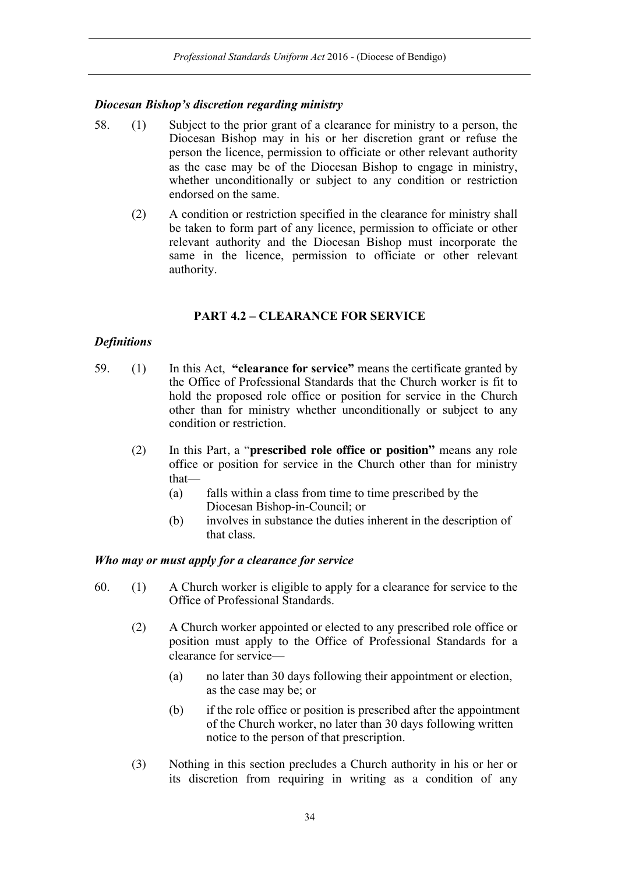## *Diocesan Bishop's discretion regarding ministry*

- 58. (1) Subject to the prior grant of a clearance for ministry to a person, the Diocesan Bishop may in his or her discretion grant or refuse the person the licence, permission to officiate or other relevant authority as the case may be of the Diocesan Bishop to engage in ministry, whether unconditionally or subject to any condition or restriction endorsed on the same.
	- (2) A condition or restriction specified in the clearance for ministry shall be taken to form part of any licence, permission to officiate or other relevant authority and the Diocesan Bishop must incorporate the same in the licence, permission to officiate or other relevant authority.

## **PART 4.2 – CLEARANCE FOR SERVICE**

## *Definitions*

- 59. (1) In this Act, **"clearance for service"** means the certificate granted by the Office of Professional Standards that the Church worker is fit to hold the proposed role office or position for service in the Church other than for ministry whether unconditionally or subject to any condition or restriction.
	- (2) In this Part, a "**prescribed role office or position"** means any role office or position for service in the Church other than for ministry that—
		- (a) falls within a class from time to time prescribed by the Diocesan Bishop-in-Council; or
		- (b) involves in substance the duties inherent in the description of that class.

### *Who may or must apply for a clearance for service*

- 60. (1) A Church worker is eligible to apply for a clearance for service to the Office of Professional Standards.
	- (2) A Church worker appointed or elected to any prescribed role office or position must apply to the Office of Professional Standards for a clearance for service—
		- (a) no later than 30 days following their appointment or election, as the case may be; or
		- (b) if the role office or position is prescribed after the appointment of the Church worker, no later than 30 days following written notice to the person of that prescription.
	- (3) Nothing in this section precludes a Church authority in his or her or its discretion from requiring in writing as a condition of any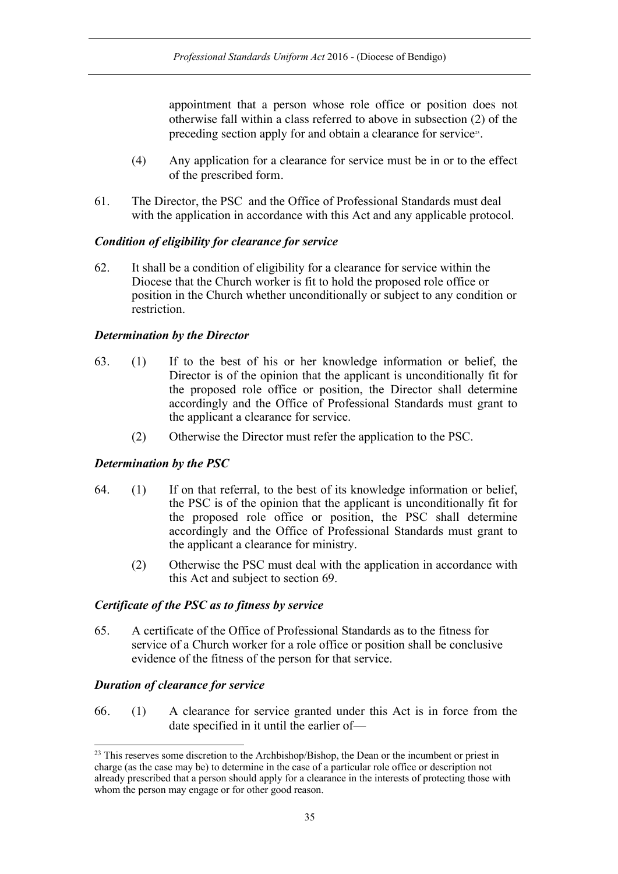appointment that a person whose role office or position does not otherwise fall within a class referred to above in subsection (2) of the preceding section apply for and obtain a clearance for service<sup>23</sup>.

- (4) Any application for a clearance for service must be in or to the effect of the prescribed form.
- 61. The Director, the PSC and the Office of Professional Standards must deal with the application in accordance with this Act and any applicable protocol.

#### *Condition of eligibility for clearance for service*

62. It shall be a condition of eligibility for a clearance for service within the Diocese that the Church worker is fit to hold the proposed role office or position in the Church whether unconditionally or subject to any condition or restriction.

#### *Determination by the Director*

- 63. (1) If to the best of his or her knowledge information or belief, the Director is of the opinion that the applicant is unconditionally fit for the proposed role office or position, the Director shall determine accordingly and the Office of Professional Standards must grant to the applicant a clearance for service.
	- (2) Otherwise the Director must refer the application to the PSC.

### *Determination by the PSC*

- 64. (1) If on that referral, to the best of its knowledge information or belief, the PSC is of the opinion that the applicant is unconditionally fit for the proposed role office or position, the PSC shall determine accordingly and the Office of Professional Standards must grant to the applicant a clearance for ministry.
	- (2) Otherwise the PSC must deal with the application in accordance with this Act and subject to section 69.

#### *Certificate of the PSC as to fitness by service*

65. A certificate of the Office of Professional Standards as to the fitness for service of a Church worker for a role office or position shall be conclusive evidence of the fitness of the person for that service.

### *Duration of clearance for service*

66. (1) A clearance for service granted under this Act is in force from the date specified in it until the earlier of—

<sup>&</sup>lt;sup>23</sup> This reserves some discretion to the Archbishop/Bishop, the Dean or the incumbent or priest in charge (as the case may be) to determine in the case of a particular role office or description not already prescribed that a person should apply for a clearance in the interests of protecting those with whom the person may engage or for other good reason.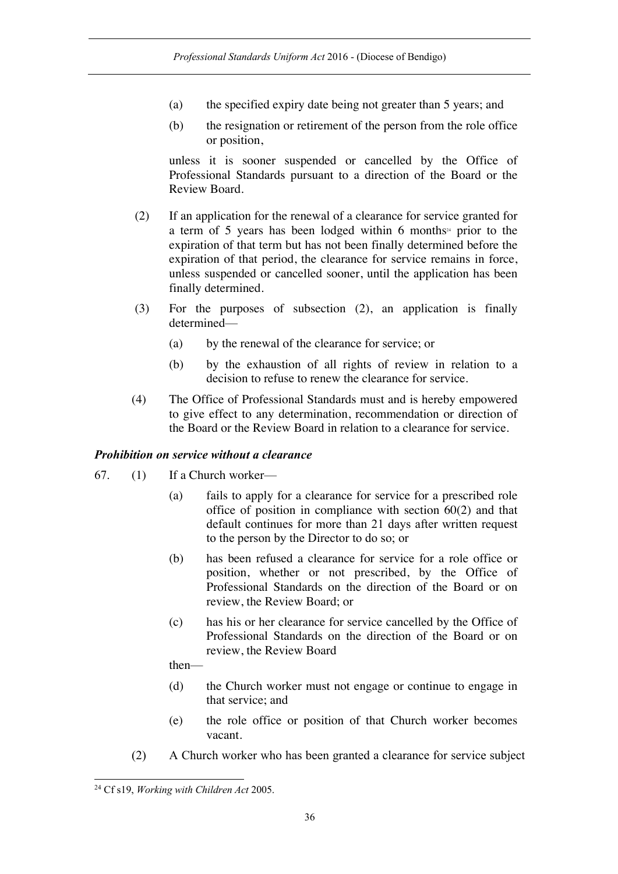- (a) the specified expiry date being not greater than 5 years; and
- (b) the resignation or retirement of the person from the role office or position,

unless it is sooner suspended or cancelled by the Office of Professional Standards pursuant to a direction of the Board or the Review Board.

- (2) If an application for the renewal of a clearance for service granted for a term of 5 years has been lodged within 6 months<sup>24</sup> prior to the expiration of that term but has not been finally determined before the expiration of that period, the clearance for service remains in force, unless suspended or cancelled sooner, until the application has been finally determined.
- (3) For the purposes of subsection (2), an application is finally determined—
	- (a) by the renewal of the clearance for service; or
	- (b) by the exhaustion of all rights of review in relation to a decision to refuse to renew the clearance for service.
- (4) The Office of Professional Standards must and is hereby empowered to give effect to any determination, recommendation or direction of the Board or the Review Board in relation to a clearance for service.

### *Prohibition on service without a clearance*

- 67. (1) If a Church worker—
	- (a) fails to apply for a clearance for service for a prescribed role office of position in compliance with section 60(2) and that default continues for more than 21 days after written request to the person by the Director to do so; or
	- (b) has been refused a clearance for service for a role office or position, whether or not prescribed, by the Office of Professional Standards on the direction of the Board or on review, the Review Board; or
	- (c) has his or her clearance for service cancelled by the Office of Professional Standards on the direction of the Board or on review, the Review Board

then—

- (d) the Church worker must not engage or continue to engage in that service; and
- (e) the role office or position of that Church worker becomes vacant.
- (2) A Church worker who has been granted a clearance for service subject

 <sup>24</sup> Cf s19, *Working with Children Act* 2005.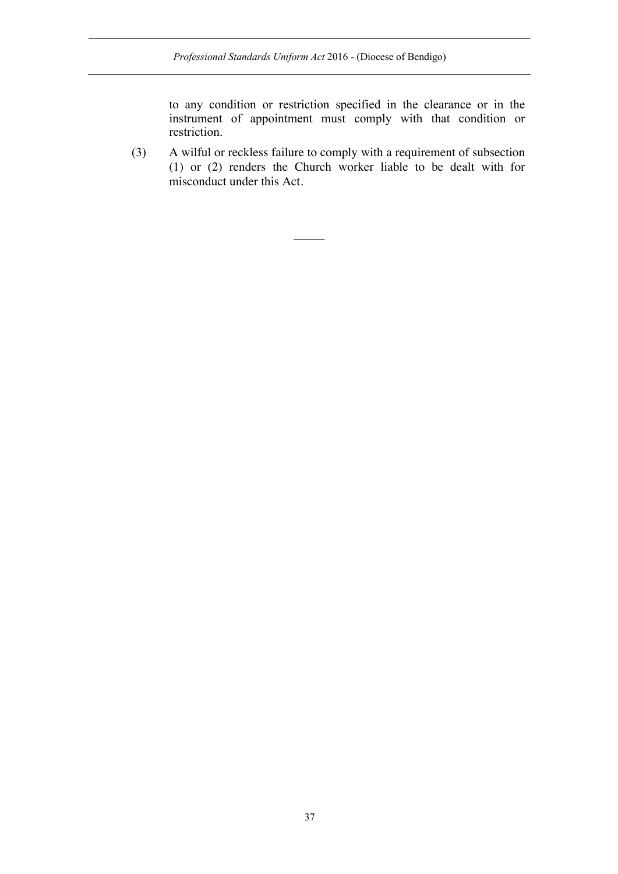to any condition or restriction specified in the clearance or in the instrument of appointment must comply with that condition or restriction.

(3) A wilful or reckless failure to comply with a requirement of subsection (1) or (2) renders the Church worker liable to be dealt with for misconduct under this Act.

 $\overline{\phantom{a}}$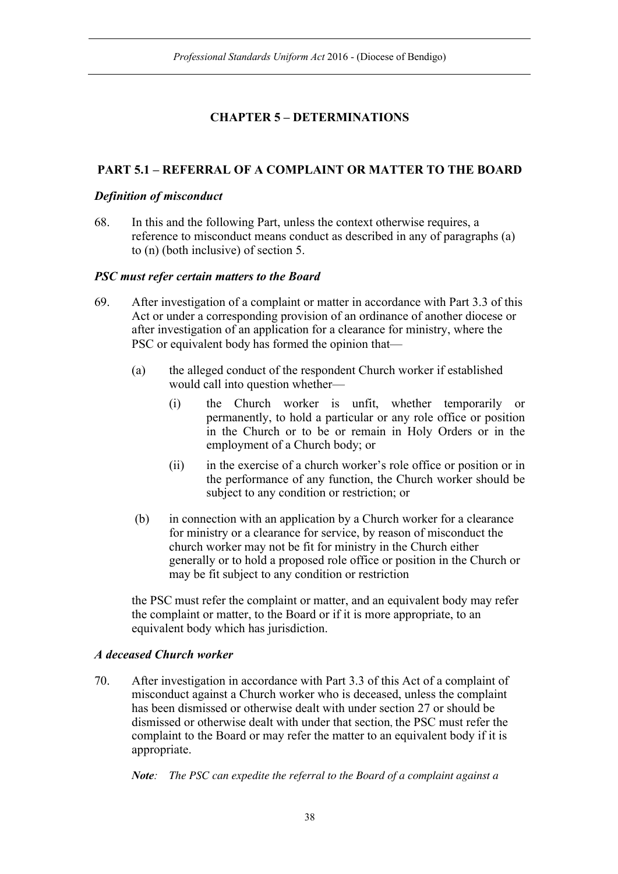# **CHAPTER 5 – DETERMINATIONS**

# **PART 5.1 – REFERRAL OF A COMPLAINT OR MATTER TO THE BOARD**

## *Definition of misconduct*

68. In this and the following Part, unless the context otherwise requires, a reference to misconduct means conduct as described in any of paragraphs (a) to (n) (both inclusive) of section 5.

## *PSC must refer certain matters to the Board*

- 69. After investigation of a complaint or matter in accordance with Part 3.3 of this Act or under a corresponding provision of an ordinance of another diocese or after investigation of an application for a clearance for ministry, where the PSC or equivalent body has formed the opinion that—
	- (a) the alleged conduct of the respondent Church worker if established would call into question whether—
		- (i) the Church worker is unfit, whether temporarily or permanently, to hold a particular or any role office or position in the Church or to be or remain in Holy Orders or in the employment of a Church body; or
		- (ii) in the exercise of a church worker's role office or position or in the performance of any function, the Church worker should be subject to any condition or restriction; or
	- (b) in connection with an application by a Church worker for a clearance for ministry or a clearance for service, by reason of misconduct the church worker may not be fit for ministry in the Church either generally or to hold a proposed role office or position in the Church or may be fit subject to any condition or restriction

the PSC must refer the complaint or matter, and an equivalent body may refer the complaint or matter, to the Board or if it is more appropriate, to an equivalent body which has jurisdiction.

## *A deceased Church worker*

70. After investigation in accordance with Part 3.3 of this Act of a complaint of misconduct against a Church worker who is deceased, unless the complaint has been dismissed or otherwise dealt with under section 27 or should be dismissed or otherwise dealt with under that section, the PSC must refer the complaint to the Board or may refer the matter to an equivalent body if it is appropriate.

*Note: The PSC can expedite the referral to the Board of a complaint against a*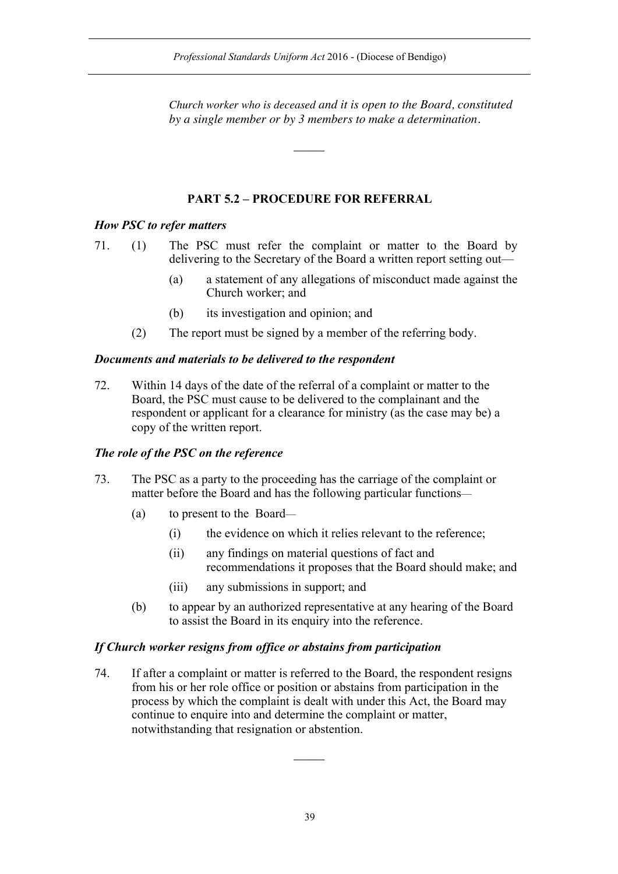*Church worker who is deceased and it is open to the Board, constituted by a single member or by 3 members to make a determination.*

# **PART 5.2 – PROCEDURE FOR REFERRAL**

 $\overline{\phantom{a}}$ 

## *How PSC to refer matters*

71. (1) The PSC must refer the complaint or matter to the Board by delivering to the Secretary of the Board a written report setting out—

- (a) a statement of any allegations of misconduct made against the Church worker; and
- (b) its investigation and opinion; and
- (2) The report must be signed by a member of the referring body.

# *Documents and materials to be delivered to the respondent*

72. Within 14 days of the date of the referral of a complaint or matter to the Board, the PSC must cause to be delivered to the complainant and the respondent or applicant for a clearance for ministry (as the case may be) a copy of the written report.

## *The role of the PSC on the reference*

- 73. The PSC as a party to the proceeding has the carriage of the complaint or matter before the Board and has the following particular functions—
	- (a) to present to the Board—
		- (i) the evidence on which it relies relevant to the reference;
		- (ii) any findings on material questions of fact and recommendations it proposes that the Board should make; and
		- (iii) any submissions in support; and
	- (b) to appear by an authorized representative at any hearing of the Board to assist the Board in its enquiry into the reference.

## *If Church worker resigns from office or abstains from participation*

74. If after a complaint or matter is referred to the Board, the respondent resigns from his or her role office or position or abstains from participation in the process by which the complaint is dealt with under this Act, the Board may continue to enquire into and determine the complaint or matter, notwithstanding that resignation or abstention.

 $\overline{\phantom{a}}$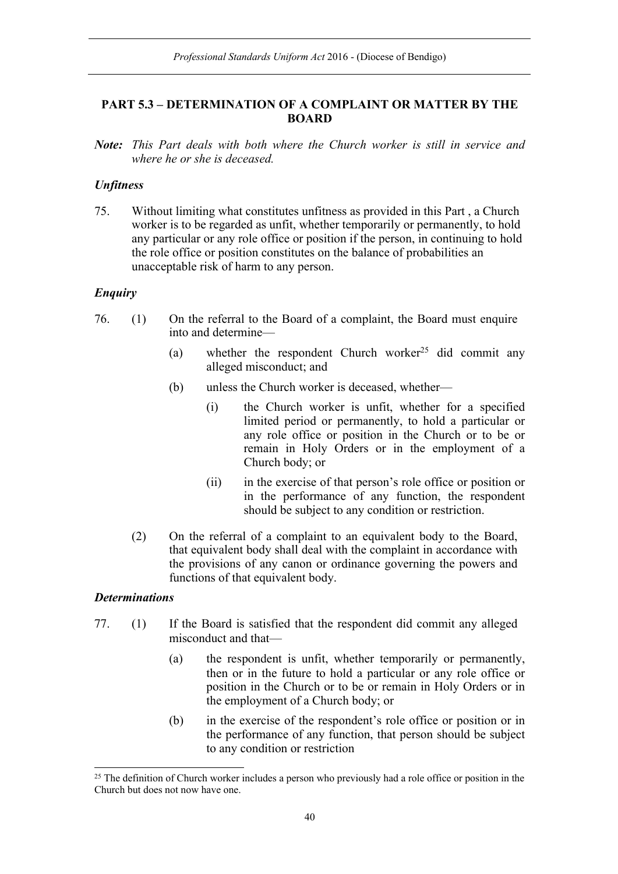# **PART 5.3 – DETERMINATION OF A COMPLAINT OR MATTER BY THE BOARD**

*Note: This Part deals with both where the Church worker is still in service and where he or she is deceased.*

## *Unfitness*

75. Without limiting what constitutes unfitness as provided in this Part , a Church worker is to be regarded as unfit, whether temporarily or permanently, to hold any particular or any role office or position if the person, in continuing to hold the role office or position constitutes on the balance of probabilities an unacceptable risk of harm to any person.

## *Enquiry*

- 76. (1) On the referral to the Board of a complaint, the Board must enquire into and determine—
	- (a) whether the respondent Church worker<sup>25</sup> did commit any alleged misconduct; and
	- (b) unless the Church worker is deceased, whether—
		- (i) the Church worker is unfit, whether for a specified limited period or permanently, to hold a particular or any role office or position in the Church or to be or remain in Holy Orders or in the employment of a Church body; or
		- (ii) in the exercise of that person's role office or position or in the performance of any function, the respondent should be subject to any condition or restriction.
	- (2) On the referral of a complaint to an equivalent body to the Board, that equivalent body shall deal with the complaint in accordance with the provisions of any canon or ordinance governing the powers and functions of that equivalent body.

## *Determinations*

- 77. (1) If the Board is satisfied that the respondent did commit any alleged misconduct and that—
	- (a) the respondent is unfit, whether temporarily or permanently, then or in the future to hold a particular or any role office or position in the Church or to be or remain in Holy Orders or in the employment of a Church body; or
	- (b) in the exercise of the respondent's role office or position or in the performance of any function, that person should be subject to any condition or restriction

<sup>&</sup>lt;sup>25</sup> The definition of Church worker includes a person who previously had a role office or position in the Church but does not now have one.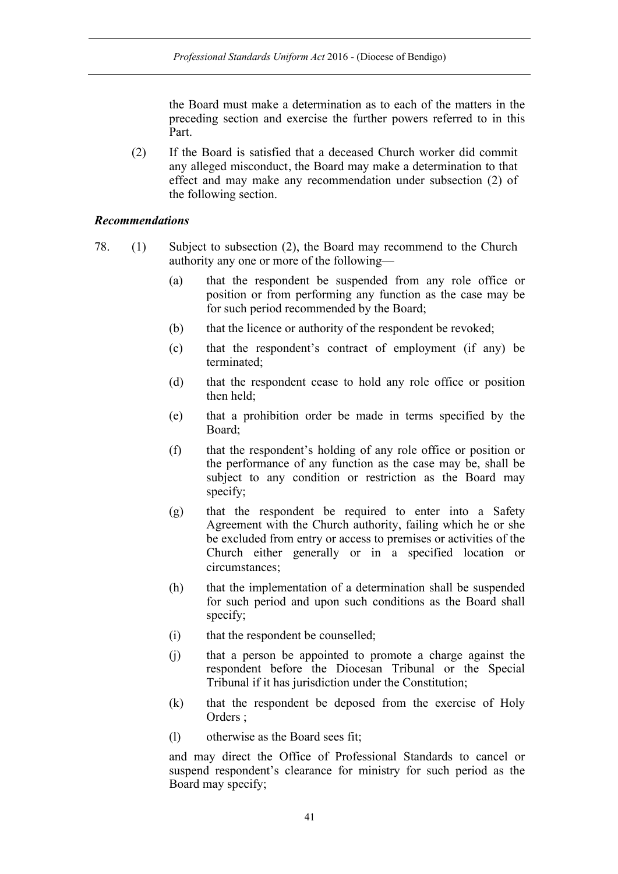the Board must make a determination as to each of the matters in the preceding section and exercise the further powers referred to in this Part.

(2) If the Board is satisfied that a deceased Church worker did commit any alleged misconduct, the Board may make a determination to that effect and may make any recommendation under subsection (2) of the following section.

### *Recommendations*

- 78. (1) Subject to subsection (2), the Board may recommend to the Church authority any one or more of the following—
	- (a) that the respondent be suspended from any role office or position or from performing any function as the case may be for such period recommended by the Board;
	- (b) that the licence or authority of the respondent be revoked;
	- (c) that the respondent's contract of employment (if any) be terminated;
	- (d) that the respondent cease to hold any role office or position then held;
	- (e) that a prohibition order be made in terms specified by the Board;
	- (f) that the respondent's holding of any role office or position or the performance of any function as the case may be, shall be subject to any condition or restriction as the Board may specify;
	- (g) that the respondent be required to enter into a Safety Agreement with the Church authority, failing which he or she be excluded from entry or access to premises or activities of the Church either generally or in a specified location or circumstances;
	- (h) that the implementation of a determination shall be suspended for such period and upon such conditions as the Board shall specify;
	- (i) that the respondent be counselled;
	- (j) that a person be appointed to promote a charge against the respondent before the Diocesan Tribunal or the Special Tribunal if it has jurisdiction under the Constitution;
	- (k) that the respondent be deposed from the exercise of Holy Orders ;
	- (l) otherwise as the Board sees fit;

and may direct the Office of Professional Standards to cancel or suspend respondent's clearance for ministry for such period as the Board may specify;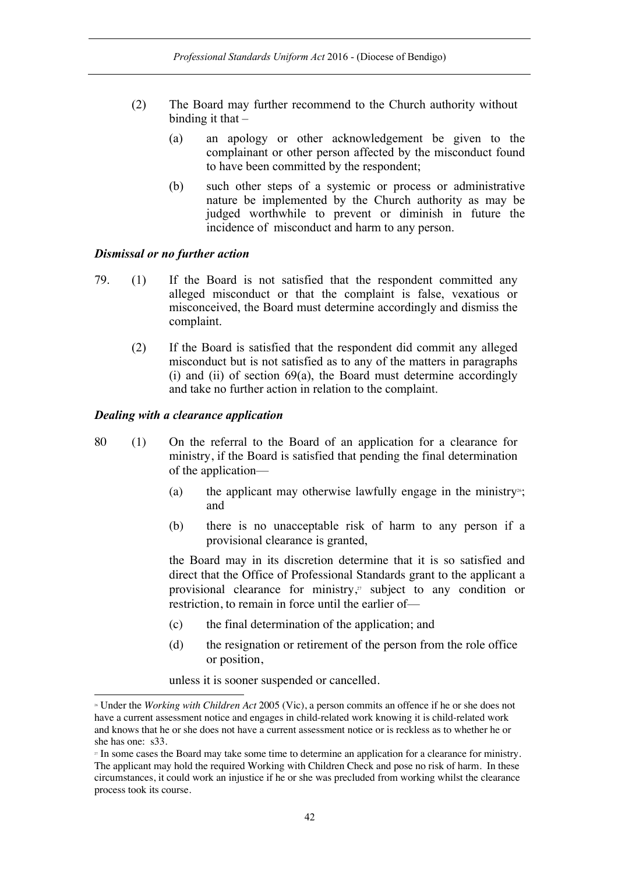- (2) The Board may further recommend to the Church authority without binding it that  $-$ 
	- (a) an apology or other acknowledgement be given to the complainant or other person affected by the misconduct found to have been committed by the respondent;
	- (b) such other steps of a systemic or process or administrative nature be implemented by the Church authority as may be judged worthwhile to prevent or diminish in future the incidence of misconduct and harm to any person.

#### *Dismissal or no further action*

- 79. (1) If the Board is not satisfied that the respondent committed any alleged misconduct or that the complaint is false, vexatious or misconceived, the Board must determine accordingly and dismiss the complaint.
	- (2) If the Board is satisfied that the respondent did commit any alleged misconduct but is not satisfied as to any of the matters in paragraphs (i) and (ii) of section  $69(a)$ , the Board must determine accordingly and take no further action in relation to the complaint.

### *Dealing with a clearance application*

l

- 80 (1) On the referral to the Board of an application for a clearance for ministry, if the Board is satisfied that pending the final determination of the application—
	- (a) the applicant may otherwise lawfully engage in the ministry<sup>26</sup>; and
	- (b) there is no unacceptable risk of harm to any person if a provisional clearance is granted,

the Board may in its discretion determine that it is so satisfied and direct that the Office of Professional Standards grant to the applicant a provisional clearance for ministry, <sup>27</sup> subject to any condition or restriction, to remain in force until the earlier of—

- (c) the final determination of the application; and
- (d) the resignation or retirement of the person from the role office or position,

unless it is sooner suspended or cancelled.

<sup>26</sup> Under the *Working with Children Act* 2005 (Vic), a person commits an offence if he or she does not have a current assessment notice and engages in child-related work knowing it is child-related work and knows that he or she does not have a current assessment notice or is reckless as to whether he or she has one: s33.<br>
<sup>27</sup> In some cases the Board may take some time to determine an application for a clearance for ministry.

The applicant may hold the required Working with Children Check and pose no risk of harm. In these circumstances, it could work an injustice if he or she was precluded from working whilst the clearance process took its course.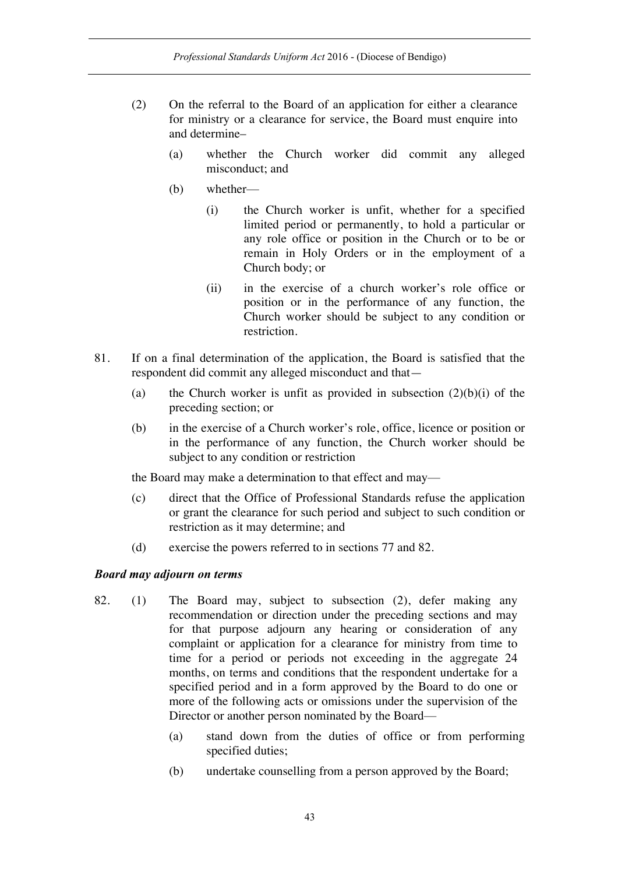- (2) On the referral to the Board of an application for either a clearance for ministry or a clearance for service, the Board must enquire into and determine–
	- (a) whether the Church worker did commit any alleged misconduct; and
	- (b) whether—
		- (i) the Church worker is unfit, whether for a specified limited period or permanently, to hold a particular or any role office or position in the Church or to be or remain in Holy Orders or in the employment of a Church body; or
		- (ii) in the exercise of a church worker's role office or position or in the performance of any function, the Church worker should be subject to any condition or restriction.
- 81. If on a final determination of the application, the Board is satisfied that the respondent did commit any alleged misconduct and that—
	- (a) the Church worker is unfit as provided in subsection  $(2)(b)(i)$  of the preceding section; or
	- (b) in the exercise of a Church worker's role, office, licence or position or in the performance of any function, the Church worker should be subject to any condition or restriction

the Board may make a determination to that effect and may—

- (c) direct that the Office of Professional Standards refuse the application or grant the clearance for such period and subject to such condition or restriction as it may determine; and
- (d) exercise the powers referred to in sections 77 and 82.

#### *Board may adjourn on terms*

- 82. (1) The Board may, subject to subsection (2), defer making any recommendation or direction under the preceding sections and may for that purpose adjourn any hearing or consideration of any complaint or application for a clearance for ministry from time to time for a period or periods not exceeding in the aggregate 24 months, on terms and conditions that the respondent undertake for a specified period and in a form approved by the Board to do one or more of the following acts or omissions under the supervision of the Director or another person nominated by the Board—
	- (a) stand down from the duties of office or from performing specified duties;
	- (b) undertake counselling from a person approved by the Board;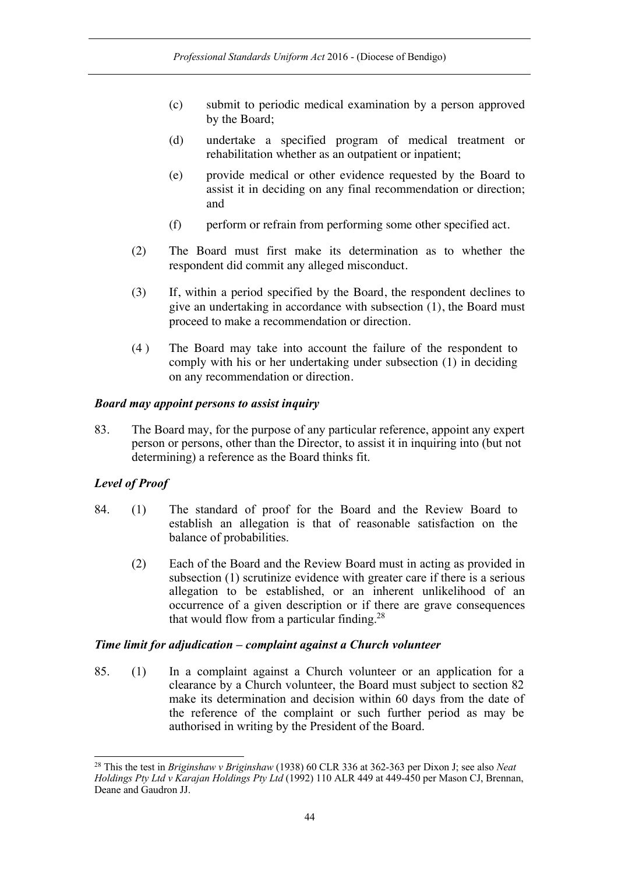- (c) submit to periodic medical examination by a person approved by the Board;
- (d) undertake a specified program of medical treatment or rehabilitation whether as an outpatient or inpatient;
- (e) provide medical or other evidence requested by the Board to assist it in deciding on any final recommendation or direction; and
- (f) perform or refrain from performing some other specified act.
- (2) The Board must first make its determination as to whether the respondent did commit any alleged misconduct.
- (3) If, within a period specified by the Board, the respondent declines to give an undertaking in accordance with subsection (1), the Board must proceed to make a recommendation or direction.
- (4 ) The Board may take into account the failure of the respondent to comply with his or her undertaking under subsection (1) in deciding on any recommendation or direction.

### *Board may appoint persons to assist inquiry*

83. The Board may, for the purpose of any particular reference, appoint any expert person or persons, other than the Director, to assist it in inquiring into (but not determining) a reference as the Board thinks fit.

## *Level of Proof*

- 84. (1) The standard of proof for the Board and the Review Board to establish an allegation is that of reasonable satisfaction on the balance of probabilities.
	- (2) Each of the Board and the Review Board must in acting as provided in subsection (1) scrutinize evidence with greater care if there is a serious allegation to be established, or an inherent unlikelihood of an occurrence of a given description or if there are grave consequences that would flow from a particular finding.28

### *Time limit for adjudication – complaint against a Church volunteer*

85. (1) In a complaint against a Church volunteer or an application for a clearance by a Church volunteer, the Board must subject to section 82 make its determination and decision within 60 days from the date of the reference of the complaint or such further period as may be authorised in writing by the President of the Board.

 <sup>28</sup> This the test in *Briginshaw v Briginshaw* (1938) 60 CLR 336 at 362-363 per Dixon J; see also *Neat Holdings Pty Ltd v Karajan Holdings Pty Ltd* (1992) 110 ALR 449 at 449-450 per Mason CJ, Brennan, Deane and Gaudron JJ.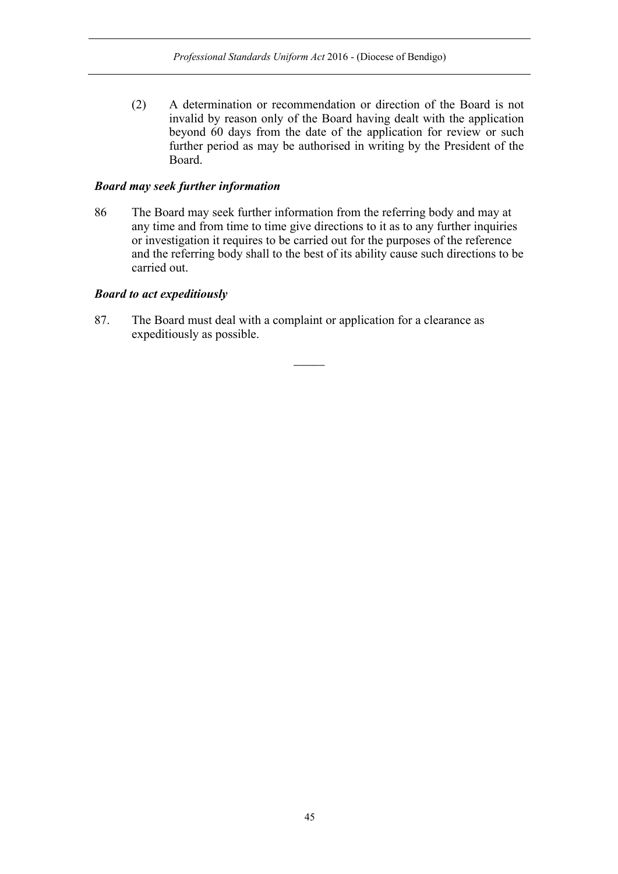(2) A determination or recommendation or direction of the Board is not invalid by reason only of the Board having dealt with the application beyond 60 days from the date of the application for review or such further period as may be authorised in writing by the President of the Board.

### *Board may seek further information*

86 The Board may seek further information from the referring body and may at any time and from time to time give directions to it as to any further inquiries or investigation it requires to be carried out for the purposes of the reference and the referring body shall to the best of its ability cause such directions to be carried out.

## *Board to act expeditiously*

87. The Board must deal with a complaint or application for a clearance as expeditiously as possible.

 $\overline{\phantom{a}}$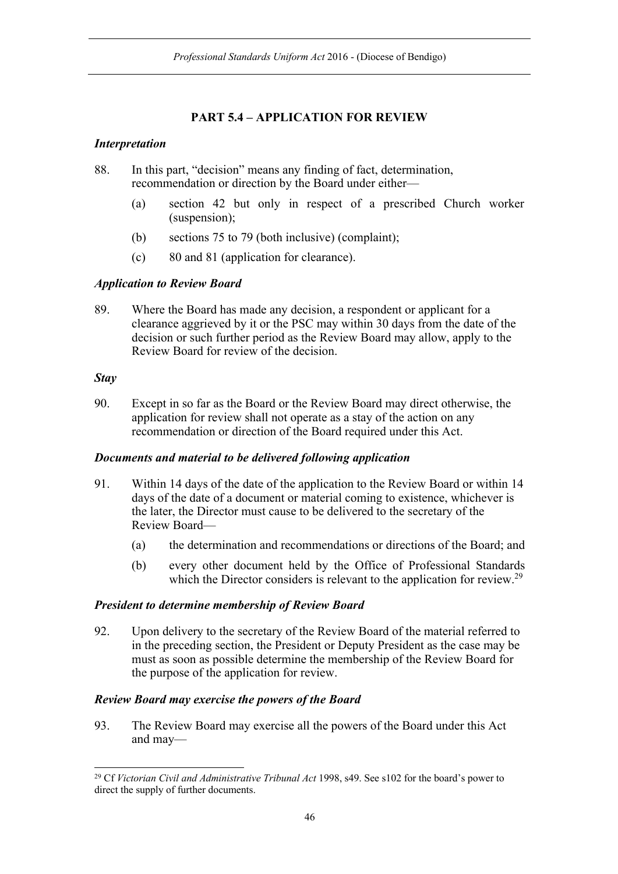# **PART 5.4 – APPLICATION FOR REVIEW**

## *Interpretation*

88. In this part, "decision" means any finding of fact, determination, recommendation or direction by the Board under either—

- (a) section 42 but only in respect of a prescribed Church worker (suspension);
- (b) sections 75 to 79 (both inclusive) (complaint);
- (c) 80 and 81 (application for clearance).

## *Application to Review Board*

89. Where the Board has made any decision, a respondent or applicant for a clearance aggrieved by it or the PSC may within 30 days from the date of the decision or such further period as the Review Board may allow, apply to the Review Board for review of the decision.

## *Stay*

90. Except in so far as the Board or the Review Board may direct otherwise, the application for review shall not operate as a stay of the action on any recommendation or direction of the Board required under this Act.

## *Documents and material to be delivered following application*

- 91. Within 14 days of the date of the application to the Review Board or within 14 days of the date of a document or material coming to existence, whichever is the later, the Director must cause to be delivered to the secretary of the Review Board—
	- (a) the determination and recommendations or directions of the Board; and
	- (b) every other document held by the Office of Professional Standards which the Director considers is relevant to the application for review.<sup>29</sup>

## *President to determine membership of Review Board*

92. Upon delivery to the secretary of the Review Board of the material referred to in the preceding section, the President or Deputy President as the case may be must as soon as possible determine the membership of the Review Board for the purpose of the application for review.

## *Review Board may exercise the powers of the Board*

93. The Review Board may exercise all the powers of the Board under this Act and may—

 <sup>29</sup> Cf *Victorian Civil and Administrative Tribunal Act* 1998, s49. See s102 for the board's power to direct the supply of further documents.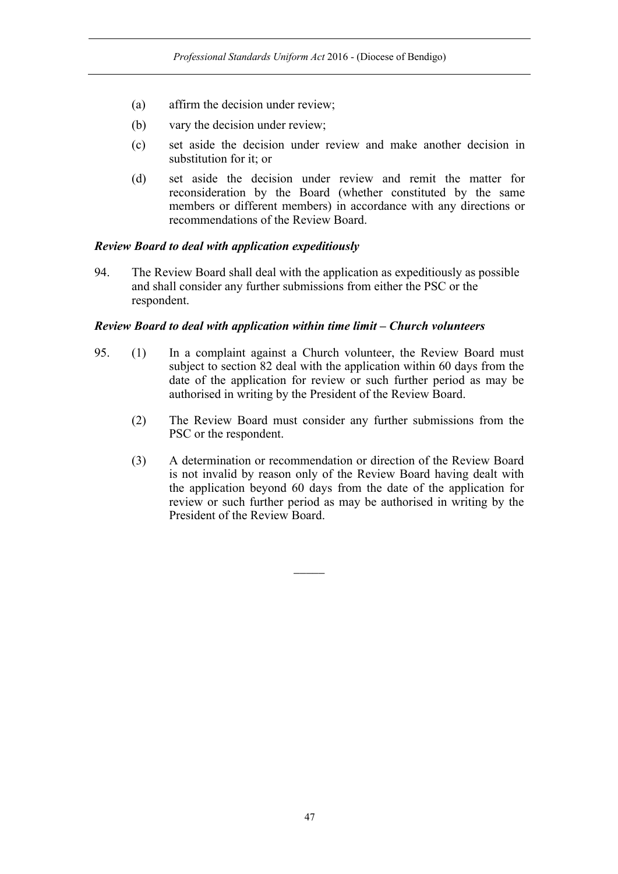- (a) affirm the decision under review;
- (b) vary the decision under review;
- (c) set aside the decision under review and make another decision in substitution for it; or
- (d) set aside the decision under review and remit the matter for reconsideration by the Board (whether constituted by the same members or different members) in accordance with any directions or recommendations of the Review Board.

### *Review Board to deal with application expeditiously*

94. The Review Board shall deal with the application as expeditiously as possible and shall consider any further submissions from either the PSC or the respondent.

### *Review Board to deal with application within time limit – Church volunteers*

- 95. (1) In a complaint against a Church volunteer, the Review Board must subject to section 82 deal with the application within 60 days from the date of the application for review or such further period as may be authorised in writing by the President of the Review Board.
	- (2) The Review Board must consider any further submissions from the PSC or the respondent.
	- (3) A determination or recommendation or direction of the Review Board is not invalid by reason only of the Review Board having dealt with the application beyond 60 days from the date of the application for review or such further period as may be authorised in writing by the President of the Review Board.

 $\overline{\phantom{a}}$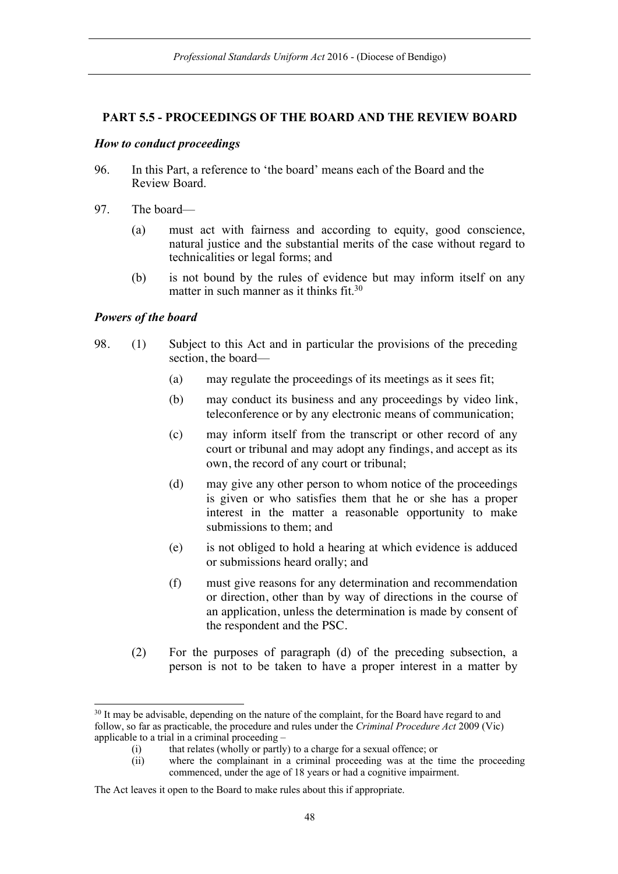### **PART 5.5 - PROCEEDINGS OF THE BOARD AND THE REVIEW BOARD**

#### *How to conduct proceedings*

- 96. In this Part, a reference to 'the board' means each of the Board and the Review Board.
- 97. The board—
	- (a) must act with fairness and according to equity, good conscience, natural justice and the substantial merits of the case without regard to technicalities or legal forms; and
	- (b) is not bound by the rules of evidence but may inform itself on any matter in such manner as it thinks fit.30

#### *Powers of the board*

- 98. (1) Subject to this Act and in particular the provisions of the preceding section, the board—
	- (a) may regulate the proceedings of its meetings as it sees fit;
	- (b) may conduct its business and any proceedings by video link, teleconference or by any electronic means of communication;
	- (c) may inform itself from the transcript or other record of any court or tribunal and may adopt any findings, and accept as its own, the record of any court or tribunal;
	- (d) may give any other person to whom notice of the proceedings is given or who satisfies them that he or she has a proper interest in the matter a reasonable opportunity to make submissions to them; and
	- (e) is not obliged to hold a hearing at which evidence is adduced or submissions heard orally; and
	- (f) must give reasons for any determination and recommendation or direction, other than by way of directions in the course of an application, unless the determination is made by consent of the respondent and the PSC.
	- (2) For the purposes of paragraph (d) of the preceding subsection, a person is not to be taken to have a proper interest in a matter by

<sup>&</sup>lt;sup>30</sup> It may be advisable, depending on the nature of the complaint, for the Board have regard to and follow, so far as practicable, the procedure and rules under the *Criminal Procedure Act* 2009 (Vic) applicable to a trial in a criminal proceeding –

<sup>(</sup>i) that relates (wholly or partly) to a charge for a sexual offence; or

<sup>(</sup>ii) where the complainant in a criminal proceeding was at the time the proceeding commenced, under the age of 18 years or had a cognitive impairment.

The Act leaves it open to the Board to make rules about this if appropriate.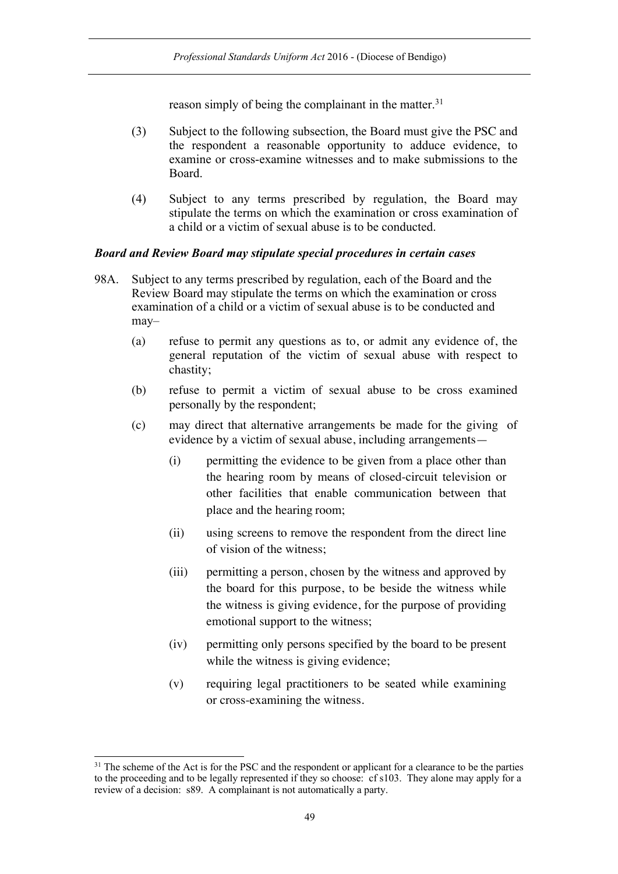reason simply of being the complainant in the matter.<sup>31</sup>

- (3) Subject to the following subsection, the Board must give the PSC and the respondent a reasonable opportunity to adduce evidence, to examine or cross-examine witnesses and to make submissions to the Board.
- (4) Subject to any terms prescribed by regulation, the Board may stipulate the terms on which the examination or cross examination of a child or a victim of sexual abuse is to be conducted.

### *Board and Review Board may stipulate special procedures in certain cases*

- 98A. Subject to any terms prescribed by regulation, each of the Board and the Review Board may stipulate the terms on which the examination or cross examination of a child or a victim of sexual abuse is to be conducted and may–
	- (a) refuse to permit any questions as to, or admit any evidence of, the general reputation of the victim of sexual abuse with respect to chastity;
	- (b) refuse to permit a victim of sexual abuse to be cross examined personally by the respondent;
	- (c) may direct that alternative arrangements be made for the giving of evidence by a victim of sexual abuse, including arrangements—
		- (i) permitting the evidence to be given from a place other than the hearing room by means of closed-circuit television or other facilities that enable communication between that place and the hearing room;
		- (ii) using screens to remove the respondent from the direct line of vision of the witness;
		- (iii) permitting a person, chosen by the witness and approved by the board for this purpose, to be beside the witness while the witness is giving evidence, for the purpose of providing emotional support to the witness;
		- (iv) permitting only persons specified by the board to be present while the witness is giving evidence;
		- (v) requiring legal practitioners to be seated while examining or cross-examining the witness.

<sup>&</sup>lt;sup>31</sup> The scheme of the Act is for the PSC and the respondent or applicant for a clearance to be the parties to the proceeding and to be legally represented if they so choose: cf s103. They alone may apply for a review of a decision: s89. A complainant is not automatically a party.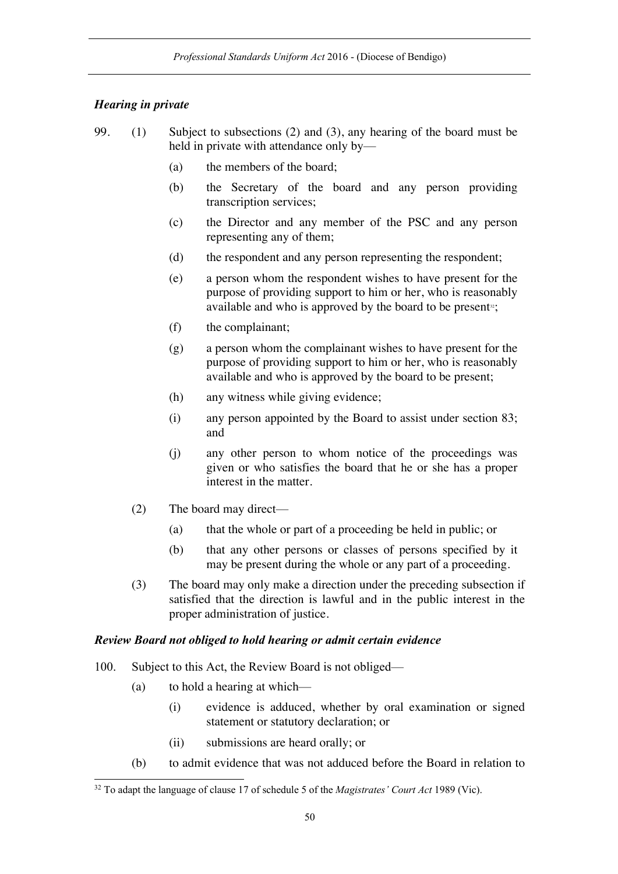## *Hearing in private*

- 99. (1) Subject to subsections (2) and (3), any hearing of the board must be held in private with attendance only by—
	- (a) the members of the board;
	- (b) the Secretary of the board and any person providing transcription services;
	- (c) the Director and any member of the PSC and any person representing any of them;
	- (d) the respondent and any person representing the respondent;
	- (e) a person whom the respondent wishes to have present for the purpose of providing support to him or her, who is reasonably available and who is approved by the board to be present<sup>32</sup>;
	- (f) the complainant;
	- (g) a person whom the complainant wishes to have present for the purpose of providing support to him or her, who is reasonably available and who is approved by the board to be present;
	- (h) any witness while giving evidence;
	- (i) any person appointed by the Board to assist under section 83; and
	- (j) any other person to whom notice of the proceedings was given or who satisfies the board that he or she has a proper interest in the matter.
	- (2) The board may direct—
		- (a) that the whole or part of a proceeding be held in public; or
		- (b) that any other persons or classes of persons specified by it may be present during the whole or any part of a proceeding.
	- (3) The board may only make a direction under the preceding subsection if satisfied that the direction is lawful and in the public interest in the proper administration of justice.

#### *Review Board not obliged to hold hearing or admit certain evidence*

- 100. Subject to this Act, the Review Board is not obliged—
	- (a) to hold a hearing at which—
		- (i) evidence is adduced, whether by oral examination or signed statement or statutory declaration; or
		- (ii) submissions are heard orally; or
	- (b) to admit evidence that was not adduced before the Board in relation to

 <sup>32</sup> To adapt the language of clause 17 of schedule 5 of the *Magistrates' Court Act* <sup>1989</sup> (Vic).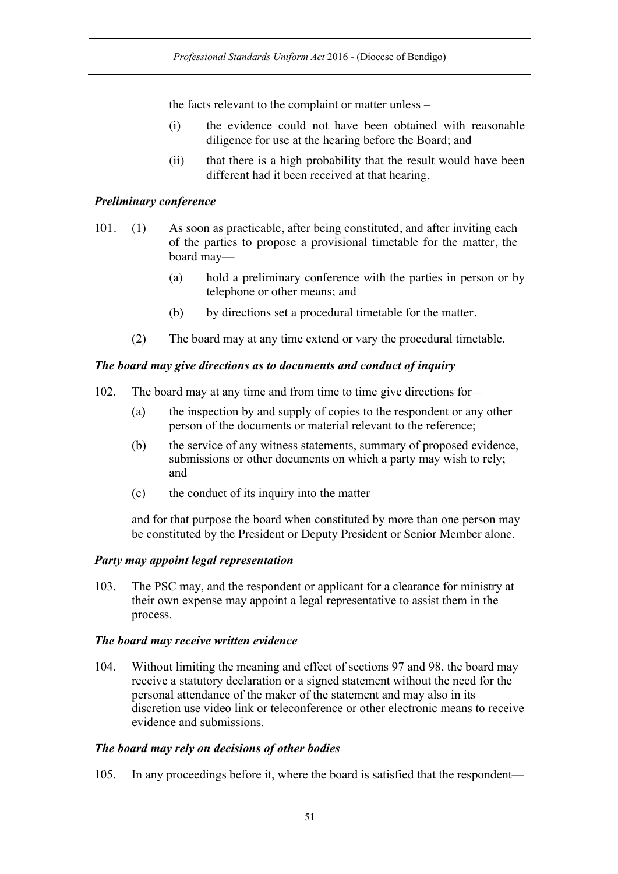the facts relevant to the complaint or matter unless –

- (i) the evidence could not have been obtained with reasonable diligence for use at the hearing before the Board; and
- (ii) that there is a high probability that the result would have been different had it been received at that hearing.

## *Preliminary conference*

- 101. (1) As soon as practicable, after being constituted, and after inviting each of the parties to propose a provisional timetable for the matter, the board may—
	- (a) hold a preliminary conference with the parties in person or by telephone or other means; and
	- (b) by directions set a procedural timetable for the matter.
	- (2) The board may at any time extend or vary the procedural timetable.

### *The board may give directions as to documents and conduct of inquiry*

- 102. The board may at any time and from time to time give directions for—
	- (a) the inspection by and supply of copies to the respondent or any other person of the documents or material relevant to the reference;
	- (b) the service of any witness statements, summary of proposed evidence, submissions or other documents on which a party may wish to rely; and
	- (c) the conduct of its inquiry into the matter

and for that purpose the board when constituted by more than one person may be constituted by the President or Deputy President or Senior Member alone.

#### *Party may appoint legal representation*

103. The PSC may, and the respondent or applicant for a clearance for ministry at their own expense may appoint a legal representative to assist them in the process.

#### *The board may receive written evidence*

104. Without limiting the meaning and effect of sections 97 and 98, the board may receive a statutory declaration or a signed statement without the need for the personal attendance of the maker of the statement and may also in its discretion use video link or teleconference or other electronic means to receive evidence and submissions.

#### *The board may rely on decisions of other bodies*

105. In any proceedings before it, where the board is satisfied that the respondent—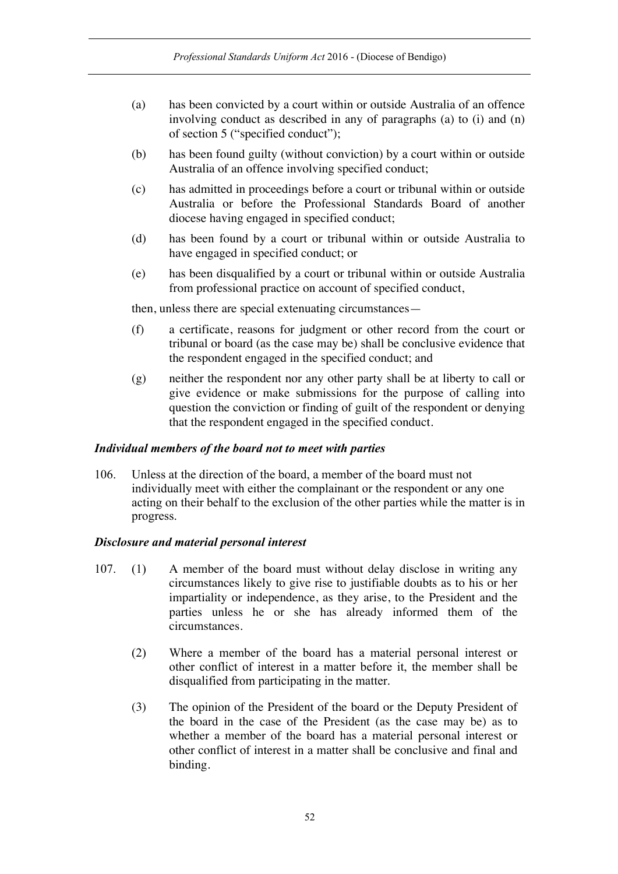- (a) has been convicted by a court within or outside Australia of an offence involving conduct as described in any of paragraphs (a) to (i) and (n) of section 5 ("specified conduct");
- (b) has been found guilty (without conviction) by a court within or outside Australia of an offence involving specified conduct;
- (c) has admitted in proceedings before a court or tribunal within or outside Australia or before the Professional Standards Board of another diocese having engaged in specified conduct;
- (d) has been found by a court or tribunal within or outside Australia to have engaged in specified conduct; or
- (e) has been disqualified by a court or tribunal within or outside Australia from professional practice on account of specified conduct,

then, unless there are special extenuating circumstances—

- (f) a certificate, reasons for judgment or other record from the court or tribunal or board (as the case may be) shall be conclusive evidence that the respondent engaged in the specified conduct; and
- (g) neither the respondent nor any other party shall be at liberty to call or give evidence or make submissions for the purpose of calling into question the conviction or finding of guilt of the respondent or denying that the respondent engaged in the specified conduct.

## *Individual members of the board not to meet with parties*

106. Unless at the direction of the board, a member of the board must not individually meet with either the complainant or the respondent or any one acting on their behalf to the exclusion of the other parties while the matter is in progress.

## *Disclosure and material personal interest*

- 107. (1) A member of the board must without delay disclose in writing any circumstances likely to give rise to justifiable doubts as to his or her impartiality or independence, as they arise, to the President and the parties unless he or she has already informed them of the circumstances.
	- (2) Where a member of the board has a material personal interest or other conflict of interest in a matter before it, the member shall be disqualified from participating in the matter.
	- (3) The opinion of the President of the board or the Deputy President of the board in the case of the President (as the case may be) as to whether a member of the board has a material personal interest or other conflict of interest in a matter shall be conclusive and final and binding.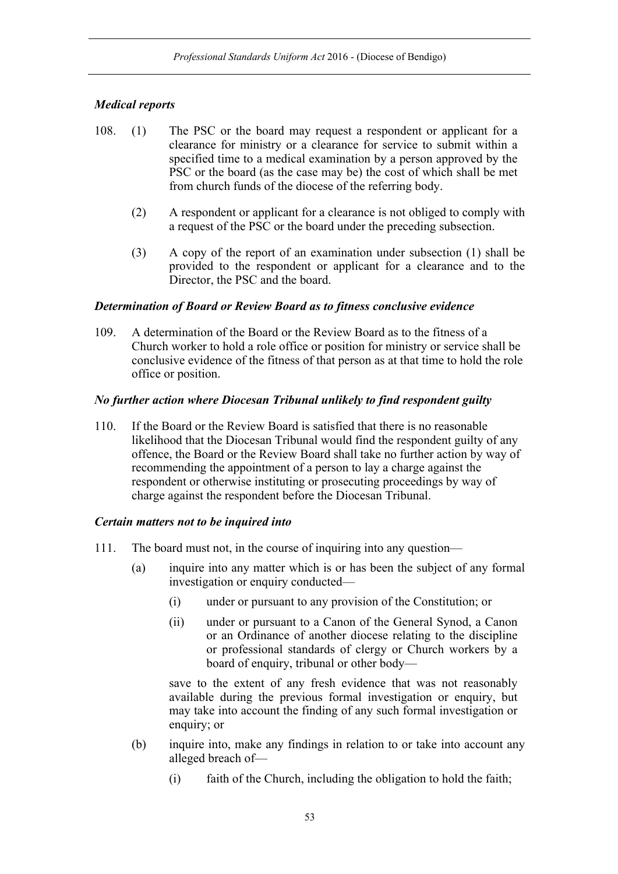# *Medical reports*

- 108. (1) The PSC or the board may request a respondent or applicant for a clearance for ministry or a clearance for service to submit within a specified time to a medical examination by a person approved by the PSC or the board (as the case may be) the cost of which shall be met from church funds of the diocese of the referring body.
	- (2) A respondent or applicant for a clearance is not obliged to comply with a request of the PSC or the board under the preceding subsection.
	- (3) A copy of the report of an examination under subsection (1) shall be provided to the respondent or applicant for a clearance and to the Director, the PSC and the board.

### *Determination of Board or Review Board as to fitness conclusive evidence*

109. A determination of the Board or the Review Board as to the fitness of a Church worker to hold a role office or position for ministry or service shall be conclusive evidence of the fitness of that person as at that time to hold the role office or position.

### *No further action where Diocesan Tribunal unlikely to find respondent guilty*

110. If the Board or the Review Board is satisfied that there is no reasonable likelihood that the Diocesan Tribunal would find the respondent guilty of any offence, the Board or the Review Board shall take no further action by way of recommending the appointment of a person to lay a charge against the respondent or otherwise instituting or prosecuting proceedings by way of charge against the respondent before the Diocesan Tribunal.

### *Certain matters not to be inquired into*

- 111. The board must not, in the course of inquiring into any question—
	- (a) inquire into any matter which is or has been the subject of any formal investigation or enquiry conducted—
		- (i) under or pursuant to any provision of the Constitution; or
		- (ii) under or pursuant to a Canon of the General Synod, a Canon or an Ordinance of another diocese relating to the discipline or professional standards of clergy or Church workers by a board of enquiry, tribunal or other body—

save to the extent of any fresh evidence that was not reasonably available during the previous formal investigation or enquiry, but may take into account the finding of any such formal investigation or enquiry; or

- (b) inquire into, make any findings in relation to or take into account any alleged breach of—
	- (i) faith of the Church, including the obligation to hold the faith;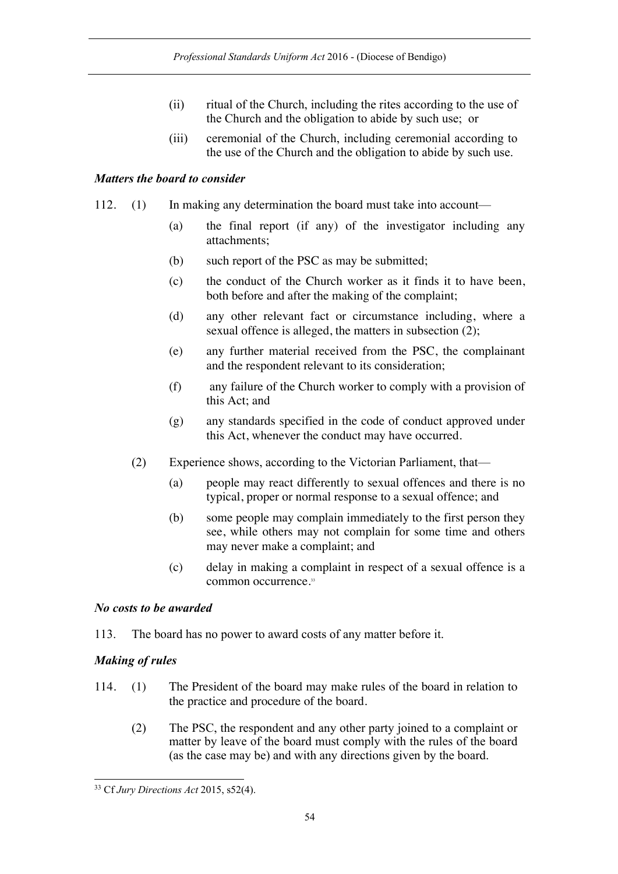- (ii) ritual of the Church, including the rites according to the use of the Church and the obligation to abide by such use; or
- (iii) ceremonial of the Church, including ceremonial according to the use of the Church and the obligation to abide by such use.

# *Matters the board to consider*

- 112. (1) In making any determination the board must take into account—
	- (a) the final report (if any) of the investigator including any attachments;
	- (b) such report of the PSC as may be submitted;
	- (c) the conduct of the Church worker as it finds it to have been, both before and after the making of the complaint;
	- (d) any other relevant fact or circumstance including, where a sexual offence is alleged, the matters in subsection (2);
	- (e) any further material received from the PSC, the complainant and the respondent relevant to its consideration;
	- (f) any failure of the Church worker to comply with a provision of this Act; and
	- (g) any standards specified in the code of conduct approved under this Act, whenever the conduct may have occurred.
	- (2) Experience shows, according to the Victorian Parliament, that—
		- (a) people may react differently to sexual offences and there is no typical, proper or normal response to a sexual offence; and
		- (b) some people may complain immediately to the first person they see, while others may not complain for some time and others may never make a complaint; and
		- (c) delay in making a complaint in respect of a sexual offence is a common occurrence.<sup>33</sup>

# *No costs to be awarded*

113. The board has no power to award costs of any matter before it.

# *Making of rules*

- 114. (1) The President of the board may make rules of the board in relation to the practice and procedure of the board.
	- (2) The PSC, the respondent and any other party joined to a complaint or matter by leave of the board must comply with the rules of the board (as the case may be) and with any directions given by the board.

 <sup>33</sup> Cf *Jury Directions Act* 2015, s52(4).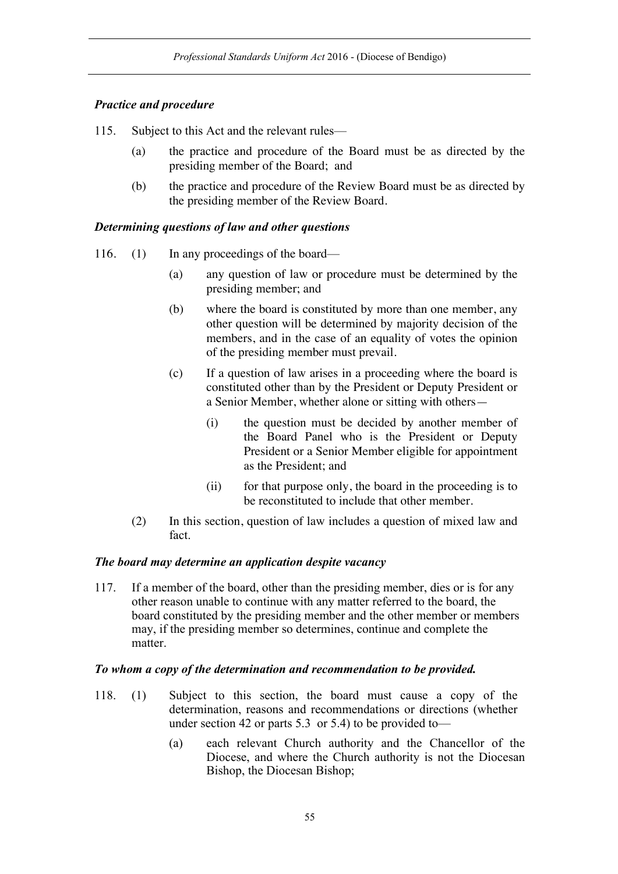# *Practice and procedure*

- 115. Subject to this Act and the relevant rules—
	- (a) the practice and procedure of the Board must be as directed by the presiding member of the Board; and
	- (b) the practice and procedure of the Review Board must be as directed by the presiding member of the Review Board.

## *Determining questions of law and other questions*

- 116. (1) In any proceedings of the board—
	- (a) any question of law or procedure must be determined by the presiding member; and
	- (b) where the board is constituted by more than one member, any other question will be determined by majority decision of the members, and in the case of an equality of votes the opinion of the presiding member must prevail.
	- (c) If a question of law arises in a proceeding where the board is constituted other than by the President or Deputy President or a Senior Member, whether alone or sitting with others—
		- (i) the question must be decided by another member of the Board Panel who is the President or Deputy President or a Senior Member eligible for appointment as the President; and
		- (ii) for that purpose only, the board in the proceeding is to be reconstituted to include that other member.
	- (2) In this section, question of law includes a question of mixed law and fact.

## *The board may determine an application despite vacancy*

117. If a member of the board, other than the presiding member, dies or is for any other reason unable to continue with any matter referred to the board, the board constituted by the presiding member and the other member or members may, if the presiding member so determines, continue and complete the matter.

#### *To whom a copy of the determination and recommendation to be provided.*

- 118. (1) Subject to this section, the board must cause a copy of the determination, reasons and recommendations or directions (whether under section 42 or parts 5.3 or 5.4) to be provided to—
	- (a) each relevant Church authority and the Chancellor of the Diocese, and where the Church authority is not the Diocesan Bishop, the Diocesan Bishop;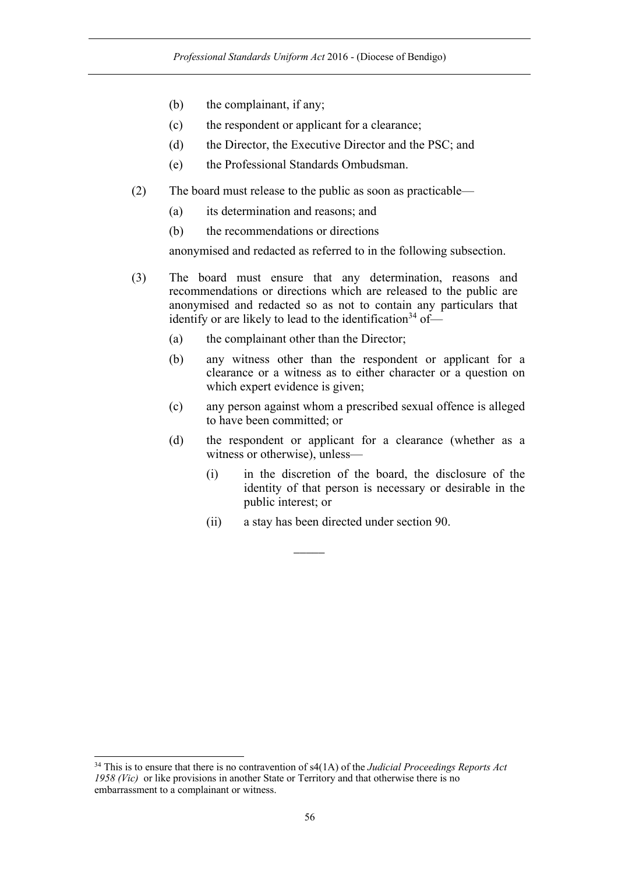- (b) the complainant, if any;
- (c) the respondent or applicant for a clearance;
- (d) the Director, the Executive Director and the PSC; and
- (e) the Professional Standards Ombudsman.
- (2) The board must release to the public as soon as practicable—
	- (a) its determination and reasons; and
	- (b) the recommendations or directions

anonymised and redacted as referred to in the following subsection.

- (3) The board must ensure that any determination, reasons and recommendations or directions which are released to the public are anonymised and redacted so as not to contain any particulars that identify or are likely to lead to the identification<sup>34</sup> of-
	- (a) the complainant other than the Director;
	- (b) any witness other than the respondent or applicant for a clearance or a witness as to either character or a question on which expert evidence is given;
	- (c) any person against whom a prescribed sexual offence is alleged to have been committed; or
	- (d) the respondent or applicant for a clearance (whether as a witness or otherwise), unless—
		- (i) in the discretion of the board, the disclosure of the identity of that person is necessary or desirable in the public interest; or
		- (ii) a stay has been directed under section 90.

 $\overline{\phantom{a}}$ 

 <sup>34</sup> This is to ensure that there is no contravention of s4(1A) of the *Judicial Proceedings Reports Act 1958 (Vic)* or like provisions in another State or Territory and that otherwise there is no embarrassment to a complainant or witness.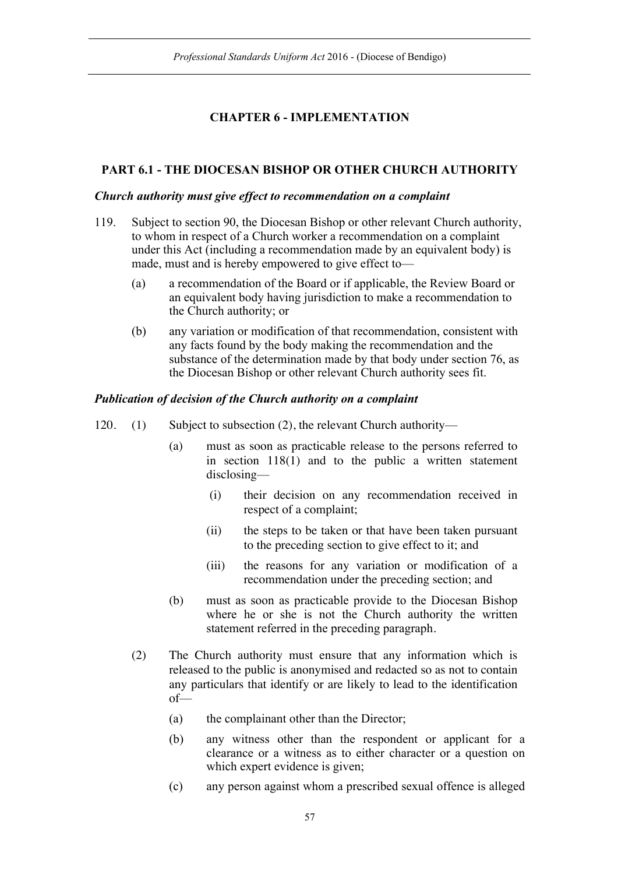# **CHAPTER 6 - IMPLEMENTATION**

# **PART 6.1 - THE DIOCESAN BISHOP OR OTHER CHURCH AUTHORITY**

### *Church authority must give effect to recommendation on a complaint*

- 119. Subject to section 90, the Diocesan Bishop or other relevant Church authority, to whom in respect of a Church worker a recommendation on a complaint under this Act (including a recommendation made by an equivalent body) is made, must and is hereby empowered to give effect to—
	- (a) a recommendation of the Board or if applicable, the Review Board or an equivalent body having jurisdiction to make a recommendation to the Church authority; or
	- (b) any variation or modification of that recommendation, consistent with any facts found by the body making the recommendation and the substance of the determination made by that body under section 76, as the Diocesan Bishop or other relevant Church authority sees fit.

## *Publication of decision of the Church authority on a complaint*

- 120. (1) Subject to subsection (2), the relevant Church authority—
	- (a) must as soon as practicable release to the persons referred to in section 118(1) and to the public a written statement disclosing—
		- (i) their decision on any recommendation received in respect of a complaint;
		- (ii) the steps to be taken or that have been taken pursuant to the preceding section to give effect to it; and
		- (iii) the reasons for any variation or modification of a recommendation under the preceding section; and
	- (b) must as soon as practicable provide to the Diocesan Bishop where he or she is not the Church authority the written statement referred in the preceding paragraph.
	- (2) The Church authority must ensure that any information which is released to the public is anonymised and redacted so as not to contain any particulars that identify or are likely to lead to the identification of—
		- (a) the complainant other than the Director;
		- (b) any witness other than the respondent or applicant for a clearance or a witness as to either character or a question on which expert evidence is given;
		- (c) any person against whom a prescribed sexual offence is alleged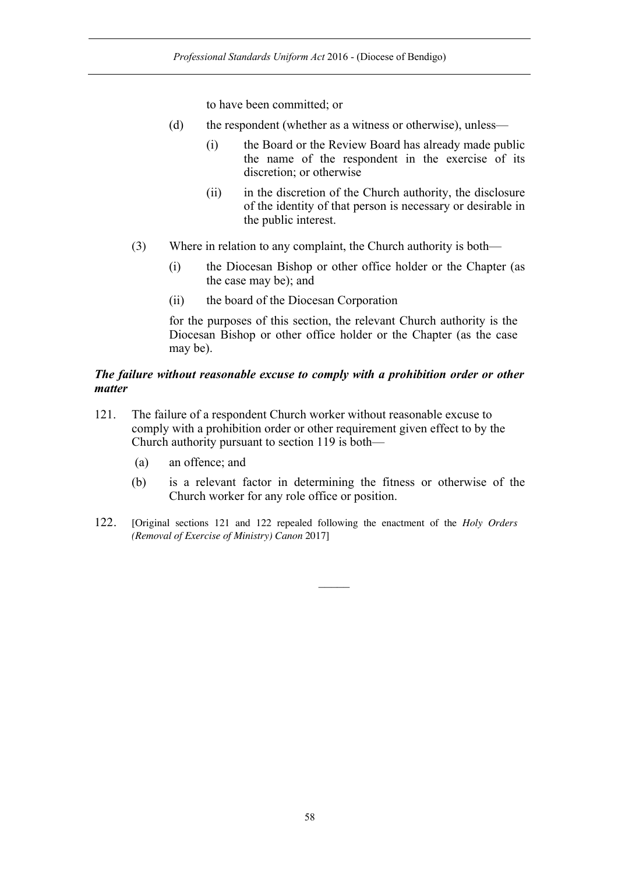to have been committed; or

- (d) the respondent (whether as a witness or otherwise), unless—
	- (i) the Board or the Review Board has already made public the name of the respondent in the exercise of its discretion; or otherwise
	- (ii) in the discretion of the Church authority, the disclosure of the identity of that person is necessary or desirable in the public interest.
- (3) Where in relation to any complaint, the Church authority is both—
	- (i) the Diocesan Bishop or other office holder or the Chapter (as the case may be); and
	- (ii) the board of the Diocesan Corporation

for the purposes of this section, the relevant Church authority is the Diocesan Bishop or other office holder or the Chapter (as the case may be).

## *The failure without reasonable excuse to comply with a prohibition order or other matter*

- 121. The failure of a respondent Church worker without reasonable excuse to comply with a prohibition order or other requirement given effect to by the Church authority pursuant to section 119 is both—
	- (a) an offence; and
	- (b) is a relevant factor in determining the fitness or otherwise of the Church worker for any role office or position.
- 122. [Original sections 121 and 122 repealed following the enactment of the *Holy Orders (Removal of Exercise of Ministry) Canon* 2017]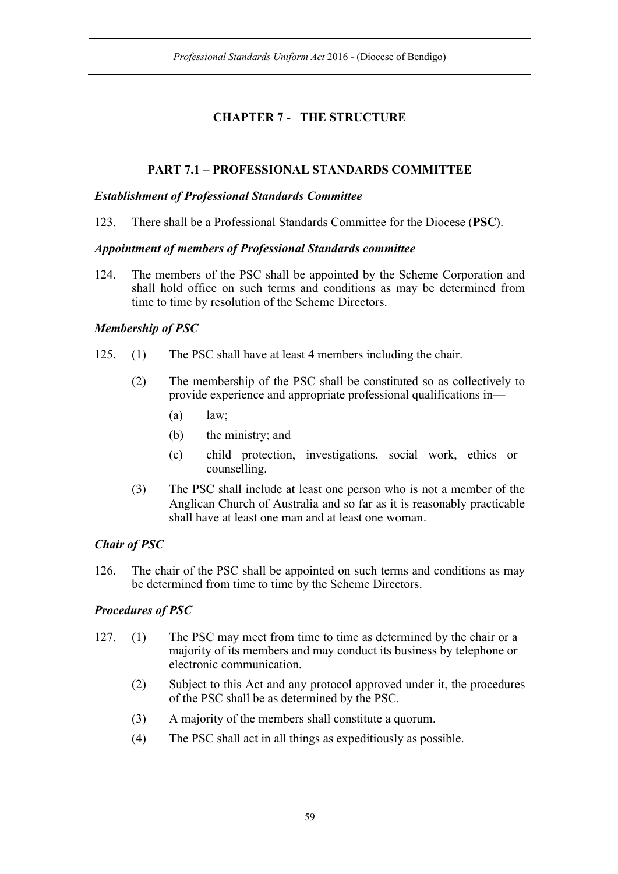# **CHAPTER 7 - THE STRUCTURE**

# **PART 7.1 – PROFESSIONAL STANDARDS COMMITTEE**

## *Establishment of Professional Standards Committee*

123. There shall be a Professional Standards Committee for the Diocese (**PSC**).

## *Appointment of members of Professional Standards committee*

124. The members of the PSC shall be appointed by the Scheme Corporation and shall hold office on such terms and conditions as may be determined from time to time by resolution of the Scheme Directors.

# *Membership of PSC*

- 125. (1) The PSC shall have at least 4 members including the chair.
	- (2) The membership of the PSC shall be constituted so as collectively to provide experience and appropriate professional qualifications in—
		- $(a)$  law;
		- (b) the ministry; and
		- (c) child protection, investigations, social work, ethics or counselling.
	- (3) The PSC shall include at least one person who is not a member of the Anglican Church of Australia and so far as it is reasonably practicable shall have at least one man and at least one woman.

# *Chair of PSC*

126. The chair of the PSC shall be appointed on such terms and conditions as may be determined from time to time by the Scheme Directors.

# *Procedures of PSC*

- 127. (1) The PSC may meet from time to time as determined by the chair or a majority of its members and may conduct its business by telephone or electronic communication.
	- (2) Subject to this Act and any protocol approved under it, the procedures of the PSC shall be as determined by the PSC.
	- (3) A majority of the members shall constitute a quorum.
	- (4) The PSC shall act in all things as expeditiously as possible.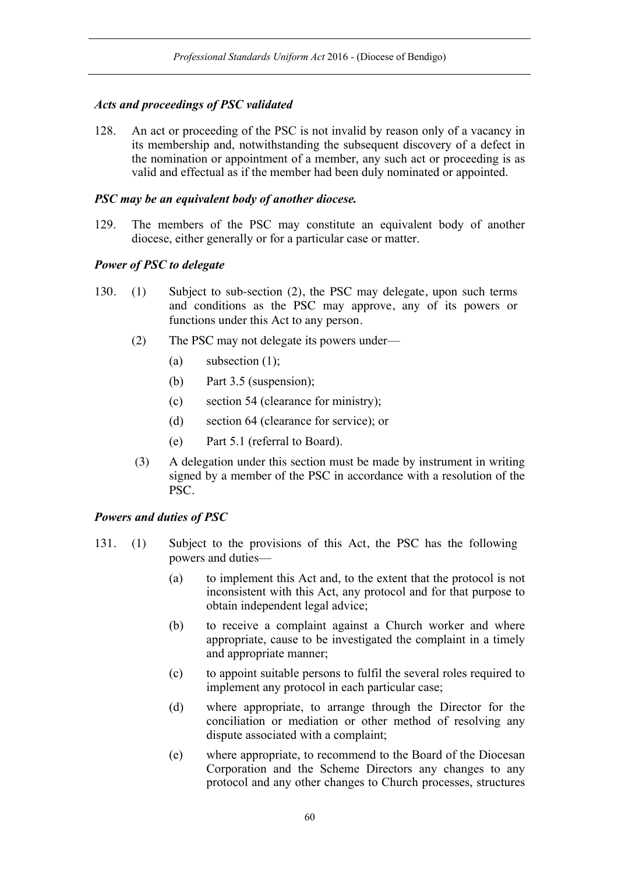## *Acts and proceedings of PSC validated*

128. An act or proceeding of the PSC is not invalid by reason only of a vacancy in its membership and, notwithstanding the subsequent discovery of a defect in the nomination or appointment of a member, any such act or proceeding is as valid and effectual as if the member had been duly nominated or appointed.

### *PSC may be an equivalent body of another diocese.*

129. The members of the PSC may constitute an equivalent body of another diocese, either generally or for a particular case or matter.

### *Power of PSC to delegate*

- 130. (1) Subject to sub-section (2), the PSC may delegate, upon such terms and conditions as the PSC may approve, any of its powers or functions under this Act to any person.
	- (2) The PSC may not delegate its powers under—
		- (a) subsection  $(1)$ ;
		- (b) Part 3.5 (suspension);
		- (c) section 54 (clearance for ministry);
		- (d) section 64 (clearance for service); or
		- (e) Part 5.1 (referral to Board).
	- (3) A delegation under this section must be made by instrument in writing signed by a member of the PSC in accordance with a resolution of the PSC.

#### *Powers and duties of PSC*

- 131. (1) Subject to the provisions of this Act, the PSC has the following powers and duties—
	- (a) to implement this Act and, to the extent that the protocol is not inconsistent with this Act, any protocol and for that purpose to obtain independent legal advice;
	- (b) to receive a complaint against a Church worker and where appropriate, cause to be investigated the complaint in a timely and appropriate manner;
	- (c) to appoint suitable persons to fulfil the several roles required to implement any protocol in each particular case;
	- (d) where appropriate, to arrange through the Director for the conciliation or mediation or other method of resolving any dispute associated with a complaint;
	- (e) where appropriate, to recommend to the Board of the Diocesan Corporation and the Scheme Directors any changes to any protocol and any other changes to Church processes, structures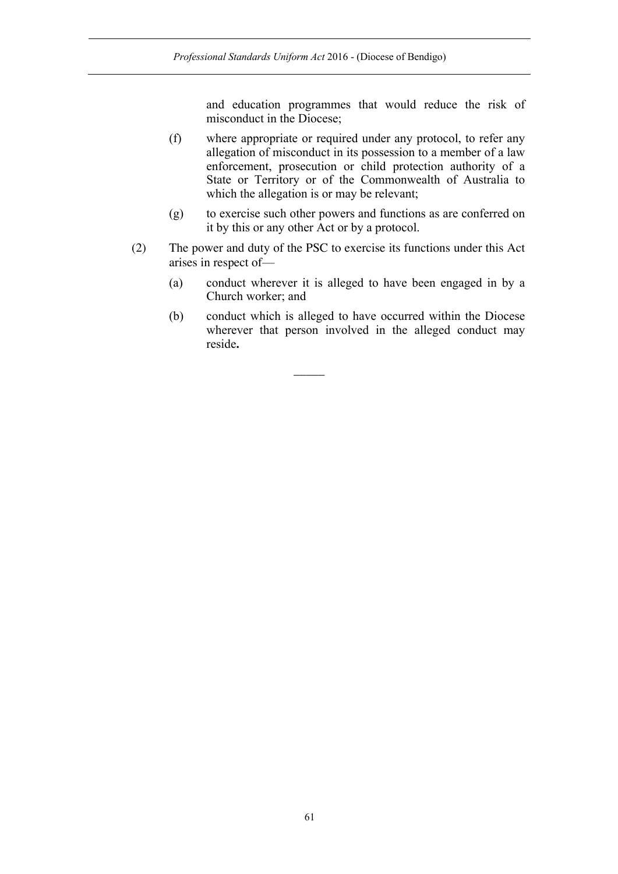and education programmes that would reduce the risk of misconduct in the Diocese;

- (f) where appropriate or required under any protocol, to refer any allegation of misconduct in its possession to a member of a law enforcement, prosecution or child protection authority of a State or Territory or of the Commonwealth of Australia to which the allegation is or may be relevant;
- (g) to exercise such other powers and functions as are conferred on it by this or any other Act or by a protocol.
- (2) The power and duty of the PSC to exercise its functions under this Act arises in respect of—

 $\overline{\phantom{a}}$ 

- (a) conduct wherever it is alleged to have been engaged in by a Church worker; and
- (b) conduct which is alleged to have occurred within the Diocese wherever that person involved in the alleged conduct may reside**.**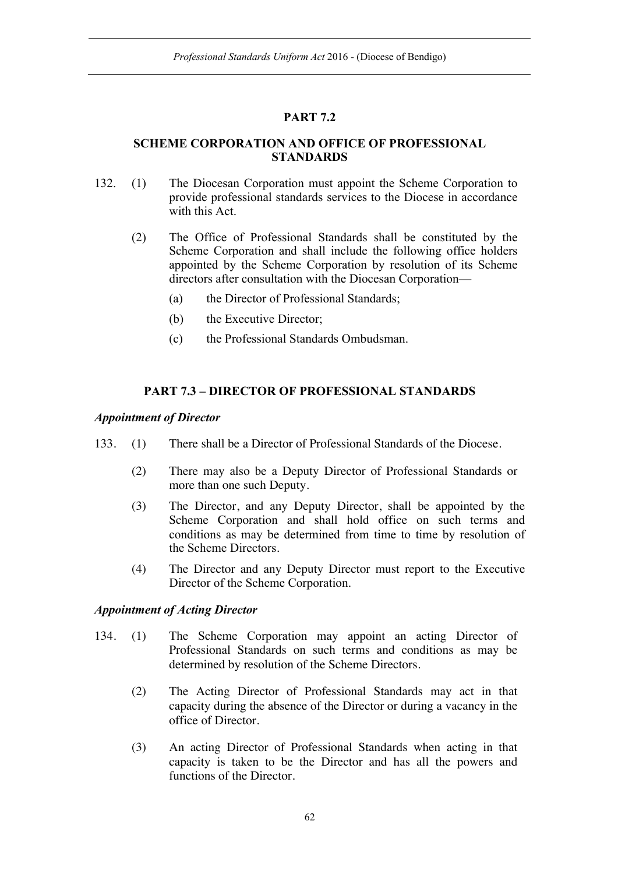# **PART 7.2**

## **SCHEME CORPORATION AND OFFICE OF PROFESSIONAL STANDARDS**

- 132. (1) The Diocesan Corporation must appoint the Scheme Corporation to provide professional standards services to the Diocese in accordance with this Act.
	- (2) The Office of Professional Standards shall be constituted by the Scheme Corporation and shall include the following office holders appointed by the Scheme Corporation by resolution of its Scheme directors after consultation with the Diocesan Corporation—
		- (a) the Director of Professional Standards;
		- (b) the Executive Director;
		- (c) the Professional Standards Ombudsman.

## **PART 7.3 – DIRECTOR OF PROFESSIONAL STANDARDS**

## *Appointment of Director*

- 133. (1) There shall be a Director of Professional Standards of the Diocese.
	- (2) There may also be a Deputy Director of Professional Standards or more than one such Deputy.
	- (3) The Director, and any Deputy Director, shall be appointed by the Scheme Corporation and shall hold office on such terms and conditions as may be determined from time to time by resolution of the Scheme Directors.
	- (4) The Director and any Deputy Director must report to the Executive Director of the Scheme Corporation.

## *Appointment of Acting Director*

- 134. (1) The Scheme Corporation may appoint an acting Director of Professional Standards on such terms and conditions as may be determined by resolution of the Scheme Directors.
	- (2) The Acting Director of Professional Standards may act in that capacity during the absence of the Director or during a vacancy in the office of Director.
	- (3) An acting Director of Professional Standards when acting in that capacity is taken to be the Director and has all the powers and functions of the Director.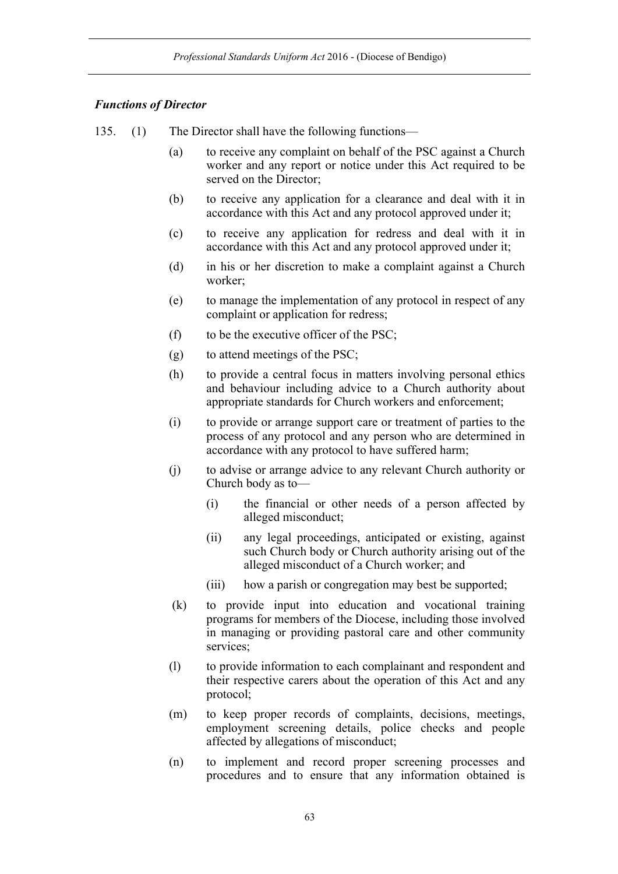## *Functions of Director*

- 135. (1) The Director shall have the following functions—
	- (a) to receive any complaint on behalf of the PSC against a Church worker and any report or notice under this Act required to be served on the Director;
	- (b) to receive any application for a clearance and deal with it in accordance with this Act and any protocol approved under it;
	- (c) to receive any application for redress and deal with it in accordance with this Act and any protocol approved under it;
	- (d) in his or her discretion to make a complaint against a Church worker;
	- (e) to manage the implementation of any protocol in respect of any complaint or application for redress;
	- (f) to be the executive officer of the PSC;
	- (g) to attend meetings of the PSC;
	- (h) to provide a central focus in matters involving personal ethics and behaviour including advice to a Church authority about appropriate standards for Church workers and enforcement;
	- (i) to provide or arrange support care or treatment of parties to the process of any protocol and any person who are determined in accordance with any protocol to have suffered harm;
	- (j) to advise or arrange advice to any relevant Church authority or Church body as to—
		- (i) the financial or other needs of a person affected by alleged misconduct;
		- (ii) any legal proceedings, anticipated or existing, against such Church body or Church authority arising out of the alleged misconduct of a Church worker; and
		- (iii) how a parish or congregation may best be supported;
	- (k) to provide input into education and vocational training programs for members of the Diocese, including those involved in managing or providing pastoral care and other community services;
	- (l) to provide information to each complainant and respondent and their respective carers about the operation of this Act and any protocol;
	- (m) to keep proper records of complaints, decisions, meetings, employment screening details, police checks and people affected by allegations of misconduct;
	- (n) to implement and record proper screening processes and procedures and to ensure that any information obtained is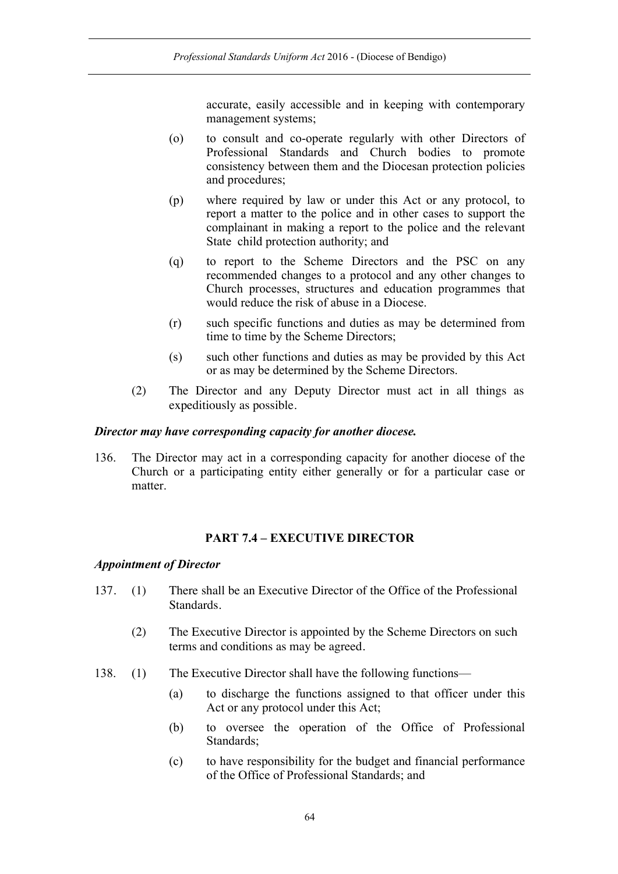accurate, easily accessible and in keeping with contemporary management systems;

- (o) to consult and co-operate regularly with other Directors of Professional Standards and Church bodies to promote consistency between them and the Diocesan protection policies and procedures;
- (p) where required by law or under this Act or any protocol, to report a matter to the police and in other cases to support the complainant in making a report to the police and the relevant State child protection authority; and
- (q) to report to the Scheme Directors and the PSC on any recommended changes to a protocol and any other changes to Church processes, structures and education programmes that would reduce the risk of abuse in a Diocese.
- (r) such specific functions and duties as may be determined from time to time by the Scheme Directors;
- (s) such other functions and duties as may be provided by this Act or as may be determined by the Scheme Directors.
- (2) The Director and any Deputy Director must act in all things as expeditiously as possible.

### *Director may have corresponding capacity for another diocese.*

136. The Director may act in a corresponding capacity for another diocese of the Church or a participating entity either generally or for a particular case or matter.

## **PART 7.4 – EXECUTIVE DIRECTOR**

#### *Appointment of Director*

- 137. (1) There shall be an Executive Director of the Office of the Professional Standards.
	- (2) The Executive Director is appointed by the Scheme Directors on such terms and conditions as may be agreed.
- 138. (1) The Executive Director shall have the following functions—
	- (a) to discharge the functions assigned to that officer under this Act or any protocol under this Act;
	- (b) to oversee the operation of the Office of Professional Standards;
	- (c) to have responsibility for the budget and financial performance of the Office of Professional Standards; and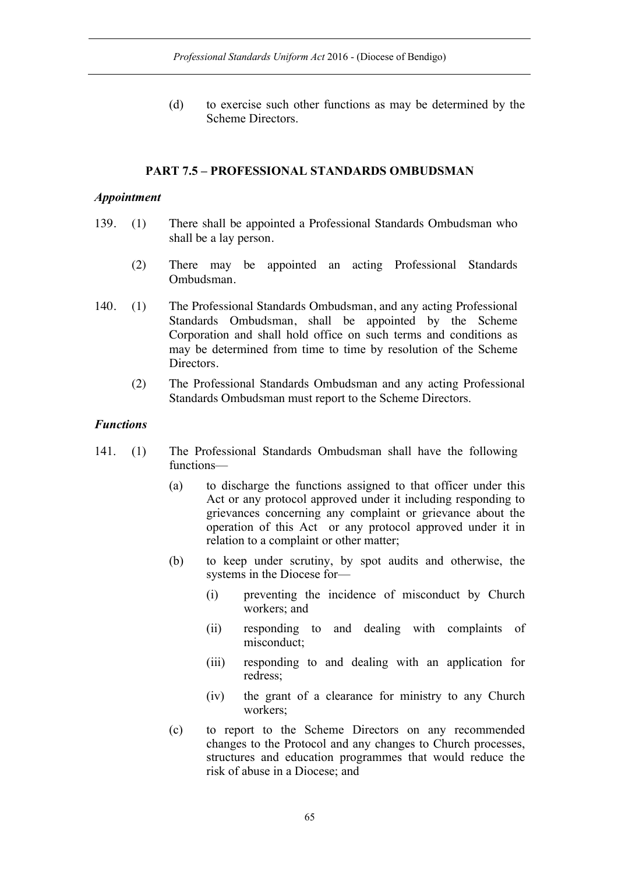(d) to exercise such other functions as may be determined by the Scheme Directors.

#### **PART 7.5 – PROFESSIONAL STANDARDS OMBUDSMAN**

#### *Appointment*

- 139. (1) There shall be appointed a Professional Standards Ombudsman who shall be a lay person.
	- (2) There may be appointed an acting Professional Standards Ombudsman.
- 140. (1) The Professional Standards Ombudsman, and any acting Professional Standards Ombudsman, shall be appointed by the Scheme Corporation and shall hold office on such terms and conditions as may be determined from time to time by resolution of the Scheme Directors.
	- (2) The Professional Standards Ombudsman and any acting Professional Standards Ombudsman must report to the Scheme Directors.

#### *Functions*

- 141. (1) The Professional Standards Ombudsman shall have the following functions—
	- (a) to discharge the functions assigned to that officer under this Act or any protocol approved under it including responding to grievances concerning any complaint or grievance about the operation of this Act or any protocol approved under it in relation to a complaint or other matter;
	- (b) to keep under scrutiny, by spot audits and otherwise, the systems in the Diocese for—
		- (i) preventing the incidence of misconduct by Church workers; and
		- (ii) responding to and dealing with complaints of misconduct;
		- (iii) responding to and dealing with an application for redress;
		- (iv) the grant of a clearance for ministry to any Church workers;
	- (c) to report to the Scheme Directors on any recommended changes to the Protocol and any changes to Church processes, structures and education programmes that would reduce the risk of abuse in a Diocese; and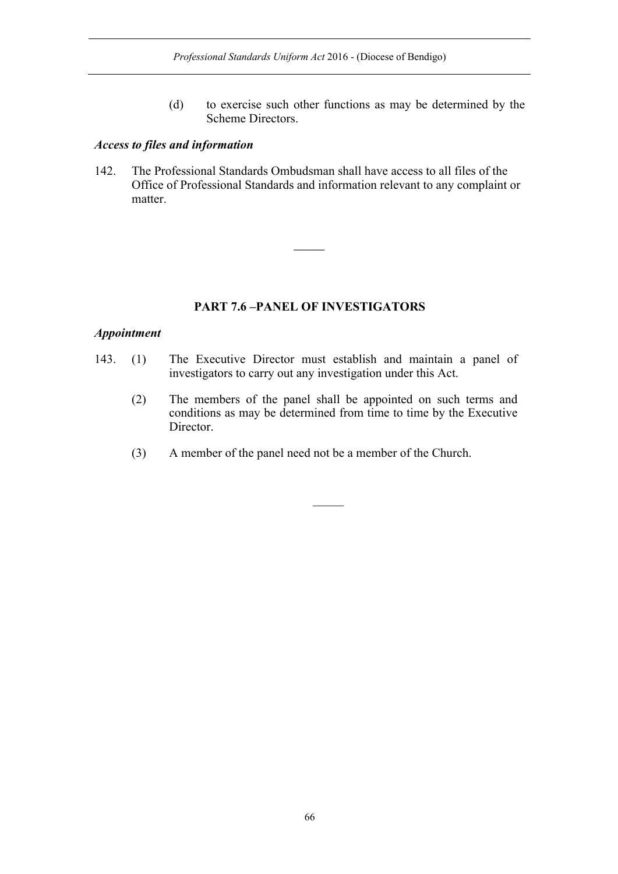(d) to exercise such other functions as may be determined by the Scheme Directors.

## *Access to files and information*

142. The Professional Standards Ombudsman shall have access to all files of the Office of Professional Standards and information relevant to any complaint or matter.

 $\overline{\phantom{a}}$ 

## **PART 7.6 –PANEL OF INVESTIGATORS**

### *Appointment*

- 143. (1) The Executive Director must establish and maintain a panel of investigators to carry out any investigation under this Act.
	- (2) The members of the panel shall be appointed on such terms and conditions as may be determined from time to time by the Executive Director.
	- (3) A member of the panel need not be a member of the Church.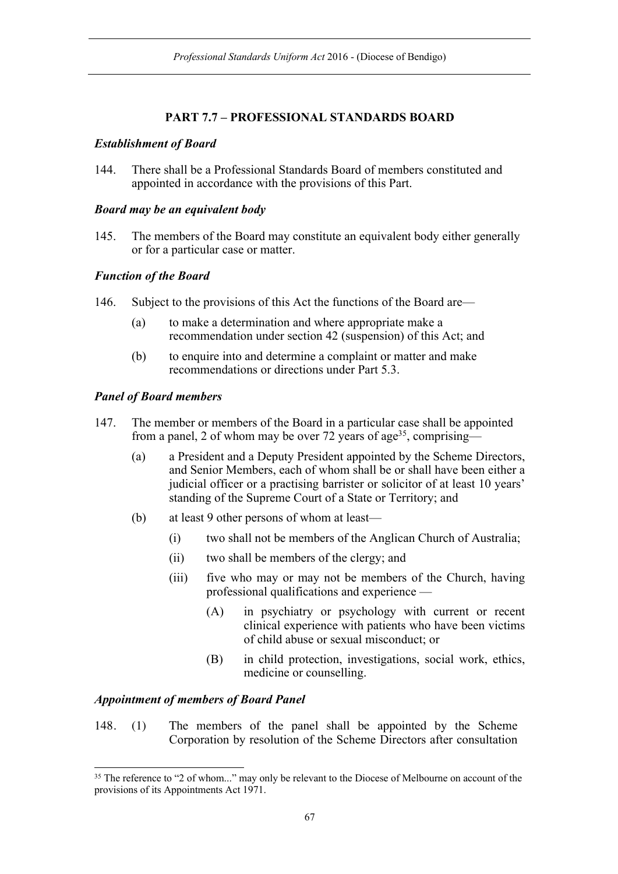# **PART 7.7 – PROFESSIONAL STANDARDS BOARD**

## *Establishment of Board*

144. There shall be a Professional Standards Board of members constituted and appointed in accordance with the provisions of this Part.

## *Board may be an equivalent body*

145. The members of the Board may constitute an equivalent body either generally or for a particular case or matter.

## *Function of the Board*

- 146. Subject to the provisions of this Act the functions of the Board are—
	- (a) to make a determination and where appropriate make a recommendation under section 42 (suspension) of this Act; and
	- (b) to enquire into and determine a complaint or matter and make recommendations or directions under Part 5.3.

## *Panel of Board members*

- 147. The member or members of the Board in a particular case shall be appointed from a panel, 2 of whom may be over 72 years of age<sup>35</sup>, comprising—
	- (a) a President and a Deputy President appointed by the Scheme Directors, and Senior Members, each of whom shall be or shall have been either a judicial officer or a practising barrister or solicitor of at least 10 years' standing of the Supreme Court of a State or Territory; and
	- (b) at least 9 other persons of whom at least—
		- (i) two shall not be members of the Anglican Church of Australia;
		- (ii) two shall be members of the clergy; and
		- (iii) five who may or may not be members of the Church, having professional qualifications and experience —
			- (A) in psychiatry or psychology with current or recent clinical experience with patients who have been victims of child abuse or sexual misconduct; or
			- (B) in child protection, investigations, social work, ethics, medicine or counselling.

# *Appointment of members of Board Panel*

148. (1) The members of the panel shall be appointed by the Scheme Corporation by resolution of the Scheme Directors after consultation

<sup>&</sup>lt;sup>35</sup> The reference to "2 of whom..." may only be relevant to the Diocese of Melbourne on account of the provisions of its Appointments Act 1971.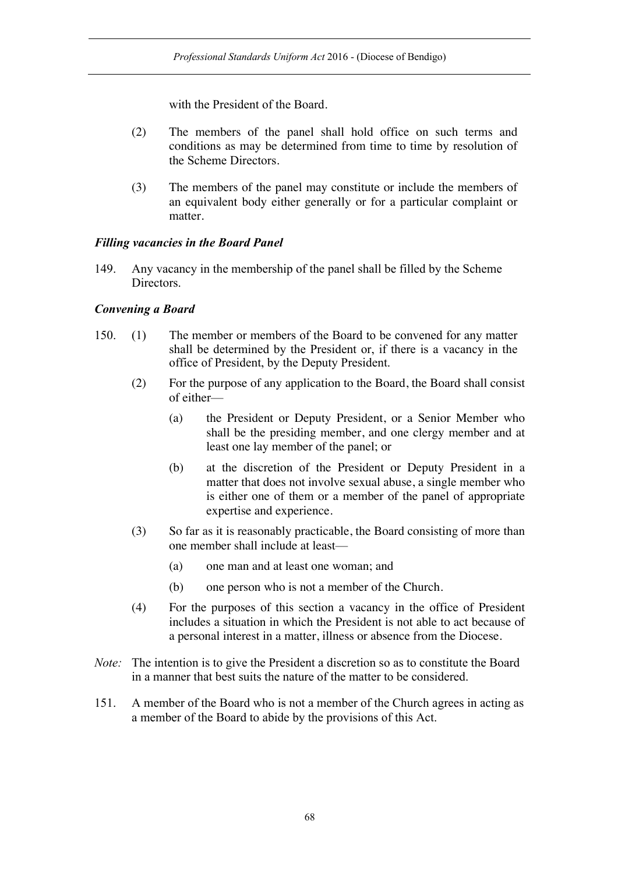with the President of the Board.

- (2) The members of the panel shall hold office on such terms and conditions as may be determined from time to time by resolution of the Scheme Directors.
- (3) The members of the panel may constitute or include the members of an equivalent body either generally or for a particular complaint or matter.

### *Filling vacancies in the Board Panel*

149. Any vacancy in the membership of the panel shall be filled by the Scheme Directors.

### *Convening a Board*

- 150. (1) The member or members of the Board to be convened for any matter shall be determined by the President or, if there is a vacancy in the office of President, by the Deputy President.
	- (2) For the purpose of any application to the Board, the Board shall consist of either—
		- (a) the President or Deputy President, or a Senior Member who shall be the presiding member, and one clergy member and at least one lay member of the panel; or
		- (b) at the discretion of the President or Deputy President in a matter that does not involve sexual abuse, a single member who is either one of them or a member of the panel of appropriate expertise and experience.
	- (3) So far as it is reasonably practicable, the Board consisting of more than one member shall include at least—
		- (a) one man and at least one woman; and
		- (b) one person who is not a member of the Church.
	- (4) For the purposes of this section a vacancy in the office of President includes a situation in which the President is not able to act because of a personal interest in a matter, illness or absence from the Diocese.
- *Note:* The intention is to give the President a discretion so as to constitute the Board in a manner that best suits the nature of the matter to be considered.
- 151. A member of the Board who is not a member of the Church agrees in acting as a member of the Board to abide by the provisions of this Act.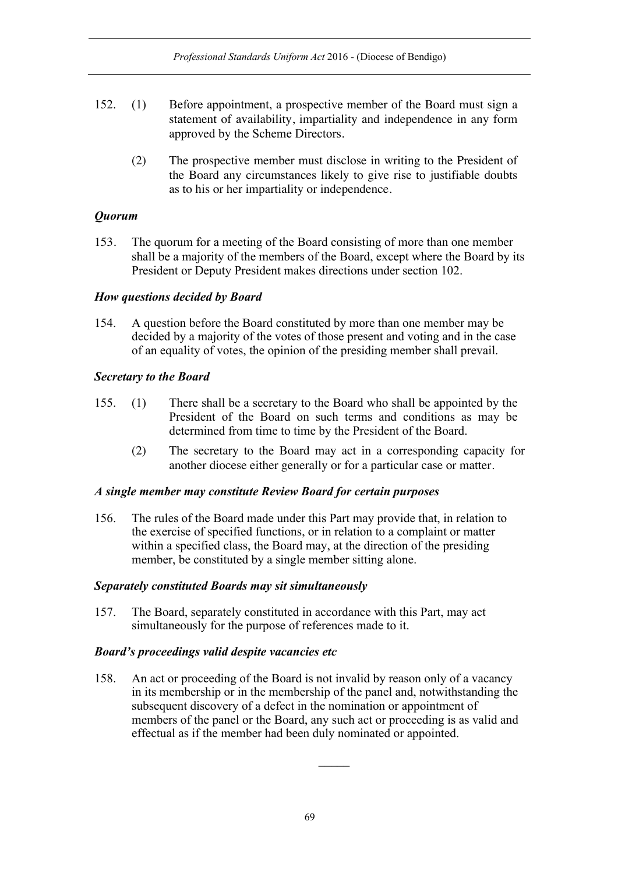- 152. (1) Before appointment, a prospective member of the Board must sign a statement of availability, impartiality and independence in any form approved by the Scheme Directors.
	- (2) The prospective member must disclose in writing to the President of the Board any circumstances likely to give rise to justifiable doubts as to his or her impartiality or independence.

# *Quorum*

153. The quorum for a meeting of the Board consisting of more than one member shall be a majority of the members of the Board, except where the Board by its President or Deputy President makes directions under section 102.

## *How questions decided by Board*

154. A question before the Board constituted by more than one member may be decided by a majority of the votes of those present and voting and in the case of an equality of votes, the opinion of the presiding member shall prevail.

## *Secretary to the Board*

- 155. (1) There shall be a secretary to the Board who shall be appointed by the President of the Board on such terms and conditions as may be determined from time to time by the President of the Board.
	- (2) The secretary to the Board may act in a corresponding capacity for another diocese either generally or for a particular case or matter.

## *A single member may constitute Review Board for certain purposes*

156. The rules of the Board made under this Part may provide that, in relation to the exercise of specified functions, or in relation to a complaint or matter within a specified class, the Board may, at the direction of the presiding member, be constituted by a single member sitting alone.

## *Separately constituted Boards may sit simultaneously*

157. The Board, separately constituted in accordance with this Part, may act simultaneously for the purpose of references made to it.

## *Board's proceedings valid despite vacancies etc*

158. An act or proceeding of the Board is not invalid by reason only of a vacancy in its membership or in the membership of the panel and, notwithstanding the subsequent discovery of a defect in the nomination or appointment of members of the panel or the Board, any such act or proceeding is as valid and effectual as if the member had been duly nominated or appointed.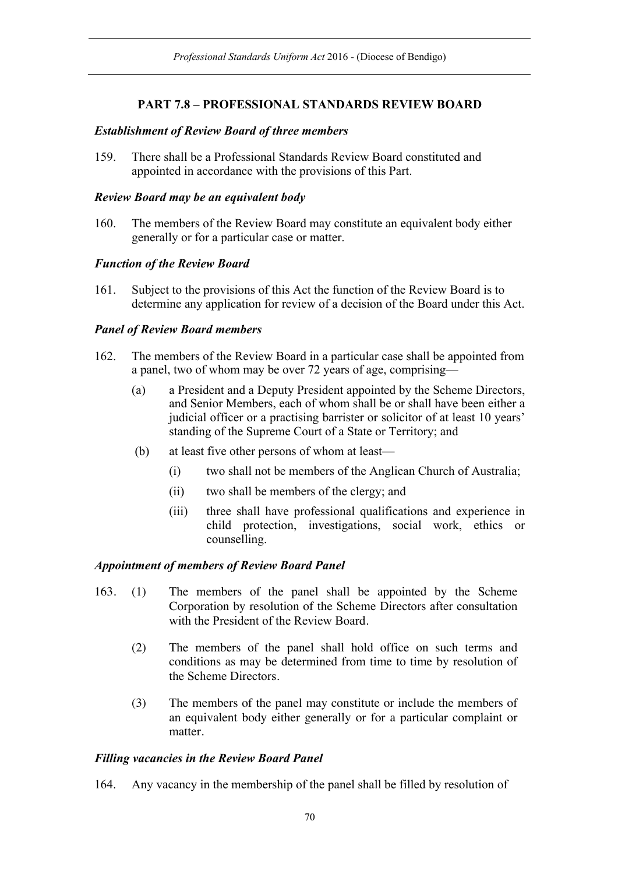# **PART 7.8 – PROFESSIONAL STANDARDS REVIEW BOARD**

### *Establishment of Review Board of three members*

159. There shall be a Professional Standards Review Board constituted and appointed in accordance with the provisions of this Part.

### *Review Board may be an equivalent body*

160. The members of the Review Board may constitute an equivalent body either generally or for a particular case or matter.

## *Function of the Review Board*

161. Subject to the provisions of this Act the function of the Review Board is to determine any application for review of a decision of the Board under this Act.

## *Panel of Review Board members*

- 162. The members of the Review Board in a particular case shall be appointed from a panel, two of whom may be over 72 years of age, comprising—
	- (a) a President and a Deputy President appointed by the Scheme Directors, and Senior Members, each of whom shall be or shall have been either a judicial officer or a practising barrister or solicitor of at least 10 years' standing of the Supreme Court of a State or Territory; and
	- (b) at least five other persons of whom at least—
		- (i) two shall not be members of the Anglican Church of Australia;
		- (ii) two shall be members of the clergy; and
		- (iii) three shall have professional qualifications and experience in child protection, investigations, social work, ethics or counselling.

## *Appointment of members of Review Board Panel*

- 163. (1) The members of the panel shall be appointed by the Scheme Corporation by resolution of the Scheme Directors after consultation with the President of the Review Board.
	- (2) The members of the panel shall hold office on such terms and conditions as may be determined from time to time by resolution of the Scheme Directors.
	- (3) The members of the panel may constitute or include the members of an equivalent body either generally or for a particular complaint or matter.

## *Filling vacancies in the Review Board Panel*

164. Any vacancy in the membership of the panel shall be filled by resolution of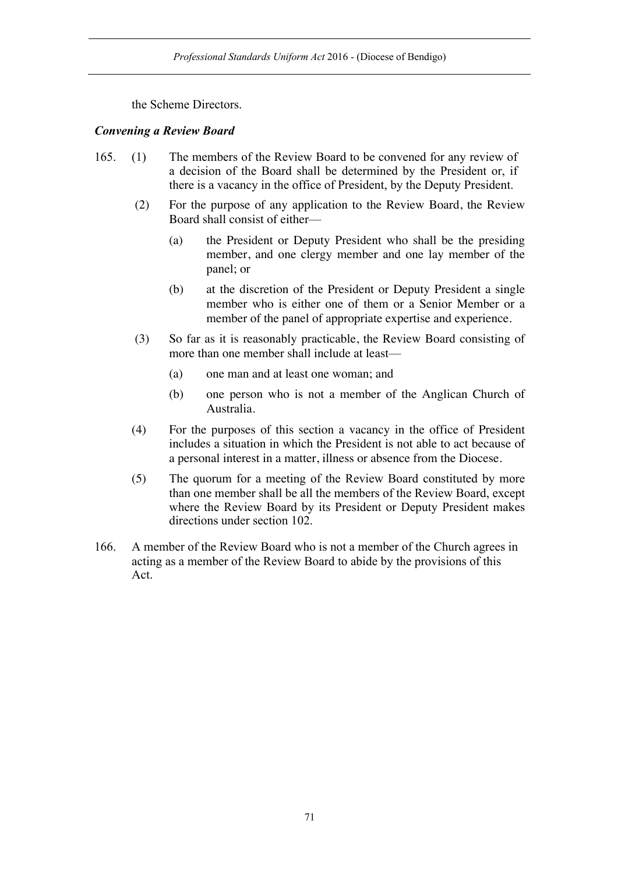the Scheme Directors.

## *Convening a Review Board*

- 165. (1) The members of the Review Board to be convened for any review of a decision of the Board shall be determined by the President or, if there is a vacancy in the office of President, by the Deputy President.
	- (2) For the purpose of any application to the Review Board, the Review Board shall consist of either—
		- (a) the President or Deputy President who shall be the presiding member, and one clergy member and one lay member of the panel; or
		- (b) at the discretion of the President or Deputy President a single member who is either one of them or a Senior Member or a member of the panel of appropriate expertise and experience.
	- (3) So far as it is reasonably practicable, the Review Board consisting of more than one member shall include at least—
		- (a) one man and at least one woman; and
		- (b) one person who is not a member of the Anglican Church of Australia.
	- (4) For the purposes of this section a vacancy in the office of President includes a situation in which the President is not able to act because of a personal interest in a matter, illness or absence from the Diocese.
	- (5) The quorum for a meeting of the Review Board constituted by more than one member shall be all the members of the Review Board, except where the Review Board by its President or Deputy President makes directions under section 102.
- 166. A member of the Review Board who is not a member of the Church agrees in acting as a member of the Review Board to abide by the provisions of this Act.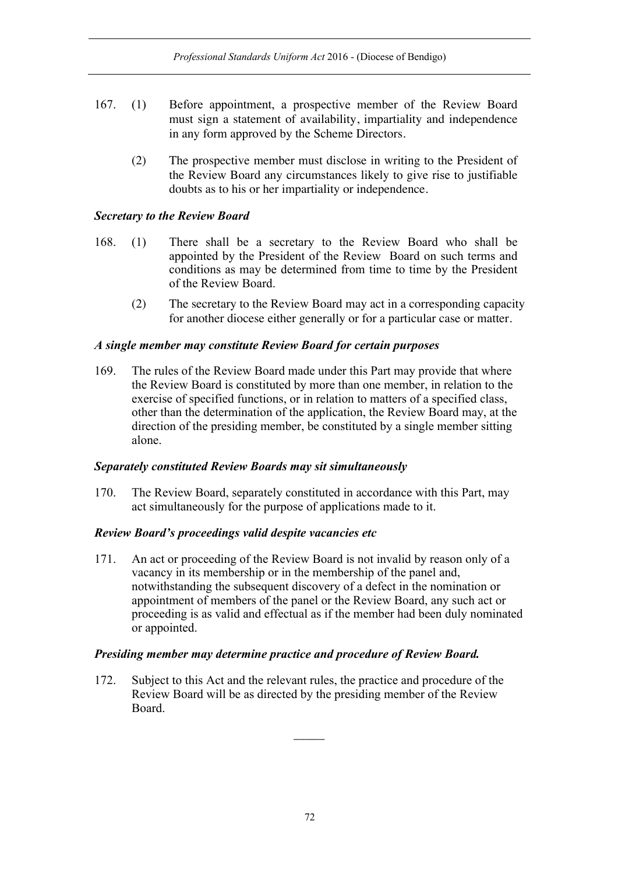- 167. (1) Before appointment, a prospective member of the Review Board must sign a statement of availability, impartiality and independence in any form approved by the Scheme Directors.
	- (2) The prospective member must disclose in writing to the President of the Review Board any circumstances likely to give rise to justifiable doubts as to his or her impartiality or independence.

## *Secretary to the Review Board*

- 168. (1) There shall be a secretary to the Review Board who shall be appointed by the President of the Review Board on such terms and conditions as may be determined from time to time by the President of the Review Board.
	- (2) The secretary to the Review Board may act in a corresponding capacity for another diocese either generally or for a particular case or matter.

### *A single member may constitute Review Board for certain purposes*

169. The rules of the Review Board made under this Part may provide that where the Review Board is constituted by more than one member, in relation to the exercise of specified functions, or in relation to matters of a specified class, other than the determination of the application, the Review Board may, at the direction of the presiding member, be constituted by a single member sitting alone.

#### *Separately constituted Review Boards may sit simultaneously*

170. The Review Board, separately constituted in accordance with this Part, may act simultaneously for the purpose of applications made to it.

#### *Review Board's proceedings valid despite vacancies etc*

171. An act or proceeding of the Review Board is not invalid by reason only of a vacancy in its membership or in the membership of the panel and, notwithstanding the subsequent discovery of a defect in the nomination or appointment of members of the panel or the Review Board, any such act or proceeding is as valid and effectual as if the member had been duly nominated or appointed.

## *Presiding member may determine practice and procedure of Review Board.*

172. Subject to this Act and the relevant rules, the practice and procedure of the Review Board will be as directed by the presiding member of the Review Board.

 $\overline{\phantom{a}}$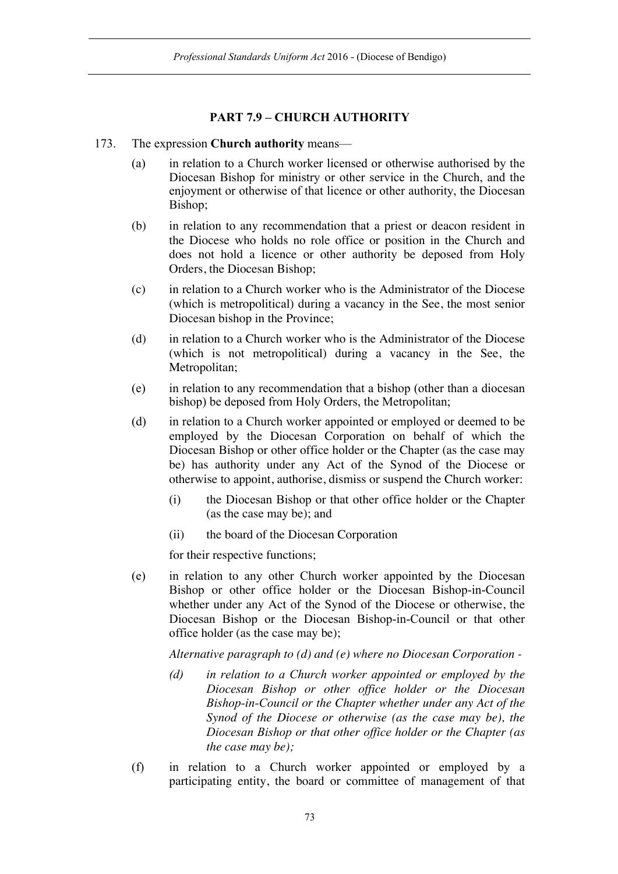# **PART 7.9 – CHURCH AUTHORITY**

#### 173. The expression **Church authority** means—

- (a) in relation to a Church worker licensed or otherwise authorised by the Diocesan Bishop for ministry or other service in the Church, and the enjoyment or otherwise of that licence or other authority, the Diocesan Bishop;
- (b) in relation to any recommendation that a priest or deacon resident in the Diocese who holds no role office or position in the Church and does not hold a licence or other authority be deposed from Holy Orders, the Diocesan Bishop;
- (c) in relation to a Church worker who is the Administrator of the Diocese (which is metropolitical) during a vacancy in the See, the most senior Diocesan bishop in the Province;
- (d) in relation to a Church worker who is the Administrator of the Diocese (which is not metropolitical) during a vacancy in the See, the Metropolitan;
- (e) in relation to any recommendation that a bishop (other than a diocesan bishop) be deposed from Holy Orders, the Metropolitan;
- (d) in relation to a Church worker appointed or employed or deemed to be employed by the Diocesan Corporation on behalf of which the Diocesan Bishop or other office holder or the Chapter (as the case may be) has authority under any Act of the Synod of the Diocese or otherwise to appoint, authorise, dismiss or suspend the Church worker:
	- (i) the Diocesan Bishop or that other office holder or the Chapter (as the case may be); and
	- (ii) the board of the Diocesan Corporation

for their respective functions;

(e) in relation to any other Church worker appointed by the Diocesan Bishop or other office holder or the Diocesan Bishop-in-Council whether under any Act of the Synod of the Diocese or otherwise, the Diocesan Bishop or the Diocesan Bishop-in-Council or that other office holder (as the case may be);

*Alternative paragraph to (d) and (e) where no Diocesan Corporation -*

- *(d) in relation to a Church worker appointed or employed by the Diocesan Bishop or other office holder or the Diocesan Bishop-in-Council or the Chapter whether under any Act of the Synod of the Diocese or otherwise (as the case may be), the Diocesan Bishop or that other office holder or the Chapter (as the case may be);*
- (f) in relation to a Church worker appointed or employed by a participating entity, the board or committee of management of that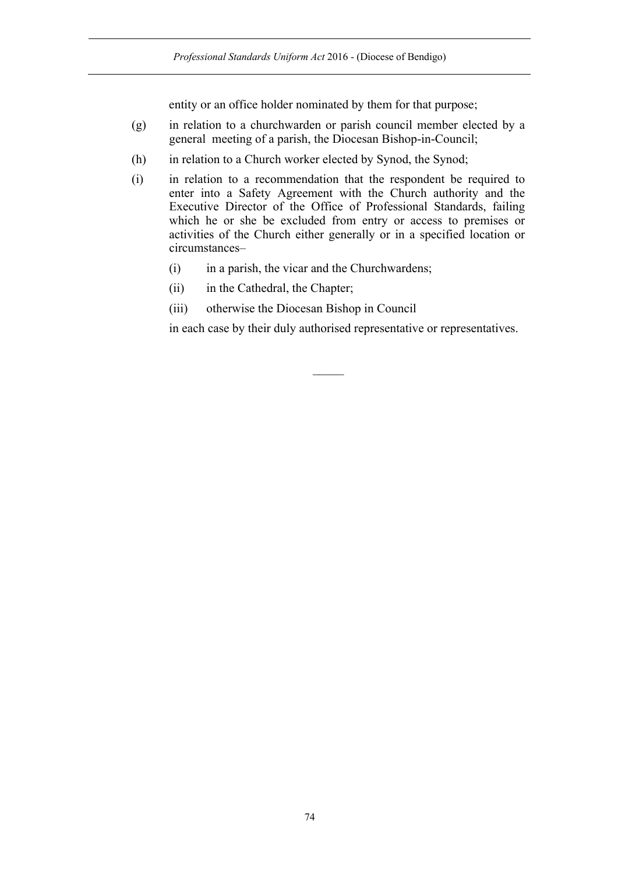entity or an office holder nominated by them for that purpose;

- (g) in relation to a churchwarden or parish council member elected by a general meeting of a parish, the Diocesan Bishop-in-Council;
- (h) in relation to a Church worker elected by Synod, the Synod;
- (i) in relation to a recommendation that the respondent be required to enter into a Safety Agreement with the Church authority and the Executive Director of the Office of Professional Standards, failing which he or she be excluded from entry or access to premises or activities of the Church either generally or in a specified location or circumstances–
	- (i) in a parish, the vicar and the Churchwardens;
	- (ii) in the Cathedral, the Chapter;
	- (iii) otherwise the Diocesan Bishop in Council

in each case by their duly authorised representative or representatives.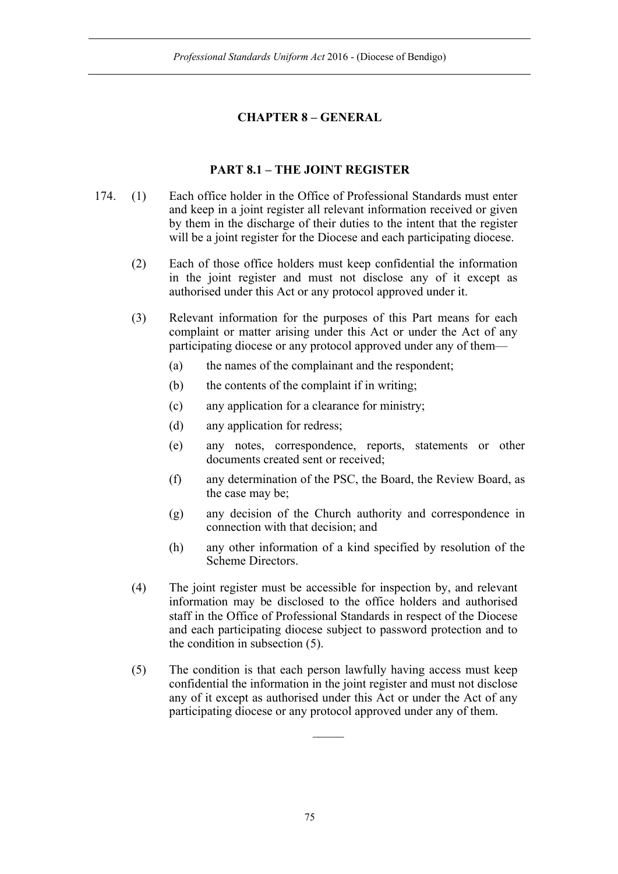## **CHAPTER 8 – GENERAL**

## **PART 8.1 – THE JOINT REGISTER**

- 174. (1) Each office holder in the Office of Professional Standards must enter and keep in a joint register all relevant information received or given by them in the discharge of their duties to the intent that the register will be a joint register for the Diocese and each participating diocese.
	- (2) Each of those office holders must keep confidential the information in the joint register and must not disclose any of it except as authorised under this Act or any protocol approved under it.
	- (3) Relevant information for the purposes of this Part means for each complaint or matter arising under this Act or under the Act of any participating diocese or any protocol approved under any of them—
		- (a) the names of the complainant and the respondent;
		- (b) the contents of the complaint if in writing;
		- (c) any application for a clearance for ministry;
		- (d) any application for redress;
		- (e) any notes, correspondence, reports, statements or other documents created sent or received;
		- (f) any determination of the PSC, the Board, the Review Board, as the case may be;
		- (g) any decision of the Church authority and correspondence in connection with that decision; and
		- (h) any other information of a kind specified by resolution of the Scheme Directors.
	- (4) The joint register must be accessible for inspection by, and relevant information may be disclosed to the office holders and authorised staff in the Office of Professional Standards in respect of the Diocese and each participating diocese subject to password protection and to the condition in subsection (5).
	- (5) The condition is that each person lawfully having access must keep confidential the information in the joint register and must not disclose any of it except as authorised under this Act or under the Act of any participating diocese or any protocol approved under any of them.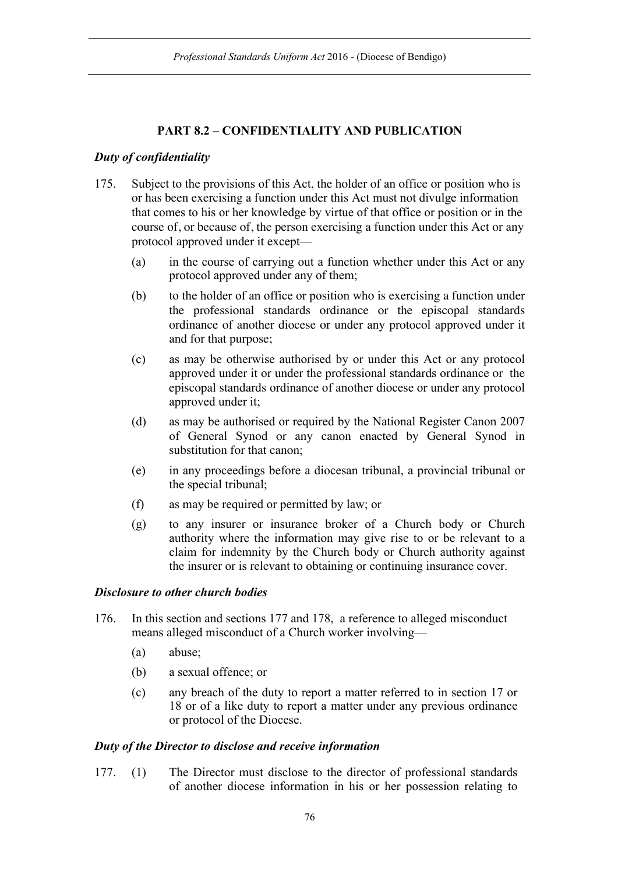# **PART 8.2 – CONFIDENTIALITY AND PUBLICATION**

## *Duty of confidentiality*

- 175. Subject to the provisions of this Act, the holder of an office or position who is or has been exercising a function under this Act must not divulge information that comes to his or her knowledge by virtue of that office or position or in the course of, or because of, the person exercising a function under this Act or any protocol approved under it except—
	- (a) in the course of carrying out a function whether under this Act or any protocol approved under any of them;
	- (b) to the holder of an office or position who is exercising a function under the professional standards ordinance or the episcopal standards ordinance of another diocese or under any protocol approved under it and for that purpose;
	- (c) as may be otherwise authorised by or under this Act or any protocol approved under it or under the professional standards ordinance or the episcopal standards ordinance of another diocese or under any protocol approved under it;
	- (d) as may be authorised or required by the National Register Canon 2007 of General Synod or any canon enacted by General Synod in substitution for that canon;
	- (e) in any proceedings before a diocesan tribunal, a provincial tribunal or the special tribunal;
	- (f) as may be required or permitted by law; or
	- (g) to any insurer or insurance broker of a Church body or Church authority where the information may give rise to or be relevant to a claim for indemnity by the Church body or Church authority against the insurer or is relevant to obtaining or continuing insurance cover.

### *Disclosure to other church bodies*

- 176. In this section and sections 177 and 178, a reference to alleged misconduct means alleged misconduct of a Church worker involving—
	- (a) abuse;
	- (b) a sexual offence; or
	- (c) any breach of the duty to report a matter referred to in section 17 or 18 or of a like duty to report a matter under any previous ordinance or protocol of the Diocese.

#### *Duty of the Director to disclose and receive information*

177. (1) The Director must disclose to the director of professional standards of another diocese information in his or her possession relating to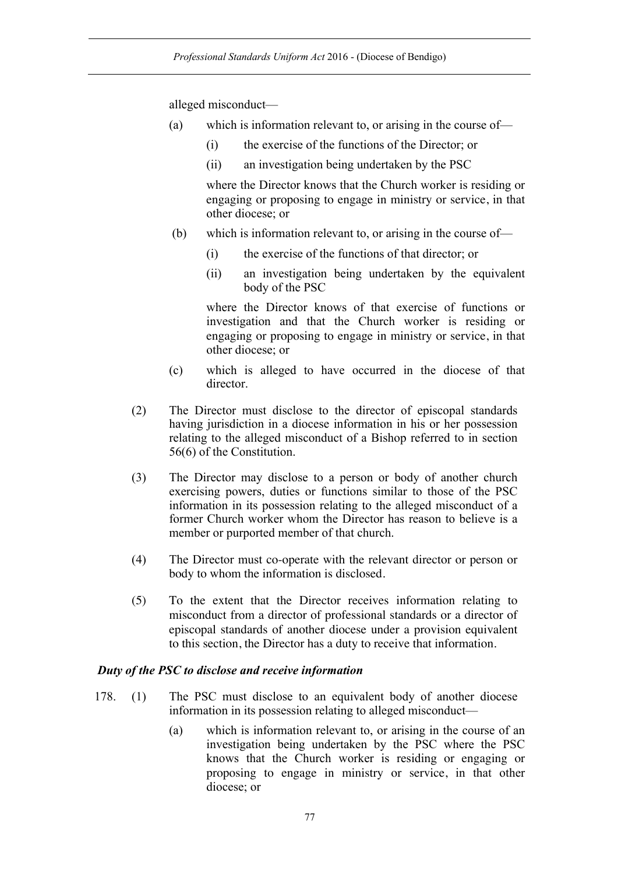alleged misconduct—

- (a) which is information relevant to, or arising in the course of—
	- (i) the exercise of the functions of the Director; or
	- (ii) an investigation being undertaken by the PSC

where the Director knows that the Church worker is residing or engaging or proposing to engage in ministry or service, in that other diocese; or

- (b) which is information relevant to, or arising in the course of—
	- (i) the exercise of the functions of that director; or
	- (ii) an investigation being undertaken by the equivalent body of the PSC

where the Director knows of that exercise of functions or investigation and that the Church worker is residing or engaging or proposing to engage in ministry or service, in that other diocese; or

- (c) which is alleged to have occurred in the diocese of that director.
- (2) The Director must disclose to the director of episcopal standards having jurisdiction in a diocese information in his or her possession relating to the alleged misconduct of a Bishop referred to in section 56(6) of the Constitution.
- (3) The Director may disclose to a person or body of another church exercising powers, duties or functions similar to those of the PSC information in its possession relating to the alleged misconduct of a former Church worker whom the Director has reason to believe is a member or purported member of that church.
- (4) The Director must co-operate with the relevant director or person or body to whom the information is disclosed.
- (5) To the extent that the Director receives information relating to misconduct from a director of professional standards or a director of episcopal standards of another diocese under a provision equivalent to this section, the Director has a duty to receive that information.

## *Duty of the PSC to disclose and receive information*

- 178. (1) The PSC must disclose to an equivalent body of another diocese information in its possession relating to alleged misconduct—
	- (a) which is information relevant to, or arising in the course of an investigation being undertaken by the PSC where the PSC knows that the Church worker is residing or engaging or proposing to engage in ministry or service, in that other diocese; or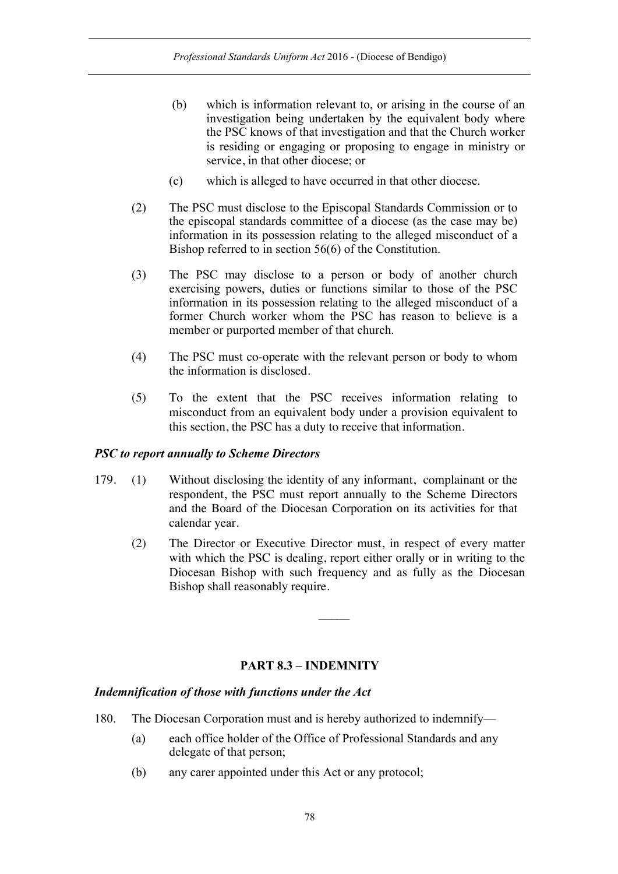- (b) which is information relevant to, or arising in the course of an investigation being undertaken by the equivalent body where the PSC knows of that investigation and that the Church worker is residing or engaging or proposing to engage in ministry or service, in that other diocese; or
- (c) which is alleged to have occurred in that other diocese.
- (2) The PSC must disclose to the Episcopal Standards Commission or to the episcopal standards committee of a diocese (as the case may be) information in its possession relating to the alleged misconduct of a Bishop referred to in section 56(6) of the Constitution.
- (3) The PSC may disclose to a person or body of another church exercising powers, duties or functions similar to those of the PSC information in its possession relating to the alleged misconduct of a former Church worker whom the PSC has reason to believe is a member or purported member of that church.
- (4) The PSC must co-operate with the relevant person or body to whom the information is disclosed.
- (5) To the extent that the PSC receives information relating to misconduct from an equivalent body under a provision equivalent to this section, the PSC has a duty to receive that information.

### *PSC to report annually to Scheme Directors*

- 179. (1) Without disclosing the identity of any informant, complainant or the respondent, the PSC must report annually to the Scheme Directors and the Board of the Diocesan Corporation on its activities for that calendar year.
	- (2) The Director or Executive Director must, in respect of every matter with which the PSC is dealing, report either orally or in writing to the Diocesan Bishop with such frequency and as fully as the Diocesan Bishop shall reasonably require.

## **PART 8.3 – INDEMNITY**

#### *Indemnification of those with functions under the Act*

- 180. The Diocesan Corporation must and is hereby authorized to indemnify—
	- (a) each office holder of the Office of Professional Standards and any delegate of that person;
	- (b) any carer appointed under this Act or any protocol;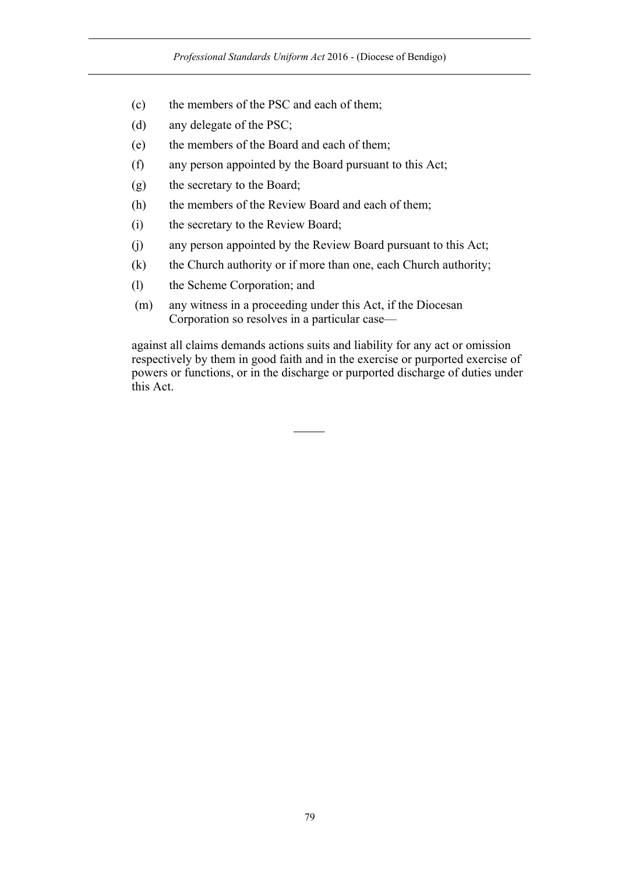- (c) the members of the PSC and each of them;
- (d) any delegate of the PSC;
- (e) the members of the Board and each of them;
- (f) any person appointed by the Board pursuant to this Act;
- (g) the secretary to the Board;
- (h) the members of the Review Board and each of them;
- (i) the secretary to the Review Board;
- (j) any person appointed by the Review Board pursuant to this Act;
- (k) the Church authority or if more than one, each Church authority;
- (l) the Scheme Corporation; and
- (m) any witness in a proceeding under this Act, if the Diocesan Corporation so resolves in a particular case—

against all claims demands actions suits and liability for any act or omission respectively by them in good faith and in the exercise or purported exercise of powers or functions, or in the discharge or purported discharge of duties under this Act.

 $\overline{\phantom{a}}$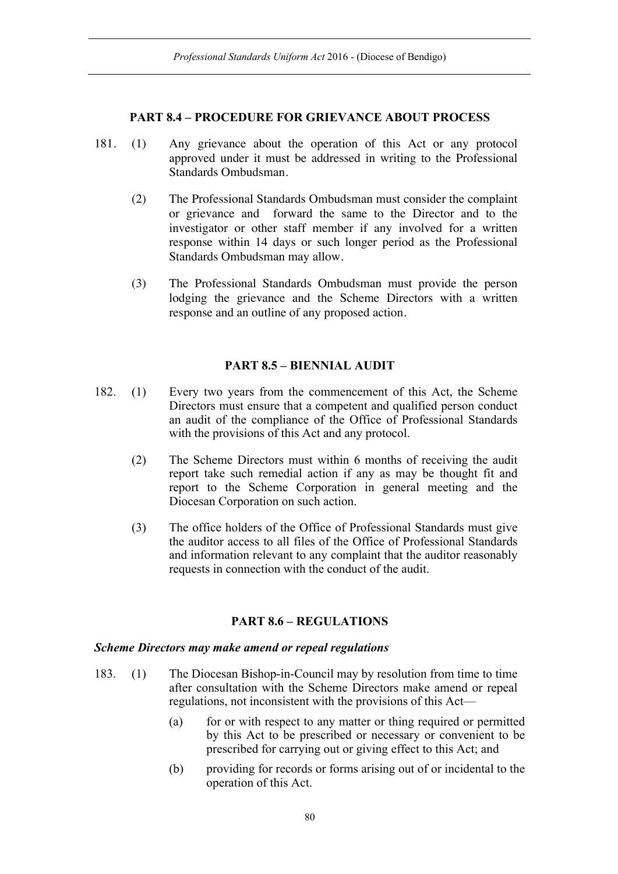### **PART 8.4 – PROCEDURE FOR GRIEVANCE ABOUT PROCESS**

- 181. (1) Any grievance about the operation of this Act or any protocol approved under it must be addressed in writing to the Professional Standards Ombudsman.
	- (2) The Professional Standards Ombudsman must consider the complaint or grievance and forward the same to the Director and to the investigator or other staff member if any involved for a written response within 14 days or such longer period as the Professional Standards Ombudsman may allow.
	- (3) The Professional Standards Ombudsman must provide the person lodging the grievance and the Scheme Directors with a written response and an outline of any proposed action.

## **PART 8.5 – BIENNIAL AUDIT**

- 182. (1) Every two years from the commencement of this Act, the Scheme Directors must ensure that a competent and qualified person conduct an audit of the compliance of the Office of Professional Standards with the provisions of this Act and any protocol.
	- (2) The Scheme Directors must within 6 months of receiving the audit report take such remedial action if any as may be thought fit and report to the Scheme Corporation in general meeting and the Diocesan Corporation on such action.
	- (3) The office holders of the Office of Professional Standards must give the auditor access to all files of the Office of Professional Standards and information relevant to any complaint that the auditor reasonably requests in connection with the conduct of the audit.

## **PART 8.6 – REGULATIONS**

#### *Scheme Directors may make amend or repeal regulations*

- 183. (1) The Diocesan Bishop-in-Council may by resolution from time to time after consultation with the Scheme Directors make amend or repeal regulations, not inconsistent with the provisions of this Act—
	- (a) for or with respect to any matter or thing required or permitted by this Act to be prescribed or necessary or convenient to be prescribed for carrying out or giving effect to this Act; and
	- (b) providing for records or forms arising out of or incidental to the operation of this Act.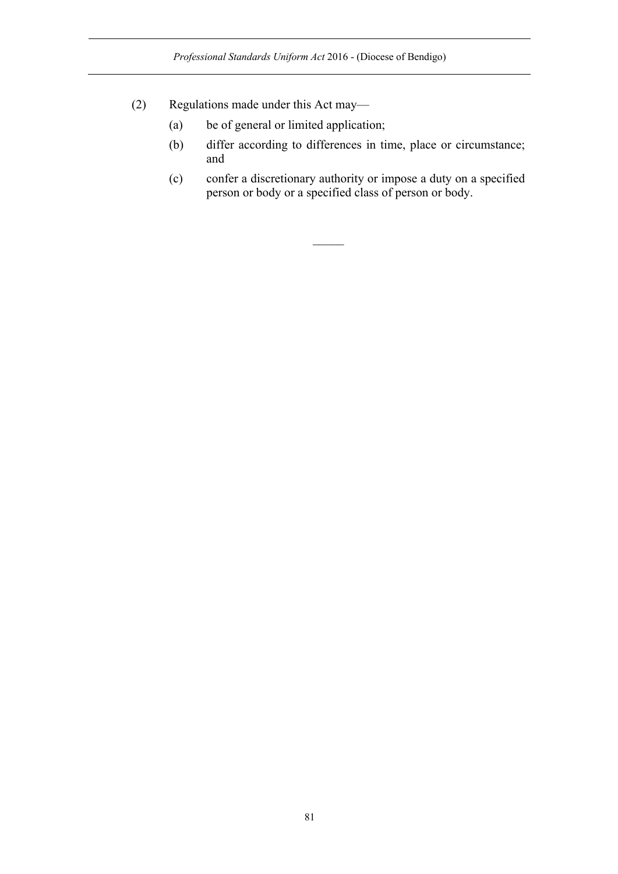- (2) Regulations made under this Act may—
	- (a) be of general or limited application;
	- (b) differ according to differences in time, place or circumstance; and
	- (c) confer a discretionary authority or impose a duty on a specified person or body or a specified class of person or body.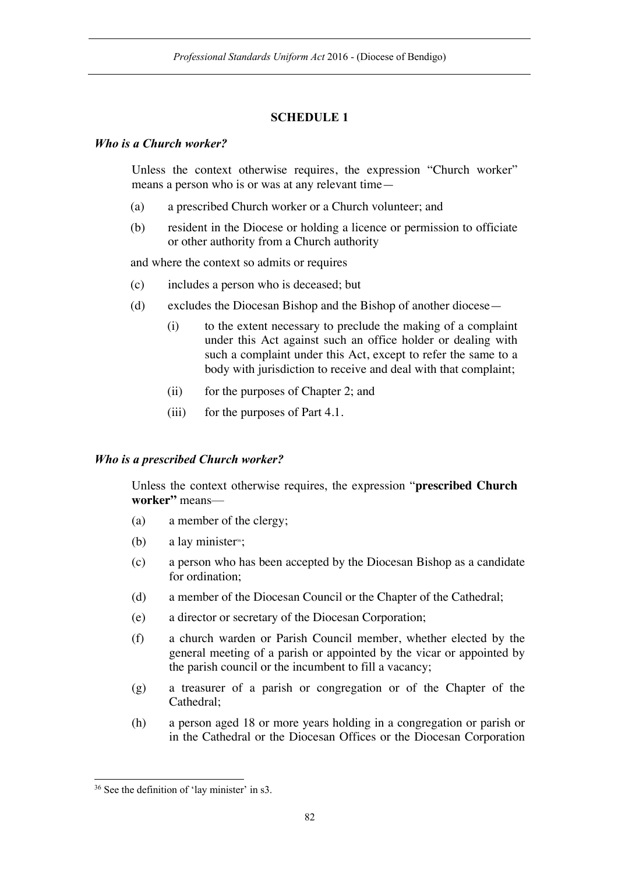## **SCHEDULE 1**

#### *Who is a Church worker?*

Unless the context otherwise requires, the expression "Church worker" means a person who is or was at any relevant time—

- (a) a prescribed Church worker or a Church volunteer; and
- (b) resident in the Diocese or holding a licence or permission to officiate or other authority from a Church authority

and where the context so admits or requires

- (c) includes a person who is deceased; but
- (d) excludes the Diocesan Bishop and the Bishop of another diocese—
	- (i) to the extent necessary to preclude the making of a complaint under this Act against such an office holder or dealing with such a complaint under this Act, except to refer the same to a body with jurisdiction to receive and deal with that complaint;
	- (ii) for the purposes of Chapter 2; and
	- (iii) for the purposes of Part 4.1.

### *Who is a prescribed Church worker?*

Unless the context otherwise requires, the expression "**prescribed Church worker"** means—

- (a) a member of the clergy;
- (b) a lay minister<sup>36</sup>;
- (c) a person who has been accepted by the Diocesan Bishop as a candidate for ordination;
- (d) a member of the Diocesan Council or the Chapter of the Cathedral;
- (e) a director or secretary of the Diocesan Corporation;
- (f) a church warden or Parish Council member, whether elected by the general meeting of a parish or appointed by the vicar or appointed by the parish council or the incumbent to fill a vacancy;
- (g) a treasurer of a parish or congregation or of the Chapter of the Cathedral;
- (h) a person aged 18 or more years holding in a congregation or parish or in the Cathedral or the Diocesan Offices or the Diocesan Corporation

 <sup>36</sup> See the definition of 'lay minister' in s3.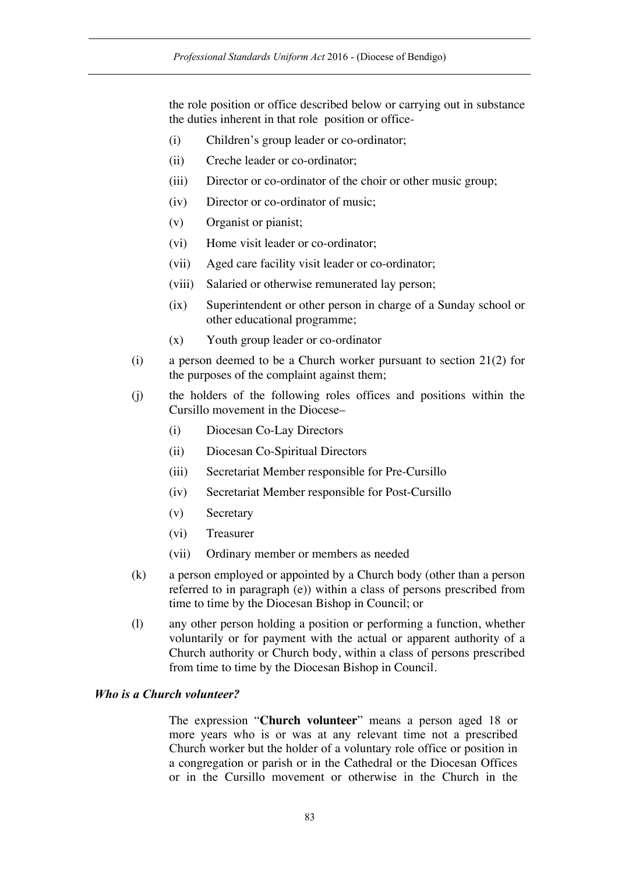the role position or office described below or carrying out in substance the duties inherent in that role position or office-

- (i) Children's group leader or co-ordinator;
- (ii) Creche leader or co-ordinator;
- (iii) Director or co-ordinator of the choir or other music group;
- (iv) Director or co-ordinator of music;
- (v) Organist or pianist;
- (vi) Home visit leader or co-ordinator;
- (vii) Aged care facility visit leader or co-ordinator;
- (viii) Salaried or otherwise remunerated lay person;
- (ix) Superintendent or other person in charge of a Sunday school or other educational programme;
- (x) Youth group leader or co-ordinator
- (i) a person deemed to be a Church worker pursuant to section 21(2) for the purposes of the complaint against them;
- (j) the holders of the following roles offices and positions within the Cursillo movement in the Diocese–
	- (i) Diocesan Co-Lay Directors
	- (ii) Diocesan Co-Spiritual Directors
	- (iii) Secretariat Member responsible for Pre-Cursillo
	- (iv) Secretariat Member responsible for Post-Cursillo
	- (v) Secretary
	- (vi) Treasurer
	- (vii) Ordinary member or members as needed
- (k) a person employed or appointed by a Church body (other than a person referred to in paragraph (e)) within a class of persons prescribed from time to time by the Diocesan Bishop in Council; or
- (l) any other person holding a position or performing a function, whether voluntarily or for payment with the actual or apparent authority of a Church authority or Church body, within a class of persons prescribed from time to time by the Diocesan Bishop in Council.

#### *Who is a Church volunteer?*

The expression "**Church volunteer**" means a person aged 18 or more years who is or was at any relevant time not a prescribed Church worker but the holder of a voluntary role office or position in a congregation or parish or in the Cathedral or the Diocesan Offices or in the Cursillo movement or otherwise in the Church in the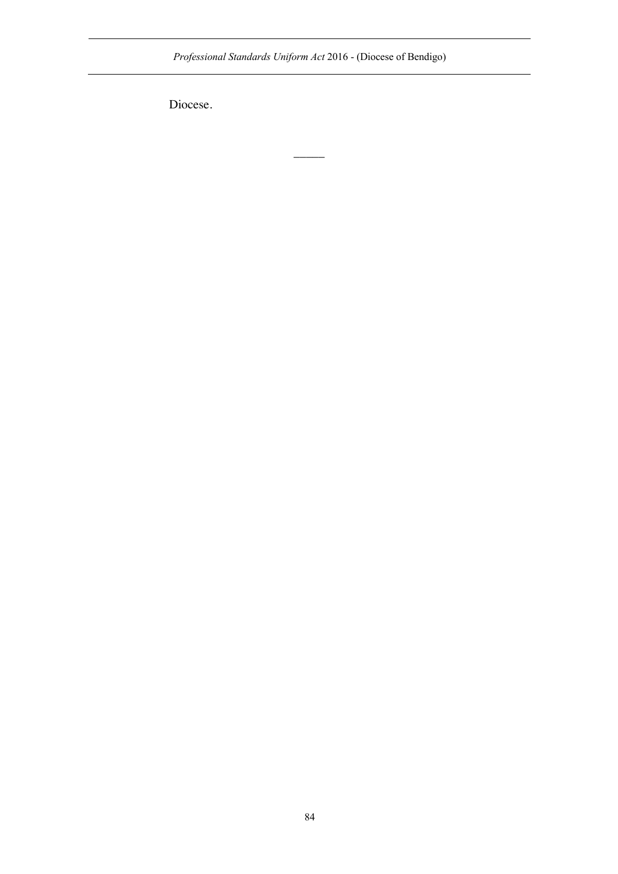*Professional Standards Uniform Act* 2016 - (Diocese of Bendigo)

 $\overline{\phantom{a}}$ 

Diocese.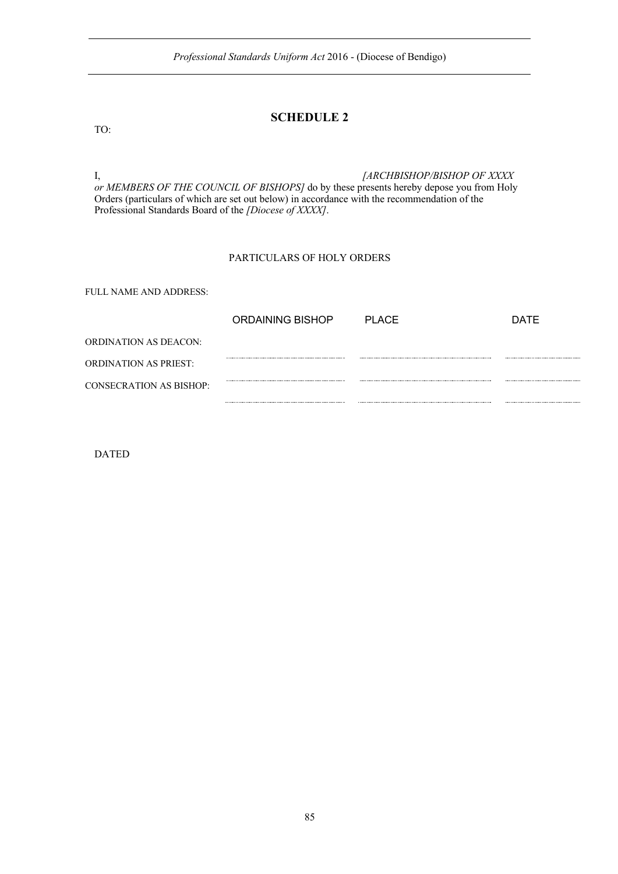## **SCHEDULE 2**

I, *[ARCHBISHOP/BISHOP OF XXXX or MEMBERS OF THE COUNCIL OF BISHOPS]* do by these presents hereby depose you from Holy Orders (particulars of which are set out below) in accordance with the recommendation of the Professional Standards Board of the *[Diocese of XXXX]*.

#### PARTICULARS OF HOLY ORDERS

FULL NAME AND ADDRESS:

|                         | ORDAINING BISHOP | PI ACF | <b>DATE</b> |
|-------------------------|------------------|--------|-------------|
| ORDINATION AS DEACON:   |                  |        |             |
| ORDINATION AS PRIEST:   |                  |        |             |
| CONSECRATION AS BISHOP: |                  |        |             |
|                         |                  |        |             |

DATED

TO: